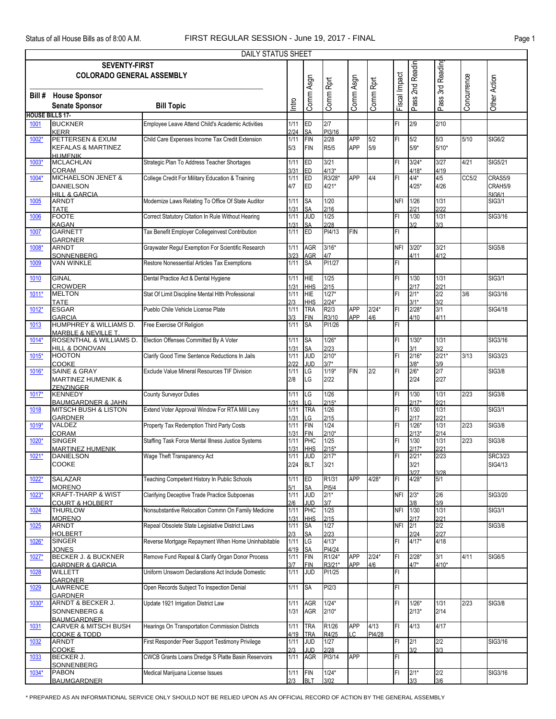|                        | <b>DAILY STATUS SHEET</b>                                                                       |                                                    |              |                  |                    |               |           |               |                 |              |             |                |  |  |
|------------------------|-------------------------------------------------------------------------------------------------|----------------------------------------------------|--------------|------------------|--------------------|---------------|-----------|---------------|-----------------|--------------|-------------|----------------|--|--|
|                        | Pass 2nd Readin<br><b>SEVENTY-FIRST</b><br>Pass 3rd Reading<br><b>COLORADO GENERAL ASSEMBLY</b> |                                                    |              |                  |                    |               |           |               |                 |              |             |                |  |  |
|                        |                                                                                                 |                                                    |              |                  |                    |               |           |               |                 |              |             |                |  |  |
|                        |                                                                                                 |                                                    |              |                  |                    |               |           |               |                 |              |             |                |  |  |
|                        |                                                                                                 |                                                    |              |                  |                    |               |           |               |                 |              |             |                |  |  |
|                        | <b>Bill # House Sponsor</b>                                                                     |                                                    |              | Comm Asgn        | Comm Rprt          | Comm Asgn     | Comm Rprt | Fiscal Impact |                 |              | Concurrence | Other Action   |  |  |
|                        | <b>Senate Sponsor</b>                                                                           | <b>Bill Topic</b>                                  | Intro        |                  |                    |               |           |               |                 |              |             |                |  |  |
| <b>HOUSE BILLS 17-</b> |                                                                                                 |                                                    |              |                  |                    |               |           |               |                 |              |             |                |  |  |
|                        | <b>BUCKNER</b>                                                                                  | Employee Leave Attend Child's Academic Activities  | 1/11         | ED               | 2/7                |               |           | FI            | 2/9             | 2/10         |             |                |  |  |
| 1001                   | <b>KERR</b>                                                                                     |                                                    | 2/24         |                  | PI3/16             |               |           |               |                 |              |             |                |  |  |
| 1002*                  | PETTERSEN & EXUM                                                                                | Child Care Expenses Income Tax Credit Extension    | 1/11         | SΑ<br>FIN        | 2/28               | <b>APP</b>    | 5/2       | FI            | 5/2             | 5/3          | 5/10        | <b>SIG6/2</b>  |  |  |
|                        | <b>KEFALAS &amp; MARTINEZ</b>                                                                   |                                                    | 5/3          | <b>FIN</b>       | R <sub>5</sub> /5  | <b>APP</b>    | 5/9       |               | $5/9*$          | $5/10*$      |             |                |  |  |
|                        | <b>HUMFNIK</b>                                                                                  |                                                    |              |                  |                    |               |           |               |                 |              |             |                |  |  |
| 1003*                  | <b>MCLACHLAN</b>                                                                                | Strategic Plan To Address Teacher Shortages        | 1/11         | <b>ED</b>        | 3/21               |               |           | FI            | $3/24*$         | 3/27         | 4/21        | SIG5/21        |  |  |
|                        | <b>CORAM</b>                                                                                    |                                                    | 3/31         | ED               | $4/13*$            |               |           |               | $4/18*$         | 4/19         |             |                |  |  |
| 1004*                  | MICHAELSON JENET &                                                                              | College Credit For Military Education & Training   | 1/11         | ED               | R3/28*             | <b>APP</b>    | 4/4       | FI            | $4/4*$          | 4/5          | CC5/2       | CRAS5/9        |  |  |
|                        | <b>DANIELSON</b>                                                                                |                                                    | 4/7          | ED               | $4/21*$            |               |           |               | $4/25*$         | 4/26         |             | CRAH5/9        |  |  |
|                        | <b>HILL &amp; GARCIA</b>                                                                        |                                                    |              |                  |                    |               |           |               |                 |              |             | SIG6/1         |  |  |
| 1005                   | <b>ARNDT</b>                                                                                    | Modernize Laws Relating To Office Of State Auditor | 1/11         | <b>SA</b>        | 1/20               |               |           | NFI           | 1/26            | 1/31         |             | <b>SIG3/1</b>  |  |  |
|                        | <b>TATE</b>                                                                                     |                                                    | 1/31         | SA               | 2/16               |               |           |               | 2121            | 2/22         |             |                |  |  |
| 1006                   | <b>FOOTE</b>                                                                                    | Correct Statutory Citation In Rule Without Hearing | 1/11         | <b>JUD</b>       | 1/25               |               |           | FI            | 1/30            | 1/31         |             | SIG3/16        |  |  |
|                        | <b>KAGAN</b>                                                                                    |                                                    | 1/31         | SA               | 2/28               |               |           |               | 312             | 3/3          |             |                |  |  |
| 1007                   | <b>GARNETT</b>                                                                                  | Tax Benefit Employer Collegeinvest Contribution    | 1/11         | ED               | PI4/13             | <b>FIN</b>    |           | FI            |                 |              |             |                |  |  |
|                        | <b>GARDNER</b>                                                                                  |                                                    |              |                  |                    |               |           |               |                 |              |             |                |  |  |
| 1008*                  | <b>ARNDT</b>                                                                                    | Graywater Regul Exemption For Scientific Research  | 1/11         | <b>AGR</b>       | $3/16*$            |               |           | <b>NFI</b>    | $3/20*$         | 3/21         |             | <b>SIG5/8</b>  |  |  |
|                        | SONNENBERG<br><b>VAN WINKLE</b>                                                                 | Restore Nonessential Articles Tax Exemptions       | 3/23<br>1/11 | AGR<br><b>SA</b> | 4/7<br>PI1/27      |               |           | FI.           | 4/11            | 4/12         |             |                |  |  |
| 1009                   |                                                                                                 |                                                    |              |                  |                    |               |           |               |                 |              |             |                |  |  |
| 1010                   | <b>GINAL</b>                                                                                    | Dental Practice Act & Dental Hygiene               | 1/11         | HIE              | 1/25               |               |           | FL            | 1/30            | 1/31         |             | <b>SIG3/1</b>  |  |  |
|                        | <b>CROWDER</b>                                                                                  |                                                    | 1/31         | <b>HHS</b>       | 2/15               |               |           |               | 2/17            | 2/21         |             |                |  |  |
| $1011*$                | <b>MELTON</b>                                                                                   | Stat Of Limit Discipline Mental HIth Professional  | 1/11         | <b>HIE</b>       | $1/27*$            |               |           | FI            | $2/1*$          | 2/2          | 3/6         | SIG3/16        |  |  |
|                        | <b>TATE</b>                                                                                     |                                                    | 2/3          | <b>HHS</b>       | $2/24*$            |               |           |               | $3/1*$          | 3/2          |             |                |  |  |
| 1012*                  | <b>ESGAR</b>                                                                                    | Pueblo Chile Vehicle License Plate                 | 1/11         | <b>TRA</b>       | R2/3               | <b>APP</b>    | $2/24*$   | FI            | $2/28*$         | 3/1          |             | <b>SIG4/18</b> |  |  |
|                        | <b>GARCIA</b>                                                                                   |                                                    | 3/3          | <b>FIN</b>       | R3/10              | APP           | 4/6       |               | 4/10            | 4/11         |             |                |  |  |
| 1013                   | HUMPHREY & WILLIAMS D.                                                                          | Free Exercise Of Religion                          | 1/11         | <b>SA</b>        | PI1/26             |               |           | FI            |                 |              |             |                |  |  |
|                        | <b>MARBLE &amp; NEVILLE T.</b>                                                                  |                                                    |              |                  |                    |               |           |               |                 |              |             |                |  |  |
| $1014*$                | ROSENTHAL & WILLIAMS D.                                                                         | Election Offenses Committed By A Voter             | 1/11         | <b>SA</b>        | $1/26*$            |               |           | FI            | $1/30*$         | 1/31         |             | SIG3/16        |  |  |
|                        | <b>HILL &amp; DONOVAN</b>                                                                       |                                                    | 1/31         | <b>SA</b>        | 2/23               |               |           |               | 3/1             | 3/2          |             |                |  |  |
| $1015*$                | <b>HOOTON</b>                                                                                   | Clarify Good Time Sentence Reductions In Jails     | 1/11         | g                | $2/10*$            |               |           | FI            | $2/16*$         | $2/21*$      | 3/13        | SIG3/23        |  |  |
|                        | COOKE                                                                                           |                                                    | 2122         | JUD              | $3/7*$             |               |           |               | $3/8*$          | 3/9          |             |                |  |  |
| 1016*                  | <b>SAINE &amp; GRAY</b>                                                                         | Exclude Value Mineral Resources TIF Division       | 1/11         | LG               | $1/19*$            | <b>FIN</b>    | 2/2       | FI            | $2/6*$          | 2/7          |             | <b>SIG3/8</b>  |  |  |
|                        | <b>MARTINEZ HUMENIK &amp;</b>                                                                   |                                                    | 2/8          | LG               | 2/22               |               |           |               | 2/24            | 2/27         |             |                |  |  |
|                        | <b>ZENZINGER</b>                                                                                |                                                    |              |                  |                    |               |           |               |                 |              |             |                |  |  |
| 1017*                  | <b>KENNEDY</b>                                                                                  | County Surveyor Duties                             | 1/11         | LG               | 1/26               |               |           | FI            | 1/30            | 1/31         | 2/23        | <b>SIG3/8</b>  |  |  |
|                        | <b>BAUMGARDNER &amp; JAHN</b><br><b>MITSCH BUSH &amp; LISTON</b>                                | Extend Voter Approval Window For RTA Mill Levy     | 1/31<br>1/11 | LG<br><b>TRA</b> | $2/15*$<br>1/26    |               |           | FI            | $2/17*$<br>1/30 | 2/21<br>1/31 |             | <b>SIG3/1</b>  |  |  |
| 1018                   | <b>GARDNER</b>                                                                                  |                                                    | 1/31         | LG               | 2/15               |               |           |               | 2/17            | 2/21         |             |                |  |  |
| 1019*                  | VALDEZ                                                                                          | Property Tax Redemption Third Party Costs          | 1/11         | <b>FIN</b>       | 1/24               |               |           | FI            | $1/26*$         | 1/31         | 2/23        | <b>SIG3/8</b>  |  |  |
|                        | CORAM                                                                                           |                                                    | 1/31         | <b>FIN</b>       | $2/10*$            |               |           |               | $2/13*$         | 2/14         |             |                |  |  |
| 1020*                  | <b>SINGER</b>                                                                                   | Staffing Task Force Mental Illness Justice Systems | 1/11         | PHC              | 1/25               |               |           | FI            | 1/30            | 1/31         | 2/23        | <b>SIG3/8</b>  |  |  |
|                        | <b>MARTINEZ HUMENIK</b>                                                                         |                                                    | 1/31         | <b>HHS</b>       | $2/15*$            |               |           |               | $2/17*$         | 2/21         |             |                |  |  |
| 1021*                  | <b>DANIELSON</b>                                                                                | Wage Theft Transparency Act                        | 1/11         | <b>JUD</b>       | $2/17*$            |               |           | l۴۱           | $2/21*$         | 2/23         |             | <b>SRC3/23</b> |  |  |
|                        | COOKE                                                                                           |                                                    | 2/24         | BLT              | 3/21               |               |           |               | 3/21            |              |             | SIG4/13        |  |  |
|                        |                                                                                                 |                                                    |              |                  |                    |               |           |               | 3/27            | 3/28         |             |                |  |  |
| $1022*$                | SALAZAR                                                                                         | Teaching Competent History In Public Schools       | 1/11         | ED               | R1/31              | <b>APP</b>    | $4/28*$   | FI            | $4/28*$         | 5/1          |             |                |  |  |
|                        | <b>MORENO</b>                                                                                   |                                                    | 5/1          | <b>SA</b>        | PI <sub>5</sub> /4 |               |           |               |                 |              |             |                |  |  |
| 1023*                  | <b>KRAFT-THARP &amp; WIST</b>                                                                   | Clarifying Deceptive Trade Practice Subpoenas      | 1/11         | <b>ODC</b>       | $2/1*$             |               |           | <b>NFI</b>    | $2/3*$          | 2/6          |             | SIG3/20        |  |  |
|                        | <b>COURT &amp; HOLBERT</b>                                                                      |                                                    | 2/6          | JUD              | 3/7                |               |           |               | 3/8             | 3/9          |             |                |  |  |
| 1024                   | <b>THURLOW</b>                                                                                  | Nonsubstantive Relocation Commn On Family Medicine | 1/11         | PHC              | 1/25               |               |           |               | NFI 1/30        | 1/31         |             | <b>SIG3/1</b>  |  |  |
|                        | <b>MORENO</b>                                                                                   |                                                    | 1/31         | <b>HHS</b>       | 2/15               |               |           |               | 2/17            | 2/21         |             |                |  |  |
| 1025                   | ARNDT<br><b>HOLBERT</b>                                                                         | Repeal Obsolete State Legislative District Laws    | 1/11<br>2/3  | SA               | 1/27<br>2/23       |               |           | <b>NFI</b>    | 2/1<br>2/24     | 2/2<br>2/27  |             | <b>SIG3/8</b>  |  |  |
| 1026*                  | <b>SINGER</b>                                                                                   | Reverse Mortgage Repayment When Home Uninhabitable | 1/11         | SA<br>LG         | $4/13*$            |               |           | FI            | $4/17*$         | 4/18         |             |                |  |  |
|                        | <b>JONES</b>                                                                                    |                                                    | 4/19         | <b>SA</b>        | PI4/24             |               |           |               |                 |              |             |                |  |  |
| 1027*                  | <b>BECKER J. &amp; BUCKNER</b>                                                                  | Remove Fund Repeal & Clarify Organ Donor Process   | 1/11         | <b>FIN</b>       | R1/24*             | APP           | $2/24*$   | FI            | $2/28*$         | 3/1          | 4/11        | <b>SIG6/5</b>  |  |  |
|                        | <b>GARDNER &amp; GARCIA</b>                                                                     |                                                    | 3/7          | <b>FIN</b>       | R3/21*             | APP           | 4/6       |               | $4/7*$          | $4/10*$      |             |                |  |  |
| 1028                   | <b>WILLETT</b>                                                                                  | Uniform Unsworn Declarations Act Include Domestic  | 1/11         | <b>JUD</b>       | PI1/25             |               |           | FI            |                 |              |             |                |  |  |
|                        | <b>GARDNER</b>                                                                                  |                                                    |              |                  |                    |               |           |               |                 |              |             |                |  |  |
| 1029                   | <b>LAWRENCE</b>                                                                                 | Open Records Subject To Inspection Denial          | 1/11         | SA               | PI2/3              |               |           | FL            |                 |              |             |                |  |  |
|                        | <b>GARDNER</b>                                                                                  |                                                    |              |                  |                    |               |           |               |                 |              |             |                |  |  |
| 1030*                  | ARNDT & BECKER J.                                                                               | Update 1921 Irrigation District Law                | 1/11         | AGR              | $1/24*$            |               |           | FI            | $1/26*$         | $1/31$       | 2/23        | <b>SIG3/8</b>  |  |  |
|                        | SONNENBERG &                                                                                    |                                                    | 1/31         | <b>AGR</b>       | $2/10*$            |               |           |               | $2/13*$         | 2/14         |             |                |  |  |
|                        | <b>BALIMGARDNER</b>                                                                             |                                                    |              |                  |                    |               |           |               |                 |              |             |                |  |  |
| 1031                   | <b>CARVER &amp; MITSCH BUSH</b>                                                                 | Hearings On Transportation Commission Districts    | 1/11         | TRA              | R1/26              | <b>APP</b>    | 4/13      | FI            | 4/13            | 4/17         |             |                |  |  |
|                        | <b>COOKE &amp; TODD</b>                                                                         |                                                    | 4/19         | <b>TRA</b>       | R4/25              | $\mathcal{C}$ | PI4/28    |               |                 |              |             |                |  |  |
| 1032                   | ARNDT                                                                                           | First Responder Peer Support Testimony Privilege   | 1/11         | JUD              | 1/27               |               |           | FI            | 2/1             | 2/2          |             | SIG3/16        |  |  |
|                        | <b>COOKE</b>                                                                                    |                                                    | 2/3          | JUD              | 2/28               |               |           |               | 312             | 3/3          |             |                |  |  |
| 1033                   | BECKER J.                                                                                       | CWCB Grants Loans Dredge S Platte Basin Reservoirs | 1/11         | <b>AGR</b>       | PI3/14             | <b>APP</b>    |           | FI            |                 |              |             |                |  |  |
|                        | SONNENBERG                                                                                      |                                                    |              |                  |                    |               |           |               |                 |              |             |                |  |  |
| $1034*$                | <b>PABON</b>                                                                                    | Medical Marijuana License Issues                   | 1/11         | FIN              | $1/24*$            |               |           | FI.           | $2/1*$          | 2/2          |             | SIG3/16        |  |  |
|                        | <b>BAUMGARDNER</b>                                                                              |                                                    | 2/3          | <b>BLT</b>       | 3/02               |               |           |               | 3/3             | 3/6          |             |                |  |  |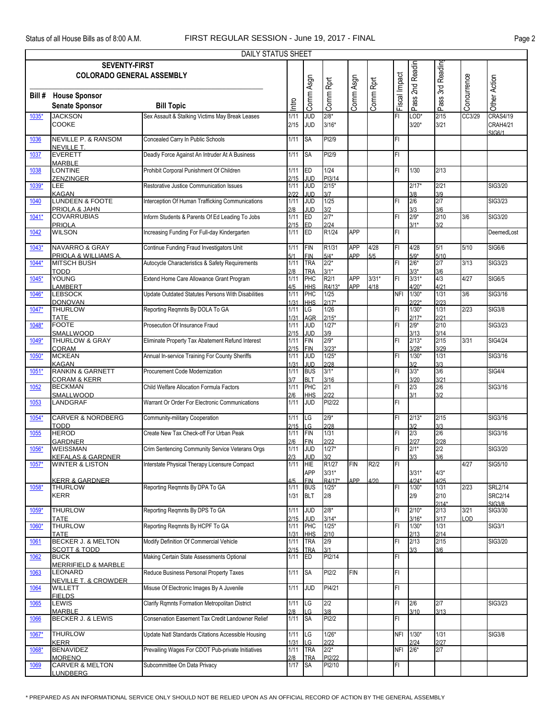|         | DAILY STATUS SHEET<br><b>SEVENTY-FIRST</b>                 |                                                    |              |                          |                   |            |           |               |                    |                  |             |                 |  |
|---------|------------------------------------------------------------|----------------------------------------------------|--------------|--------------------------|-------------------|------------|-----------|---------------|--------------------|------------------|-------------|-----------------|--|
|         |                                                            |                                                    |              |                          |                   |            |           |               |                    |                  |             |                 |  |
|         | <b>COLORADO GENERAL ASSEMBLY</b>                           |                                                    |              |                          |                   |            |           |               | Pass 2nd Readin    | Pass 3rd Reading |             |                 |  |
|         |                                                            |                                                    |              | Comm Asgn                | Comm Rprt         | Comm Asgn  | Comm Rprt | Fiscal Impact |                    |                  | Concurrence | Other Action    |  |
|         |                                                            |                                                    |              |                          |                   |            |           |               |                    |                  |             |                 |  |
| Bill #  | <b>House Sponsor</b>                                       |                                                    |              |                          |                   |            |           |               |                    |                  |             |                 |  |
|         | <b>Senate Sponsor</b>                                      | <b>Bill Topic</b>                                  | Intro        |                          |                   |            |           |               |                    |                  |             |                 |  |
| 1035*   | <b>JACKSON</b>                                             | Sex Assault & Stalking Victims May Break Leases    | 1/11         | JUD                      | $2/8*$            |            |           | FI            | LOD*               | 2/15             | CC3/29      | <b>CRAS4/19</b> |  |
|         | <b>COOKE</b>                                               |                                                    | 2/15         | <b>JUD</b>               | $3/16*$           |            |           |               | $3/20*$            | 3/21             |             | CRAH4/21        |  |
|         |                                                            |                                                    |              |                          |                   |            |           |               |                    |                  |             | SIG6/1          |  |
| 1036    | <b>NEVILLE P. &amp; RANSOM</b>                             | Concealed Carry In Public Schools                  | 1/11         | <b>SA</b>                | PI2/9             |            |           | FI            |                    |                  |             |                 |  |
| 1037    | <b>NEVILLE T.</b><br><b>EVERETT</b>                        | Deadly Force Against An Intruder At A Business     | 1/11         | <b>SA</b>                | PI <sub>2/9</sub> |            |           | FI            |                    |                  |             |                 |  |
|         | <b>MARBLE</b>                                              |                                                    |              |                          |                   |            |           |               |                    |                  |             |                 |  |
| 1038    | LONTINE                                                    | Prohibit Corporal Punishment Of Children           | 1/11         | <b>ED</b>                | 1/24              |            |           | FI            | 1/30               | 2/13             |             |                 |  |
|         | <b>ZENZINGER</b>                                           |                                                    | 2/15         | <b>JUD</b>               | PI3/14            |            |           |               |                    |                  |             |                 |  |
| 1039*   | <b>LEE</b>                                                 | Restorative Justice Communication Issues           | 1/11         | <b>JUD</b>               | $2/15*$           |            |           |               | $2/17*$            | 2/21             |             | SIG3/20         |  |
|         | <b>KAGAN</b>                                               |                                                    | 2122         | JUD                      | 3/7               |            |           |               | 3/8                | 3/9              |             |                 |  |
| 1040    | <b>LUNDEEN &amp; FOOTE</b>                                 | Interception Of Human Trafficking Communications   | 1/11         | <b>JUD</b>               | 1/25              |            |           | FI            | 2/6                | $\frac{2}{7}$    |             | SIG3/23         |  |
|         | PRIOLA & JAHN                                              |                                                    | 2/8          | JUD                      | 3/2               |            |           |               | 3/3                | 3/6              |             |                 |  |
| 1041*   | <b>COVARRUBIAS</b>                                         | Inform Students & Parents Of Ed Leading To Jobs    | 1/11         | ED                       | $2/7*$            |            |           | FI            | $2/9*$             | 2/10             | 3/6         | SIG3/20         |  |
| 1042    | <b>PRIOLA</b><br><b>WILSON</b>                             | Increasing Funding For Full-day Kindergarten       | 2/15<br>1/11 | ED<br>ED                 | 2/24<br>R1/24     | <b>APP</b> |           | FI            | $3/1*$             | 3/2              |             | DeemedLost      |  |
|         |                                                            |                                                    |              |                          |                   |            |           |               |                    |                  |             |                 |  |
| 1043*   | <b>NAVARRO &amp; GRAY</b>                                  | Continue Funding Fraud Investigators Unit          | 1/11         | FIN                      | R1/31             | APP        | 4/28      | FI            | 4/28               | 5/1              | 5/10        | SIG6/6          |  |
|         | PRIOLA & WILLIAMS A.                                       |                                                    | 5/1          | <b>FIN</b>               | $5/4*$            | APP        | 5/5       |               | $5/9*$             | 5/10             |             |                 |  |
| 1044*   | <b>MITSCH BUSH</b>                                         | Autocycle Characteristics & Safety Requirements    | $1/11$       | <b>TRA</b>               | $2/2*$            |            |           | FI            | $2/6*$             | 2/7              | 3/13        | SIG3/23         |  |
|         | <b>TODD</b>                                                |                                                    | 2/8          | <b>TRA</b>               | $3/1*$            |            |           |               | $3/3*$             | 3/6              |             |                 |  |
| 1045*   | YOUNG                                                      | Extend Home Care Allowance Grant Program           | 1/11         | PHC                      | R2/1              | <b>APP</b> | $3/31*$   | FI            | $3/31*$            | 4/3              | 4/27        | <b>SIG6/5</b>   |  |
|         | LAMBERT                                                    |                                                    | 4/5          | <b>HHS</b>               | R4/13*            | APP        | 4/18      |               | $4/20*$            | 4/21             |             |                 |  |
| 1046*   | <b>LEBSOCK</b>                                             | Update Outdated Statutes Persons With Disabilities | 1/11         | PHC                      | 1/25              |            |           | <b>NFI</b>    | $1/30*$            | 1/31             | 3/6         | SIG3/16         |  |
| 1047*   | <b>DONOVAN</b><br><b>THURLOW</b>                           | Reporting Reqmnts By DOLA To GA                    | 1/31<br>1/11 | <b>HHS</b><br>LG         | $2/17*$<br>1/26   |            |           | FI            | $2/22*$<br>$1/30*$ | 2/23<br>1/31     | 2/23        | <b>SIG3/8</b>   |  |
|         | <b>TATE</b>                                                |                                                    | 1/31         | AGR                      | $2/15*$           |            |           |               | $2/17*$            | 2/21             |             |                 |  |
| 1048*   | <b>FOOTE</b>                                               | Prosecution Of Insurance Fraud                     | 1/11         | <b>ODC</b>               | $1/27*$           |            |           | FI            | $2/9*$             | 2/10             |             | SIG3/23         |  |
|         | SMALLWOOD                                                  |                                                    | 2/15         | JUD                      | 3/9               |            |           |               | 3/13               | 3/14             |             |                 |  |
| 1049*   | <b>THURLOW &amp; GRAY</b>                                  | Eliminate Property Tax Abatement Refund Interest   | 1/11         | <b>FIN</b>               | $2/9*$            |            |           | FI            | $2/13*$            | 2/15             | 3/31        | <b>SIG4/24</b>  |  |
|         | CORAM                                                      |                                                    | 2/15         | <b>FIN</b>               | $3/23*$           |            |           |               | $3/28*$            | 3/29             |             |                 |  |
| 1050*   | <b>MCKEAN</b>                                              | Annual In-service Training For County Sheriffs     | 1/11         | <b>JUD</b>               | $1/25*$           |            |           | FI            | $1/30*$            | 1/31             |             | SIG3/16         |  |
|         | <b>KAGAN</b>                                               |                                                    | 1/31         | JUD                      | 2/28              |            |           |               | 3/2                | 3/3              |             |                 |  |
| 1051*   | <b>RANKIN &amp; GARNETT</b>                                | Procurement Code Modernization                     | 1/11         | <b>BUS</b>               | $3/1*$            |            |           | FI            | $3/3*$             | 3/6              |             | <b>SIG4/4</b>   |  |
| 1052    | <b>CORAM &amp; KERR</b><br><b>BECKMAN</b>                  | Child Welfare Allocation Formula Factors           | 3/7<br>1/11  | <b>BLT</b><br>PHC        | 3/16<br>2/1       |            |           | FI            | 3/20<br>2/3        | 3/21<br>2/6      |             | SIG3/16         |  |
|         | <b>SMALLWOOD</b>                                           |                                                    | 2/6          | <b>HHS</b>               | 2/22              |            |           |               | 3/1                | 3/2              |             |                 |  |
| 1053    | LANDGRAF                                                   | Warrant Or Order For Electronic Communications     | 1/11         | JUD                      | PI2/22            |            |           | FI            |                    |                  |             |                 |  |
|         |                                                            |                                                    |              |                          |                   |            |           |               |                    |                  |             |                 |  |
| $1054*$ | <b>CARVER &amp; NORDBERG</b>                               | Community-military Cooperation                     | 1/11         | LG                       | $2/9*$            |            |           | FI            | $2/13*$            | 2/15             |             | SIG3/16         |  |
|         | <b>TODD</b>                                                |                                                    | 2/15         | LG                       | 2/28              |            |           |               | 3/2                | 3/3              |             |                 |  |
| 1055    | <b>HEROD</b>                                               | Create New Tax Check-off For Urban Peak            | 1/11         | FIN                      | 1/31              |            |           | FI            | 2/3                | 2/6              |             | SIG3/16         |  |
|         | <b>GARDNER</b>                                             |                                                    | 216          | FIN                      | 2122              |            |           |               | 2127               | 2/28             |             |                 |  |
| 1056*   | <b>WEISSMAN</b>                                            | Crim Sentencing Community Service Veterans Orgs    | 1/11         | <b>JUD</b>               | $1/27*$           |            |           | FI            | $2/1*$             | 2/2              |             | SIG3/20         |  |
| $1057*$ | <b>KEFALAS &amp; GARDNER</b><br><b>WINTER &amp; LISTON</b> | Interstate Physical Therapy Licensure Compact      | 2/3<br>1/11  | JUD<br>HIE               | 3/2<br>R1/27      | <b>FIN</b> | R2/2      | FI            | 3/3                | 3/6              | 4/27        | SIG5/10         |  |
|         |                                                            |                                                    |              | <b>APP</b>               | $3/31*$           |            |           |               | $3/31*$            | $4/3*$           |             |                 |  |
|         | <b>KERR &amp; GARDNER</b>                                  |                                                    | 4/5          | <b>FIN</b>               | R4/17*            | APP        | 4/20      |               | $4/24*$            | 4/25             |             |                 |  |
| 1058*   | <b>THURLOW</b>                                             | Reporting Regmnts By DPA To GA                     | 1/11         | <b>BUS</b>               | $1/25*$           |            |           | FI            | $1/30*$            | 1/31             | 2/23        | <b>SRL2/14</b>  |  |
|         | <b>KERR</b>                                                |                                                    | 1/31         | <b>BLT</b>               | 2/8               |            |           |               | 2/9                | 2/10             |             | <b>SRC2/14</b>  |  |
|         |                                                            |                                                    |              |                          |                   |            |           |               |                    | $2/14*$          |             | <b>SIG3/8</b>   |  |
| 1059*   | <b>THURLOW</b>                                             | Reporting Reqmnts By DPS To GA                     | 1/11         | <b>JUD</b>               | $2/8*$            |            |           | FI            | $2/10*$            | 2/13             | 3/21        | SIG3/30         |  |
|         | <b>TATE</b>                                                | Reporting Regmnts By HCPF To GA                    | 2/15         | <b>JUD</b>               | $3/14*$           |            |           |               | $3/16*$            | 3/17             | OD.         |                 |  |
| 1060*   | <b>THURLOW</b><br><b>TATE</b>                              |                                                    | 1/11         | PHC                      | $1/25*$           |            |           | FI            | $1/30*$            | 1/31             |             | SIG3/1          |  |
| 1061    | <b>BECKER J. &amp; MELTON</b>                              | Modify Definition Of Commercial Vehicle            | 1/31<br>1/11 | <b>HHS</b><br><b>TRA</b> | 2/10<br>2/9       |            |           | FI            | 2/13<br>2/13       | 2/14<br>2/15     |             | SIG3/20         |  |
|         | <b>SCOTT &amp; TODD</b>                                    |                                                    | 2/15         | <b>TRA</b>               | 3/1               |            |           |               | 3/3                | 3/6              |             |                 |  |
| 1062    | <b>BUCK</b>                                                | Making Certain State Assessments Optional          | 1/11         | ED                       | PI2/14            |            |           | FI            |                    |                  |             |                 |  |
|         | <b>MERRIFIELD &amp; MARBLE</b>                             |                                                    |              |                          |                   |            |           |               |                    |                  |             |                 |  |
| 1063    | LEONARD                                                    | Reduce Business Personal Property Taxes            | 1/11         | <b>SA</b>                | PI2/2             | FIN        |           | FI            |                    |                  |             |                 |  |
|         | <b>NEVILLE T. &amp; CROWDER</b>                            |                                                    |              |                          |                   |            |           |               |                    |                  |             |                 |  |
| 1064    | <b>WILLETT</b>                                             | Misuse Of Electronic Images By A Juvenile          | 1/11         | <b>JUD</b>               | PI4/21            |            |           | FI.           |                    |                  |             |                 |  |
|         | <b>FIELDS</b>                                              |                                                    |              |                          |                   |            |           |               |                    |                  |             |                 |  |
| 1065    | LEWIS                                                      | Clarify Rqmnts Formation Metropolitan District     | 1/11         | LG                       | 2/2               |            |           | FI            | 2/6                | 2/7              |             | SIG3/23         |  |
| 1066    | MARBLE<br><b>BECKER J. &amp; LEWIS</b>                     | Conservation Easement Tax Credit Landowner Relief  | 2/8<br>1/11  | LG<br><b>SA</b>          | 3/8<br>PI2/2      |            |           | FI            | 3/10               | 3/13             |             |                 |  |
|         |                                                            |                                                    |              |                          |                   |            |           |               |                    |                  |             |                 |  |
| 1067*   | <b>THURLOW</b>                                             | Update Natl Standards Citations Accessible Housing | 1/11         | LG                       | $1/26*$           |            |           | NFI           | $1/30*$            | 1/31             |             | <b>SIG3/8</b>   |  |
|         | <b>KERR</b>                                                |                                                    | 1/31         | LG                       | 2/22              |            |           |               | 2/24               | 2/27             |             |                 |  |
| 1068*   | <b>BENAVIDEZ</b>                                           | Prevailing Wages For CDOT Pub-private Initiatives  | 1/11         | <b>TRA</b>               | $2/2*$            |            |           | NFI           | $2/6*$             | 2/7              |             |                 |  |
|         | <b>MORENO</b>                                              |                                                    | 2/8          | <b>TRA</b>               | PI2/22            |            |           |               |                    |                  |             |                 |  |
| 1069    | <b>CARVER &amp; MELTON</b>                                 | Subcommittee On Data Privacy                       | 1/17         | <b>SA</b>                | PI2/10            |            |           | FI            |                    |                  |             |                 |  |
|         | <b>LUNDBERG</b>                                            |                                                    |              |                          |                   |            |           |               |                    |                  |             |                 |  |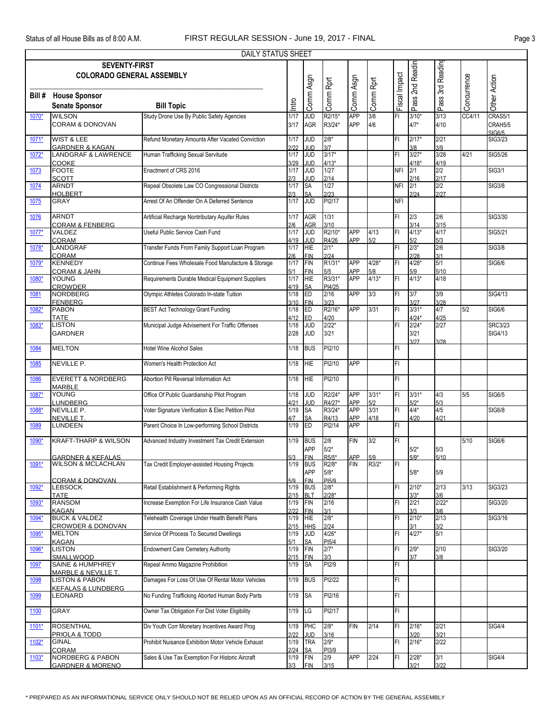|                                                                                                 | DAILY STATUS SHEET                                                              |                                                                                      |                      |                                 |                               |                          |                    |               |                        |                    |             |                           |  |
|-------------------------------------------------------------------------------------------------|---------------------------------------------------------------------------------|--------------------------------------------------------------------------------------|----------------------|---------------------------------|-------------------------------|--------------------------|--------------------|---------------|------------------------|--------------------|-------------|---------------------------|--|
| Pass 3rd Reading<br>Pass 2nd Readin<br><b>SEVENTY-FIRST</b><br><b>COLORADO GENERAL ASSEMBLY</b> |                                                                                 |                                                                                      |                      |                                 |                               |                          |                    |               |                        |                    |             |                           |  |
| Bill#                                                                                           | <b>House Sponsor</b><br><b>Senate Sponsor</b>                                   | <b>Bill Topic</b>                                                                    | Intro                | Comm Asgn                       | Comm Rprt                     | Comm Asgn                | Comm Rprt          | Fiscal Impact |                        |                    | Concurrence | Other Action              |  |
| 1070*                                                                                           | <b>WILSON</b><br><b>CORAM &amp; DONOVAN</b>                                     | Study Drone Use By Public Safety Agencies                                            | 1/17<br>3/17         | JUD<br>AGR                      | R2/15*<br>R3/24*              | <b>APP</b><br><b>APP</b> | 3/8<br>4/6         | FI            | $3/10*$<br>$4/7*$      | 3/13<br>4/10       | CC4/11      | CRAS5/1<br>CRAH5/5        |  |
| 1071*                                                                                           | WIST & LEE                                                                      | Refund Monetary Amounts After Vacated Conviction                                     | 1/17                 | <b>JUD</b>                      | $2/8*$                        |                          |                    | FL            | $2/17*$                | 2/21               |             | <b>SIG6/5</b><br>SIG3/23  |  |
| 1072*                                                                                           | <b>GARDNER &amp; KAGAN</b><br><b>LANDGRAF &amp; LAWRENCE</b>                    | Human Trafficking Sexual Servitude                                                   | 2122<br>1/17         | <b>JUD</b><br><b>JUD</b>        | 3/7<br>$3/17*$                |                          |                    | FI            | 3/8<br>$3/27*$         | 3/9<br>3/28        | 4/21        | SIG5/26                   |  |
| 1073                                                                                            | COOKE<br><b>FOOTE</b>                                                           | Enactment of CRS 2016                                                                | 3/29<br>1/17         | JUD<br><b>JUD</b>               | $4/13*$<br>1/27               |                          |                    | <b>NFI</b>    | $4/18*$<br>2/1         | 4/19<br>2/2        |             | SIG3/1                    |  |
| 1074                                                                                            | <b>SCOTT</b><br><b>ARNDT</b>                                                    | Repeal Obsolete Law CO Congressional Districts                                       | 2/3<br>1/17          | <b>JUD</b><br><b>SA</b>         | 2/14<br>1/27                  |                          |                    | <b>NFI</b>    | 2/16<br>2/1            | 2/17<br>2/2        |             | <b>SIG3/8</b>             |  |
| 1075                                                                                            | <b>HOLBERT</b><br><b>GRAY</b>                                                   | Arrest Of An Offender On A Deferred Sentence                                         | 2/3<br>1/17          | <b>SA</b><br><b>JUD</b>         | 2/23<br>PI2/17                |                          |                    | <b>NFI</b>    | 2/24                   | 2/27               |             |                           |  |
| 1076                                                                                            | <b>ARNDT</b><br><b>CORAM &amp; FENBERG</b>                                      | Artificial Recharge Nontributary Aquifer Rules                                       | 1/17<br>2/6          | <b>AGR</b><br>AGR               | 1/31<br>3/10                  |                          |                    | FI            | 2/3<br>3/14            | 2/6<br>3/15        |             | SIG3/30                   |  |
| 1077*                                                                                           | VALDEZ                                                                          | Useful Public Service Cash Fund                                                      | 1/17                 | JUD                             | R2/10*                        | <b>APP</b>               | 4/13               | FL            | $4/13*$                | 4/17               |             | SIG5/21                   |  |
| 1078*                                                                                           | <b>CORAM</b><br>LANDGRAF<br><b>CORAM</b>                                        | Transfer Funds From Family Support Loan Program                                      | 4/19<br>1/17         | JUD<br><b>HIE</b><br><b>FIN</b> | R4/26<br>$2/1*$<br>2/24       | APP                      | 5/2                | FL            | 5/2<br>$2/3*$<br>2/28  | 5/3<br>2/6<br>3/1  |             | <b>SIG3/8</b>             |  |
| 1079*                                                                                           | <b>KENNEDY</b><br>CORAM & JAHN                                                  | Continue Fees Wholesale Food Manufacture & Storage                                   | 2/6<br>1/17<br>5/1   | <b>FIN</b>                      | R1/31*                        | APP                      | $4/28*$            | FL            | $4/28*$                | 5/1<br>5/10        |             | SIG6/6                    |  |
| 1080*                                                                                           | <b>YOUNG</b><br><b>CROWDER</b>                                                  | Requirements Durable Medical Equipment Suppliers                                     | 1/17<br>4/19         | FIN<br>HIE<br><b>SA</b>         | 5/5<br>R3/31*<br>PI4/25       | <b>APP</b><br><b>APP</b> | $\frac{5/8}{4/13}$ | FI            | 5/9<br>$4/13*$         | 4/18               |             |                           |  |
| 1081                                                                                            | <b>NORDBERG</b><br><b>FENBERG</b>                                               | Olympic Athletes Colorado In-state Tuition                                           | 1/18<br>3/10         | ED<br><b>FIN</b>                | 2/16<br>3/23                  | <b>APP</b>               | 3/3                | FL            | 3/7<br>3/27            | 3/9<br>3/28        |             | SIG4/13                   |  |
| 1082*                                                                                           | <b>PABON</b><br><b>TATE</b>                                                     | <b>BEST Act Technology Grant Funding</b>                                             | 1/18<br>4/12         | ED<br>ED                        | R2/16*<br>4/20                | <b>APP</b>               | 3/31               | FL            | $3/31*$<br>$4/24*$     | 4/7<br>4/25        | 5/2         | SIG6/6                    |  |
| 1083*                                                                                           | <b>LISTON</b><br><b>GARDNER</b>                                                 | Municipal Judge Advisement For Traffic Offenses                                      | 1/18<br>2/28         | JUD<br><b>JUD</b>               | $2/22*$<br>3/21               |                          |                    | FI            | $2/24*$<br>3/21        | 2/27               |             | <b>SRC3/23</b><br>SIG4/13 |  |
| 1084                                                                                            | <b>MELTON</b>                                                                   | <b>Hotel Wine Alcohol Sales</b>                                                      | 1/18                 | <b>BUS</b>                      | PI2/10                        |                          |                    | FL            | 3/27                   | 3/28               |             |                           |  |
| 1085                                                                                            | NEVILLE P.                                                                      | Women's Health Protection Act                                                        | 1/18                 | <b>HIE</b>                      | PI2/10                        | <b>APP</b>               |                    | FI.           |                        |                    |             |                           |  |
| 1086                                                                                            | <b>EVERETT &amp; NORDBERG</b><br><b>MARBLE</b>                                  | Abortion Pill Reversal Information Act                                               | 1/18                 | HIE                             | PI2/10                        |                          |                    | FL            |                        |                    |             |                           |  |
| 1087*                                                                                           | <b>YOUNG</b><br><b>LUNDBERG</b>                                                 | Office Of Public Guardianship Pilot Program                                          | 1/18<br>4/21         | JUD<br>JUD                      | R2/24*<br>R4/27*              | <b>APP</b><br><b>APP</b> | $3/31*$<br>5/2     | FI            | $3/31*$<br>$5/2*$      | 4/3<br>5/3         | 5/5         | SIG6/5                    |  |
| 1088                                                                                            | NEVILLE P.<br>NEVILLE T.                                                        | Voter Signature Verification & Elec Petition Pilot                                   | 1/19<br>4/7          | <b>SA</b><br>SΑ                 | R3/24*<br>R4/13               | <b>APP</b><br><b>APP</b> | 3/31<br>4/18       | FL            | $4/4*$<br>4/20         | 4/5<br>4/21        |             | SIG6/8                    |  |
| 1089                                                                                            | LUNDEEN                                                                         | Parent Choice In Low-performing School Districts                                     | 1/19                 | ED                              | PI2/14                        | <b>APP</b>               |                    | FL            |                        |                    |             |                           |  |
| 1090*                                                                                           | <b>KRAFT-THARP &amp; WILSON</b>                                                 | Advanced Industry Investment Tax Credit Extension                                    | 1/19                 | <b>BUS</b><br>APP               | 2/8<br>$5/2*$                 | <b>FIN</b>               | 3/2                | FI            | $5/2*$                 | 5/3                | 5/10        | SIG6/6                    |  |
| 1091*                                                                                           | GARDNER & KEEALAS<br><b>WILSON &amp; MCLACHLAN</b>                              | Tax Credit Employer-assisted Housing Projects                                        | 5/3<br>1/19          | <b>FIN</b><br><b>BUS</b>        | $R5/5*$<br>R2/8*              | APP<br><b>FIN</b>        | 5/9<br>R3/2*       | FI            | $5/9*$                 | 5/10               |             |                           |  |
|                                                                                                 | <b>CORAM &amp; DONOVAN</b>                                                      |                                                                                      | 5/9                  | APP<br><b>FIN</b>               | $5/8^{\star}$<br>PI5/9        |                          |                    |               | $5/8*$                 | 5/9                |             |                           |  |
| 1092*                                                                                           | <b>LEBSOCK</b><br><b>TATE</b>                                                   | Retail Establishment & Performing Rights                                             | 1/19<br>2/15         | <b>BUS</b><br><b>BLT</b>        | $2/8*$<br>$2/28*$             |                          |                    | FI            | $2/10*$<br>$3/3*$      | 2/13<br>3/6        | 3/13        | <b>SIG3/23</b>            |  |
| 1093*                                                                                           | RANSOM<br><b>KAGAN</b><br><b>BUCK &amp; VALDEZ</b>                              | Increase Exemption For Life Insurance Cash Value                                     | 1/19<br>2/22         | <b>FIN</b><br><b>FIN</b>        | 2/16<br>3/1<br>$2/8*$         |                          |                    | FI            | 2/21<br>3/3<br>$2/10*$ | $2/22*$<br>3/6     |             | SIG3/20                   |  |
| 1094*                                                                                           | <b>CROWDER &amp; DONOVAN</b>                                                    | Telehealth Coverage Under Health Benefit Plans                                       | 1/19<br>2/15<br>1/19 | <b>HIE</b><br><b>HHS</b>        | 2/24                          |                          |                    | FL            | 3/1<br>$4/27*$         | 2/13<br>3/2<br>5/1 |             | SIG3/16                   |  |
| 1095*                                                                                           | <b>MELTON</b><br><b>KAGAN</b><br><b>LISTON</b>                                  | Service Of Process To Secured Dwellings                                              | 5/1                  | <b>JUD</b><br>SA                | $4/26*$<br>PI <sub>5</sub> /4 |                          |                    | FI            |                        |                    |             |                           |  |
| 1096*                                                                                           | <b>SMALLWOOD</b>                                                                | <b>Endowment Care Cemetery Authority</b>                                             | 1/19<br>2/15         | <b>FIN</b><br><b>FIN</b>        | $2/7*$<br>3/3                 |                          |                    | FI            | $2/9*$<br>3/7          | 2/10<br>3/8        |             | SIG3/20                   |  |
| 1097                                                                                            | SAINE & HUMPHREY<br><b>MARBLE &amp; NEVILLE T.</b><br><b>LISTON &amp; PABON</b> | Repeal Ammo Magazine Prohibition<br>Damages For Loss Of Use Of Rental Motor Vehicles | 1/19                 | <b>SA</b>                       | PI2/9<br>PI2/22               |                          |                    | FL<br>FL      |                        |                    |             |                           |  |
| 1098                                                                                            | <b>KEFALAS &amp; LUNDBERG</b><br>LEONARD                                        | No Funding Trafficking Aborted Human Body Parts                                      | 1/19<br>1/19         | <b>BUS</b><br><b>SA</b>         | PI2/16                        |                          |                    | FI            |                        |                    |             |                           |  |
| 1099<br>1100                                                                                    | <b>GRAY</b>                                                                     | Owner Tax Obligation For Dist Voter Eligibility                                      | 1/19                 | LG                              | PI2/17                        |                          |                    | FL            |                        |                    |             |                           |  |
| 1101*                                                                                           | <b>ROSENTHAL</b>                                                                | Div Youth Corr Monetary Incentives Award Prog                                        | 1/19                 | PHC                             | $2/8*$                        | <b>FIN</b>               | 2/14               | FI            | $2/16*$                | 2/21               |             | <b>SIG4/4</b>             |  |
| $1102*$                                                                                         | PRIOLA & TODD<br><b>GINAL</b>                                                   | Prohibit Nuisance Exhibition Motor Vehicle Exhaust                                   | 2122<br>1/19         | <b>JUD</b><br><b>TRA</b>        | 3/16<br>$2/9*$                |                          |                    | FI            | 3/20<br>$2/16*$        | 3/21<br>2/22       |             |                           |  |
| $1103*$                                                                                         | CORAM<br><b>NORDBERG &amp; PABON</b>                                            | Sales & Use Tax Exemption For Historic Aircraft                                      | 2/24<br>1/19         | <b>SA</b><br>FIN                | PI3/9<br>2/9                  | <b>APP</b>               | 2/24               | FI            | $2/28*$                | 3/1                |             | <b>SIG4/4</b>             |  |
|                                                                                                 | <b>GARDNER &amp; MORENO</b>                                                     |                                                                                      | 3/3                  | <b>FIN</b>                      | 3/15                          |                          |                    |               | 3/21                   | 3/22               |             |                           |  |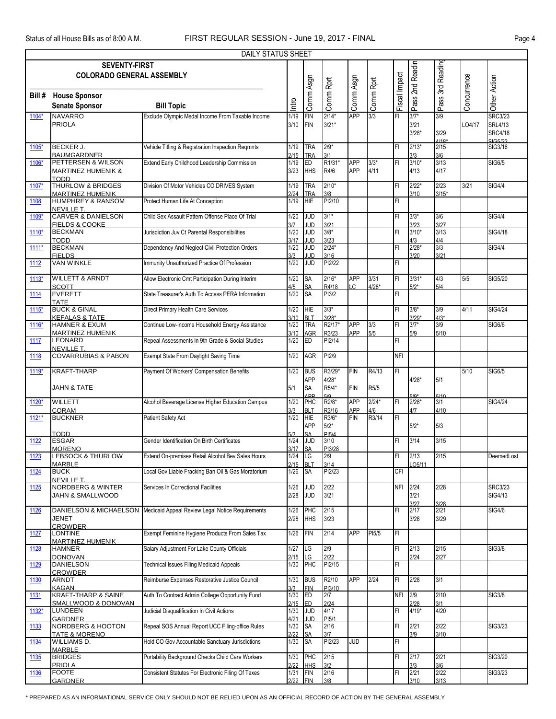|         |                                                             | <b>DAILY STATUS SHEET</b>                          |                     |                                       |                            |                   |                    |               |                           |                        |             |                                                               |
|---------|-------------------------------------------------------------|----------------------------------------------------|---------------------|---------------------------------------|----------------------------|-------------------|--------------------|---------------|---------------------------|------------------------|-------------|---------------------------------------------------------------|
|         | <b>SEVENTY-FIRST</b><br><b>COLORADO GENERAL ASSEMBLY</b>    |                                                    |                     |                                       |                            |                   |                    |               | Pass 2nd Readin           | Pass 3rd Reading       |             |                                                               |
| Bill#   | <b>House Sponsor</b><br><b>Senate Sponsor</b>               | <b>Bill Topic</b>                                  | Intro               | Comm Asgn                             | Comm Rprt                  | Comm Asgn         | Comm Rprt          | Fiscal Impact |                           |                        | Concurrence | Other Action                                                  |
| 1104*   | <b>NAVARRO</b><br><b>PRIOLA</b>                             | Exclude Olympic Medal Income From Taxable Income   | 1/19<br>3/10        | <b>FIN</b><br><b>FIN</b>              | $2/14*$<br>$3/21*$         | <b>APP</b>        | 3/3                | FI            | $3/7*$<br>3/21<br>$3/28*$ | 3/9<br>3/29<br>$4/18*$ | LO4/17      | <b>SRC3/23</b><br><b>SRL4/13</b><br><b>SRC4/18</b><br>SIG5/22 |
| 1105*   | <b>BECKER J.</b><br><b>BAUMGARDNER</b>                      | Vehicle Titling & Registration Inspection Regmnts  | 1/19<br>2/15        | <b>TRA</b><br><b>TRA</b>              | $2/9*$<br>3/1              |                   |                    | FI            | $2/13*$<br>3/3            | 2/15<br>3/6            |             | SIG3/16                                                       |
| 1106*   | PETTERSEN & WILSON<br><b>MARTINEZ HUMENIK &amp;</b><br>TODD | Extend Early Childhood Leadership Commission       | 1/19<br>3/23        | ED<br><b>HHS</b>                      | R1/31*<br>R4/6             | <b>APP</b><br>APP | $3/3*$<br>4/11     | FI            | $3/10*$<br>4/13           | 3/13<br>4/17           |             | <b>SIG6/5</b>                                                 |
| 1107*   | <b>THURLOW &amp; BRIDGES</b><br><b>MARTINEZ HUMENIK</b>     | Division Of Motor Vehicles CO DRIVES System        | 1/19<br>2/24        | <b>TRA</b><br><b>TRA</b>              | $2/10*$<br>3/8             |                   |                    | FI            | $2/22*$<br>3/10           | 2/23<br>$3/15*$        | 3/21        | <b>SIG4/4</b>                                                 |
| 1108    | <b>HUMPHREY &amp; RANSOM</b><br><b>NEVILLE T.</b>           | Protect Human Life At Conception                   | 1/19                | <b>HIE</b>                            | PI2/10                     |                   |                    | FI            |                           |                        |             |                                                               |
| 1109*   | <b>CARVER &amp; DANIELSON</b><br>FIELDS & COOKE             | Child Sex Assault Pattern Offense Place Of Trial   | 1/20<br>3/7         | <b>JUD</b><br><b>JUD</b>              | $3/1*$<br>3/21             |                   |                    | FI            | $3/3*$<br>3/23            | 3/6<br>3/27            |             | <b>SIG4/4</b>                                                 |
| 1110*   | <b>BECKMAN</b><br><b>TODD</b>                               | Jurisdiction Juv Ct Parental Responsibilities      | 1/20<br>3/17        | JUD<br>JUD                            | $3/8*$<br>3/23             |                   |                    | FI            | $3/10*$<br>4/3            | 3/13<br>4/4            |             | <b>SIG4/18</b>                                                |
| $1111*$ | <b>BECKMAN</b><br><b>FIELDS</b>                             | Dependency And Neglect Civil Protection Orders     | 1/20<br>3/3         | <b>JUD</b><br>JUD                     | $2/24*$<br>3/16            |                   |                    | FI            | $2/28*$<br>3/20           | 3/3<br>3/21            |             | <b>SIG4/4</b>                                                 |
| 1112    | <b>VAN WINKLE</b>                                           | Immunity Unauthorized Practice Of Profession       | 1/20                | <b>JUD</b>                            | PI2/22                     |                   |                    | FI.           |                           |                        |             |                                                               |
| $1113*$ | <b>WILLETT &amp; ARNDT</b><br><b>SCOTT</b>                  | Allow Electronic Cmt Participation During Interim  | 1/20<br>4/5         | <b>SA</b><br><b>SA</b>                | $2/16*$<br>R4/18           | <b>APP</b><br>IC. | 3/31<br>$4/28*$    | FL            | $3/31*$<br>$5/2*$         | 4/3<br>5/4             | 5/5         | <b>SIG5/20</b>                                                |
| 1114    | <b>EVERETT</b><br>TATE                                      | State Treasurer's Auth To Access PERA Information  | 1/20                | <b>SA</b>                             | PI3/2                      |                   |                    | FI            |                           |                        |             |                                                               |
| $1115*$ | <b>BUCK &amp; GINAL</b><br><b>KEFALAS &amp; TATE</b>        | Direct Primary Health Care Services                | 1/20<br>3/10        | <b>HIE</b><br><b>BLT</b>              | $3/3*$<br>$3/28*$          |                   |                    | FI            | $3/8*$<br>$3/29*$         | 3/9<br>$4/3*$          | 4/11        | SIG4/24                                                       |
| 1116*   | <b>HAMNER &amp; EXUM</b><br><b>MARTINEZ HUMENIK</b>         | Continue Low-income Household Energy Assistance    | 1/20<br>3/10        | <b>TRA</b><br><b>AGR</b>              | R2/17*<br>R3/23            | APP<br>APP        | 3/3<br>5/5         | FI            | $3/7*$<br>5/9             | 3/9<br>5/10            |             | SIG6/6                                                        |
| 1117    | LEONARD<br><b>NEVILLE T.</b>                                | Repeal Assessments In 9th Grade & Social Studies   | 1/20                | <b>ED</b>                             | PI2/14                     |                   |                    | FI.           |                           |                        |             |                                                               |
| 1118    | <b>COVARRUBIAS &amp; PABON</b>                              | Exempt State From Daylight Saving Time             | 1/20                | AGR                                   | PI2/9                      |                   |                    | <b>NFI</b>    |                           |                        |             |                                                               |
| 1119*   | <b>KRAFT-THARP</b><br><b>JAHN &amp; TATE</b>                | Payment Of Workers' Compensation Benefits          | 1/20<br>5/1         | <b>BUS</b><br><b>APP</b><br><b>SA</b> | R3/29*<br>$4/28*$<br>R5/4* | FIN<br><b>FIN</b> | R4/13<br>R5/5      | FL            | $4/28*$                   | 5/1                    | 5/10        | <b>SIG6/5</b>                                                 |
| 1120*   | <b>WILLETT</b>                                              | Alcohol Beverage License Higher Education Campus   | 1/20                | <b>ADD</b><br>PHC                     | 510<br>R2/8*               | APP               | $2/24*$            | FL            | $5/0*$<br>$2/28*$         | 5110<br>3/1            |             | SIG4/24                                                       |
| 1121*   | CORAM<br><b>BUCKNER</b>                                     | Patient Safety Act                                 | 3/3<br>1/20         | <b>BLT</b><br><b>HIE</b>              | R3/16<br>R3/6*             | APP<br><b>FIN</b> | 4/6<br>R3/14       | FL            | 4/7                       | 4/10                   |             |                                                               |
|         | TODD                                                        |                                                    | 5/3                 | <b>APP</b><br><b>SA</b>               | $5/2*$<br>PI5/4            |                   |                    |               | $5/2*$                    | 5/3                    |             |                                                               |
| 1122    | <b>ESGAR</b><br><b>MORENO</b>                               | Gender Identification On Birth Certificates        | 1/24<br>3/17        | JUD<br><b>SA</b>                      | 3/10<br>PI3/28             |                   |                    | FI            | 3/14                      | 3/15                   |             |                                                               |
| 1123    | <b>LEBSOCK &amp; THURLOW</b><br><b>MARBLE</b>               | Extend On-premises Retail Alcohol Bev Sales Hours  | 1/24 LG<br>2/15 BLT |                                       | 2/9<br>3/14                |                   |                    | FI            | 2/13<br>.05/11            | 2/15                   |             | DeemedLost                                                    |
| 1124    | <b>BUCK</b><br>NEVILLE T.                                   | Local Gov Liable Fracking Ban Oil & Gas Moratorium | 1/26                | <b>SA</b>                             | PI2/23                     |                   |                    | CFI           |                           |                        |             |                                                               |
| 1125    | <b>NORDBERG &amp; WINTER</b><br>JAHN & SMALLWOOD            | Services In Correctional Facilities                | 1/26<br>2/28        | <b>JUD</b><br><b>JUD</b>              | 2/22<br>3/21               |                   |                    | NFI 2/24      | 3/21<br>3/27              | 2/28<br>3/28           |             | <b>SRC3/23</b><br>SIG4/13                                     |
| 1126    | DANIELSON & MICHAELSON<br><b>JENET</b><br><b>CROWDER</b>    | Medicaid Appeal Review Legal Notice Requirements   | 1/26<br>2/28        | PHC<br><b>HHS</b>                     | 2/15<br>3/23               |                   |                    | FI            | 2/17<br>3/28              | 2/21<br>3/29           |             | <b>SIG4/6</b>                                                 |
| 1127    | <b>LONTINE</b><br>MARTINEZ HUMENIK                          | Exempt Feminine Hygiene Products From Sales Tax    | 1/26                | <b>FIN</b>                            | 2/14                       | APP               | PI <sub>5</sub> /5 | FI            |                           |                        |             |                                                               |
| 1128    | <b>HAMNER</b><br><b>DONOVAN</b>                             | Salary Adjustment For Lake County Officials        | 1/27<br>2/15        | LG<br>LG                              | 2/9<br>2/22                |                   |                    | FI            | 2/13<br>2/24              | 2/15<br>2/27           |             | <b>SIG3/8</b>                                                 |
| 1129    | <b>DANIELSON</b><br><b>CROWDER</b>                          | <b>Technical Issues Filing Medicaid Appeals</b>    | 1/30                | PHC                                   | PI2/15                     |                   |                    | FI            |                           |                        |             |                                                               |
| 1130    | <b>ARNDT</b><br><b>KAGAN</b>                                | Reimburse Expenses Restorative Justice Council     | 1/30<br>3/3         | <b>BUS</b><br><b>FIN</b>              | R2/10<br>PI3/10            | APP               | 2/24               | FI.           | 2/28                      | 3/1                    |             |                                                               |
| 1131    | <b>KRAFT-THARP &amp; SAINE</b><br>SMALLWOOD & DONOVAN       | Auth To Contract Admin College Opportunity Fund    | 1/30<br>2/15        | ED<br><b>ED</b>                       | 2/7<br>2/24                |                   |                    | NFI 2/9       | 2/28                      | 2/10<br>3/1            |             | <b>SIG3/8</b>                                                 |
| $1132*$ | <b>LUNDEEN</b><br><b>GARDNER</b>                            | Judicial Disqualification In Civil Actions         | 1/30<br>4/21        | <b>JUD</b><br><b>JUD</b>              | 4/17<br>PI <sub>5</sub> /1 |                   |                    | FI            | $4/19*$                   | 4/20                   |             |                                                               |
| 1133    | NORDBERG & HOOTON<br><u>TATE &amp; MORENO</u>               | Repeal SOS Annual Report UCC Filing-office Rules   | 1/30<br>2/22        | <b>SA</b><br><b>SA</b>                | 2/16<br>3/7                |                   |                    | FI            | 2/21<br>3/9               | 2/22<br>3/10           |             | SIG3/23                                                       |
| 1134    | WILLIAMS D.<br><b>MARBLE</b>                                | Hold CO Gov Accountable Sanctuary Jurisdictions    | 1/30                | <b>SA</b>                             | PI2/23                     | <b>JUD</b>        |                    | FI            |                           |                        |             |                                                               |
| 1135    | <b>BRIDGES</b><br><b>PRIOLA</b>                             | Portability Background Checks Child Care Workers   | 1/30<br>2122        | PHC<br><b>HHS</b>                     | 2/15<br>3/2                |                   |                    | FI            | 2/17                      | 2/21<br>3/6            |             | <b>SIG3/20</b>                                                |
| 1136    | <b>FOOTE</b><br><b>GARDNER</b>                              | Consistent Statutes For Electronic Filing Of Taxes | 1/31<br>2/22        | FIN<br><b>FIN</b>                     | 2/16<br>3/8                |                   |                    | FI            | 2/21<br>3/10              | 2/22<br>3/13           |             | <b>SIG3/23</b>                                                |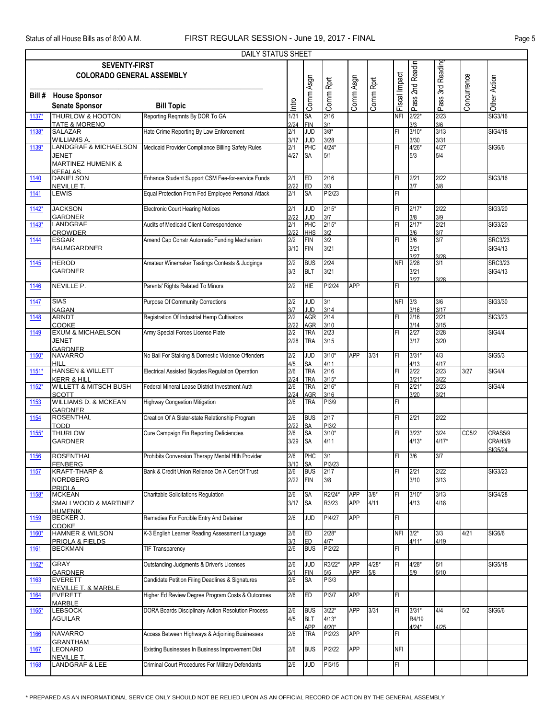|             | DAILY STATUS SHEET                                                                              |                                                    |             |                          |                |            |           |               |                     |              |             |                |  |  |
|-------------|-------------------------------------------------------------------------------------------------|----------------------------------------------------|-------------|--------------------------|----------------|------------|-----------|---------------|---------------------|--------------|-------------|----------------|--|--|
|             | Pass 3rd Reading<br>Pass 2nd Readin<br><b>SEVENTY-FIRST</b><br><b>COLORADO GENERAL ASSEMBLY</b> |                                                    |             |                          |                |            |           |               |                     |              |             |                |  |  |
|             |                                                                                                 |                                                    |             |                          |                |            |           |               |                     |              |             |                |  |  |
|             |                                                                                                 |                                                    |             | Comm Asgn                |                | Comm Asgn  |           | Fiscal Impact |                     |              | Concurrence | Other Action   |  |  |
|             |                                                                                                 |                                                    |             |                          |                |            |           |               |                     |              |             |                |  |  |
| Bill#       | <b>House Sponsor</b>                                                                            |                                                    |             |                          |                |            |           |               |                     |              |             |                |  |  |
|             | <b>Senate Sponsor</b>                                                                           | <b>Bill Topic</b>                                  | Intro       |                          | Comm Rprt      |            | Comm Rprt |               |                     |              |             |                |  |  |
| 1137*       | THURLOW & HOOTON                                                                                | Reporting Regmnts By DOR To GA                     | 1/31        | SA                       | 2/16           |            |           | <b>NFI</b>    | $2/22$ <sup>*</sup> | 2/23         |             | SIG3/16        |  |  |
|             | <b>TATE &amp; MORENO</b>                                                                        |                                                    | 2/24        | <b>FIN</b>               | 3/1            |            |           |               | 3/3                 | 3/6          |             |                |  |  |
| 1138*       | <b>SALAZAR</b>                                                                                  | Hate Crime Reporting By Law Enforcement            | 2/1         | g                        | $3/8*$         |            |           | FL            | $3/10*$             | 3/13         |             | <b>SIG4/18</b> |  |  |
|             | <b>WILLIAMS A.</b>                                                                              |                                                    | 3/17        | JUD                      |                |            |           |               | 3/30                | 3/31         |             |                |  |  |
| 1139*       | <b>LANDGRAF &amp; MICHAELSON</b>                                                                | Medicaid Provider Compliance Billing Safety Rules  | 2/1         | PHC                      | 3/28<br>4/24*  |            |           | FL            | $4/26*$             | 4/27         |             | SIG6/6         |  |  |
|             | JENET                                                                                           |                                                    | 4/27        | <b>SA</b>                | 5/1            |            |           |               | 5/3                 | 5/4          |             |                |  |  |
|             | <b>MARTINEZ HUMENIK &amp;</b>                                                                   |                                                    |             |                          |                |            |           |               |                     |              |             |                |  |  |
|             | <b>KEFALAS</b>                                                                                  |                                                    |             |                          |                |            |           |               |                     |              |             |                |  |  |
| 1140        | <b>DANIELSON</b>                                                                                | Enhance Student Support CSM Fee-for-service Funds  | 2/1         | ED                       | 2/16           |            |           | FL            | 2/21                | 2/22         |             | SIG3/16        |  |  |
|             | NEVILLE T.                                                                                      |                                                    | 2/22        | ED                       | 3/3            |            |           |               | 3/7                 | 3/8          |             |                |  |  |
| 1141        | LEWIS                                                                                           | Equal Protection From Fed Employee Personal Attack | 2/1         | SA                       | PI2/23         |            |           | FI            |                     |              |             |                |  |  |
|             |                                                                                                 |                                                    |             |                          |                |            |           |               |                     |              |             |                |  |  |
| $1142*$     | <b>JACKSON</b>                                                                                  | <b>Electronic Court Hearing Notices</b>            | 2/1         | <b>JUD</b>               | $2/15*$        |            |           | FL            | $2/17*$             | 2/22         |             | SIG3/20        |  |  |
| $1143*$     | <b>GARDNER</b><br>LANDGRAF                                                                      | Audits of Medicaid Client Correspondence           | 2/22<br>2/1 | <b>JUD</b><br>PHC        | 3/7<br>$2/15*$ |            |           | FL            | 3/8<br>$2/17*$      | 3/9<br>2/21  |             | SIG3/20        |  |  |
|             | <b>CROWDER</b>                                                                                  |                                                    | 2/22        | <b>HHS</b>               | 3/2            |            |           |               | 3/6                 | 3/7          |             |                |  |  |
| 1144        | <b>ESGAR</b>                                                                                    | Amend Cap Constr Automatic Funding Mechanism       | 2/2         | <b>FIN</b>               | 3/2            |            |           | FL            | 3/6                 | 3/7          |             | <b>SRC3/23</b> |  |  |
|             | <b>BAUMGARDNER</b>                                                                              |                                                    | 3/10        | <b>FIN</b>               | 3/21           |            |           |               | 3/21                |              |             | SIG4/13        |  |  |
|             |                                                                                                 |                                                    |             |                          |                |            |           |               | 3/27                | 3/28         |             |                |  |  |
| 1145        | <b>HEROD</b>                                                                                    | Amateur Winemaker Tastings Contests & Judgings     | 2/2         | <b>BUS</b>               | 2/24           |            |           | <b>NFI</b>    | 2/28                | 3/1          |             | <b>SRC3/23</b> |  |  |
|             | <b>GARDNER</b>                                                                                  |                                                    | 3/3         | <b>BLT</b>               | 3/21           |            |           |               | 3/21                |              |             | SIG4/13        |  |  |
|             |                                                                                                 |                                                    |             |                          |                |            |           |               | 3/27                | 3/28         |             |                |  |  |
| 1146        | NEVILLE P.                                                                                      | Parents' Rights Related To Minors                  | 2/2         | HIE                      | PI2/24         | <b>APP</b> |           | FI            |                     |              |             |                |  |  |
|             |                                                                                                 |                                                    |             |                          |                |            |           |               |                     |              |             |                |  |  |
| 1147        | <b>SIAS</b>                                                                                     | <b>Purpose Of Community Corrections</b>            | 2/2         | <b>JUD</b>               | 3/1            |            |           | <b>NFI</b>    | 3/3                 | 3/6          |             | SIG3/30        |  |  |
|             | <b>KAGAN</b>                                                                                    |                                                    | 3/7         | JUD                      | 3/14           |            |           |               | 3/16                | 3/17         |             |                |  |  |
| 1148        | <b>ARNDT</b>                                                                                    | Registration Of Industrial Hemp Cultivators        | 2/2         | AGR                      | 2/14           |            |           | FL            | 2/16                | 2/21         |             | SIG3/23        |  |  |
|             | COOKE<br><b>EXUM &amp; MICHAELSON</b>                                                           | Army Special Forces License Plate                  | 2/22<br>2/2 | <b>AGR</b><br><b>TRA</b> | 3/10<br>2/23   |            |           | FL            | 3/14<br>2/27        | 3/15<br>2/28 |             | <b>SIG4/4</b>  |  |  |
| 1149        |                                                                                                 |                                                    | 2/28        | <b>TRA</b>               | 3/15           |            |           |               | 3/17                | 3/20         |             |                |  |  |
|             | <b>JENET</b><br><b>GARDNER</b>                                                                  |                                                    |             |                          |                |            |           |               |                     |              |             |                |  |  |
| 1150*       | <b>NAVARRO</b>                                                                                  | No Bail For Stalking & Domestic Violence Offenders | 2/2         | <b>JUD</b>               | $3/10*$        | <b>APP</b> | 3/31      | FL            | $3/31*$             | 4/3          |             | <b>SIG5/3</b>  |  |  |
|             | <b>HILL</b>                                                                                     |                                                    | 4/5         | <b>SA</b>                | 4/11           |            |           |               | 4/13                | 4/17         |             |                |  |  |
| $1151*$     | <b>HANSEN &amp; WILLETT</b>                                                                     | Electrical Assisted Bicycles Regulation Operation  | 2/6         | <b>TRA</b>               | 2/16           |            |           | FL            | 2/22                | 2/23         | 3/27        | <b>SIG4/4</b>  |  |  |
|             | <b>KERR &amp; HILL</b>                                                                          |                                                    | 2/24        | <b>TRA</b>               | $3/15*$        |            |           |               | $3/21*$             | 3/22         |             |                |  |  |
| $1152*$     | <b>WILLETT &amp; MITSCH BUSH</b>                                                                | Federal Mineral Lease District Investment Auth     | 2/6         | TRA                      | $2/16*$        |            |           | FL            | $2/21*$             | 2/23         |             | <b>SIG4/4</b>  |  |  |
|             | <b>SCOTT</b>                                                                                    |                                                    | 2/24        | AGR                      | 3/16           |            |           |               | 3/20                | 3/21         |             |                |  |  |
| 1153        | <b>WILLIAMS D. &amp; MCKEAN</b>                                                                 | <b>Highway Congestion Mitigation</b>               | 2/6         | <b>TRA</b>               | PI3/9          |            |           | FL            |                     |              |             |                |  |  |
|             | <b>GARDNER</b>                                                                                  |                                                    |             |                          |                |            |           |               |                     |              |             |                |  |  |
| 1154        | <b>ROSENTHAL</b>                                                                                | Creation Of A Sister-state Relationship Program    | 2/6         | <b>BUS</b>               | 2/17           |            |           | FL            | 2/21                | 2/22         |             |                |  |  |
|             | <b>TODD</b>                                                                                     |                                                    | 2/22        | SA                       | PI3/2          |            |           |               |                     |              |             |                |  |  |
| $1155*$     | <b>THURLOW</b>                                                                                  | Cure Campaign Fin Reporting Deficiencies           | 2/6         | SA                       | $3/10*$        |            |           | FI            | $3/23*$             | 3/24         | CC5/2       | CRAS5/9        |  |  |
|             | <b>GARDNER</b>                                                                                  |                                                    | 3/29        | <b>SA</b>                | 4/11           |            |           |               | $4/13*$             | $4/17*$      |             | CRAH5/9        |  |  |
| 1156        | <b>ROSENTHAL</b>                                                                                | Prohibits Conversion Therapy Mental Hlth Provider  | 2/6         | PHC                      | 3/1            |            |           | FL            | 3/6                 | 3/7          |             | SIG5/24        |  |  |
|             | <b>FENBERG</b>                                                                                  |                                                    | 3/10 SA     |                          | PI3/23         |            |           |               |                     |              |             |                |  |  |
| 1157        | <b>KRAFT-THARP &amp;</b>                                                                        | Bank & Credit Union Reliance On A Cert Of Trust    | 2/6         | <b>BUS</b>               | 2/17           |            |           | FL.           | 2/21                | 2/22         |             | SIG3/23        |  |  |
|             | <b>NORDBERG</b>                                                                                 |                                                    | 2/22        | FIN                      | 3/8            |            |           |               | 3/10                | 3/13         |             |                |  |  |
|             | PRIOLA                                                                                          |                                                    |             |                          |                |            |           |               |                     |              |             |                |  |  |
| 1158*       | <b>MCKEAN</b>                                                                                   | Charitable Solicitations Regulation                | 2/6         | SA                       | R2/24*         | APP        | $3/8*$    | FI            | $3/10*$             | 3/13         |             | <b>SIG4/28</b> |  |  |
|             | SMALLWOOD & MARTINEZ                                                                            |                                                    | 3/17        | <b>SA</b>                | R3/23          | <b>APP</b> | 4/11      |               | 4/13                | 4/18         |             |                |  |  |
|             | <b>HUMENIK</b>                                                                                  |                                                    |             |                          |                |            |           |               |                     |              |             |                |  |  |
| 1159        | BECKER J.                                                                                       | Remedies For Forcible Entry And Detainer           | 2/6         | <b>JUD</b>               | PI4/27         | <b>APP</b> |           | FL            |                     |              |             |                |  |  |
| 1160*       | <b>COOKE</b><br><b>HAMNER &amp; WILSON</b>                                                      | K-3 English Learner Reading Assessment Language    | 2/6         | ED                       | $2/28*$        |            |           | <b>NFI</b>    | $3/2*$              | 3/3          | 4/21        | SIG6/6         |  |  |
|             | PRIOLA & FIELDS                                                                                 |                                                    | 3/3         | ED.                      | $4/7*$         |            |           |               | $4/11*$             | 4/19         |             |                |  |  |
| 1161        | <b>BECKMAN</b>                                                                                  | <b>TIF Transparency</b>                            | 2/6         | <b>BUS</b>               | PI2/22         |            |           | FL.           |                     |              |             |                |  |  |
|             |                                                                                                 |                                                    |             |                          |                |            |           |               |                     |              |             |                |  |  |
| 1162*       | GRAY                                                                                            | Outstanding Judgments & Driver's Licenses          | 2/6         | JUD                      | R3/22*         | <b>APP</b> | $4/28*$   | FL.           | $4/28*$             | 5/1          |             | SIG5/18        |  |  |
|             | <b>GARDNER</b>                                                                                  |                                                    | 5/1         | <b>FIN</b>               | 5/5            | APP        | 5/8       |               | 5/9                 | 5/10         |             |                |  |  |
| 1163        | <b>EVERETT</b>                                                                                  | Candidate Petition Filing Deadlines & Signatures   | 2/6         | <b>SA</b>                | PI3/3          |            |           |               |                     |              |             |                |  |  |
|             | <b>NEVILLE T. &amp; MARBLE</b>                                                                  |                                                    |             |                          |                |            |           |               |                     |              |             |                |  |  |
| 1164        | <b>EVERETT</b>                                                                                  | Higher Ed Review Degree Program Costs & Outcomes   | 2/6         | <b>ED</b>                | PI3/7          | <b>APP</b> |           | FL.           |                     |              |             |                |  |  |
|             | <b>MARBLE</b>                                                                                   |                                                    |             |                          |                |            |           |               |                     |              |             |                |  |  |
| $1165*$     | <b>LEBSOCK</b>                                                                                  | DORA Boards Disciplinary Action Resolution Process | 2/6         | <b>BUS</b>               | $3/22*$        | APP        | 3/31      | FL            | $3/31*$             | 4/4          | 5/2         | SIG6/6         |  |  |
|             | AGUILAR                                                                                         |                                                    | 4/5         | <b>BLT</b>               | $4/13*$        |            |           |               | R4/19               |              |             |                |  |  |
|             |                                                                                                 |                                                    |             | APP                      | $4/20*$        |            |           |               | $4/24*$             | 4/25         |             |                |  |  |
| 1166        | <b>NAVARRO</b><br><b>GRANTHAM</b>                                                               | Access Between Highways & Adjoining Businesses     | 2/6         | TRA                      | PI2/23         | <b>APP</b> |           | FL            |                     |              |             |                |  |  |
| 1167        | <b>LEONARD</b>                                                                                  | Existing Businesses In Business Improvement Dist   | 2/6         | <b>BUS</b>               | PI2/22         | <b>APP</b> |           | <b>NFI</b>    |                     |              |             |                |  |  |
|             | NEVILLE T.                                                                                      |                                                    |             |                          |                |            |           |               |                     |              |             |                |  |  |
| <u>1168</u> | <b>LANDGRAF &amp; LEE</b>                                                                       | Criminal Court Procedures For Military Defendants  | 2/6         | <b>JUD</b>               | PI3/15         |            |           | FL            |                     |              |             |                |  |  |
|             |                                                                                                 |                                                    |             |                          |                |            |           |               |                     |              |             |                |  |  |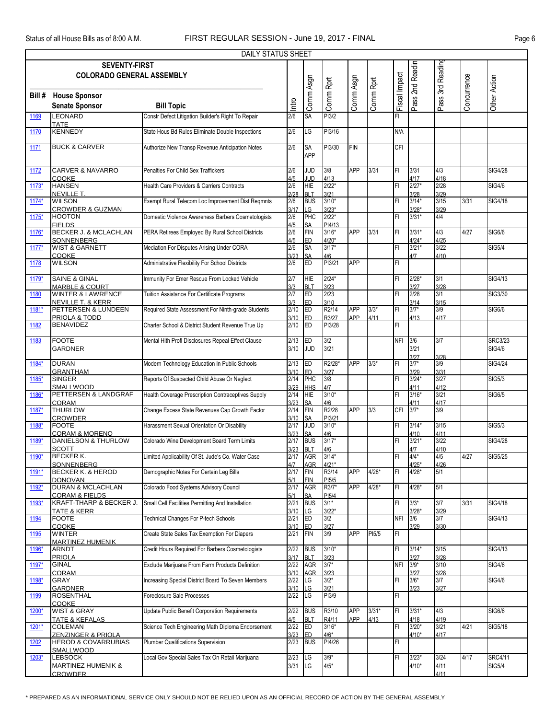|         | DAILY STATUS SHEET<br><b>SEVENTY-FIRST</b>                      |                                                       |              |                          |                             |            |           |               |                    |                  |             |                |  |
|---------|-----------------------------------------------------------------|-------------------------------------------------------|--------------|--------------------------|-----------------------------|------------|-----------|---------------|--------------------|------------------|-------------|----------------|--|
|         |                                                                 |                                                       |              |                          |                             |            |           |               |                    |                  |             |                |  |
|         | <b>COLORADO GENERAL ASSEMBLY</b>                                |                                                       |              |                          |                             |            |           |               | Pass 2nd Readin    | Pass 3rd Reading |             |                |  |
|         |                                                                 |                                                       |              |                          |                             |            |           |               |                    |                  |             |                |  |
|         |                                                                 |                                                       |              | Comm Asgn                | Comm Rprt                   | Comm Asgn  | Comm Rprt | Fiscal Impact |                    |                  | Concurrence | Other Action   |  |
|         | <b>Bill # House Sponsor</b>                                     |                                                       |              |                          |                             |            |           |               |                    |                  |             |                |  |
|         | <b>Senate Sponsor</b>                                           | <b>Bill Topic</b>                                     | Intro        |                          |                             |            |           |               |                    |                  |             |                |  |
| 1169    | LEONARD                                                         | Constr Defect Litigation Builder's Right To Repair    | 2/6          | SA                       | PI3/2                       |            |           | FI            |                    |                  |             |                |  |
|         | <b>TATE</b>                                                     |                                                       |              |                          |                             |            |           |               |                    |                  |             |                |  |
| 1170    | <b>KENNEDY</b>                                                  | State Hous Bd Rules Eliminate Double Inspections      | 2/6          | LG                       | PI3/16                      |            |           | N/A           |                    |                  |             |                |  |
|         |                                                                 |                                                       |              |                          |                             |            |           |               |                    |                  |             |                |  |
| 1171    | <b>BUCK &amp; CARVER</b>                                        | Authorize New Transp Revenue Anticipation Notes       | 2/6          | SA                       | PI3/30                      | <b>FIN</b> |           | <b>CFI</b>    |                    |                  |             |                |  |
|         |                                                                 |                                                       |              | <b>APP</b>               |                             |            |           |               |                    |                  |             |                |  |
| 1172    | <b>CARVER &amp; NAVARRO</b>                                     | Penalties For Child Sex Traffickers                   | 2/6          | <b>JUD</b>               | 3/8                         | <b>APP</b> | 3/31      | FL            | 3/31               | 4/3              |             | <b>SIG4/28</b> |  |
|         | <b>COOKE</b>                                                    |                                                       | 4/5          | <b>JUD</b>               | 4/13                        |            |           |               | 4/17               | 4/18             |             |                |  |
| $1173*$ | <b>HANSEN</b>                                                   | <b>Health Care Providers &amp; Carriers Contracts</b> | 2/6          | <b>HIE</b>               | $2/22*$                     |            |           | FL            | $2/27*$            | 2/28             |             | <b>SIG4/6</b>  |  |
|         | <b>NEVILLE T.</b>                                               |                                                       | 2/28         | <b>BLT</b>               | 3/21                        |            |           |               | 3/28               | 3/29             |             |                |  |
| 1174*   | <b>WILSON</b>                                                   | Exempt Rural Telecom Loc Improvement Dist Regmnts     | 2/6          | <b>BUS</b>               | $3/10*$                     |            |           | FL            | $3/14*$            | 3/15             | 3/31        | <b>SIG4/18</b> |  |
|         | <b>CROWDER &amp; GUZMAN</b>                                     |                                                       | 3/17         | LG                       | $3/23*$                     |            |           |               | $3/28*$            | 3/29             |             |                |  |
| 1175*   | <b>HOOTON</b>                                                   | Domestic Violence Awareness Barbers Cosmetologists    | 2/6          | PHC                      | $2/22*$                     |            |           | FL            | $3/31*$            | 4/4              |             |                |  |
|         | <b>FIELDS</b><br><b>BECKER J. &amp; MCLACHLAN</b>               |                                                       | 4/5<br>2/6   | SΑ                       | PI4/13<br>$3/16*$           | APP        |           |               |                    |                  | 4/27        |                |  |
| 1176*   |                                                                 | PERA Retirees Employed By Rural School Districts      |              | <b>FIN</b>               |                             |            | 3/31      | FL            | $3/31*$<br>$4/24*$ | 4/3<br>4/25      |             | <b>SIG6/6</b>  |  |
| $1177*$ | SONNENBERG<br><b>WIST &amp; GARNETT</b>                         | Mediation For Disputes Arising Under CORA             | 4/5<br>2/6   | ED<br>SA                 | $4/20*$<br>$3/17*$          |            |           | FL            | $3/21*$            | 3/22             |             | SIG5/4         |  |
|         | COOKE                                                           |                                                       | 3/23         | SA                       | 4/6                         |            |           |               | 4/7                | 4/10             |             |                |  |
| 1178    | <b>WILSON</b>                                                   | Administrative Flexibility For School Districts       | 2/6          | ED                       | PI3/21                      | <b>APP</b> |           | FL            |                    |                  |             |                |  |
|         |                                                                 |                                                       |              |                          |                             |            |           |               |                    |                  |             |                |  |
| 1179*   | <b>SAINE &amp; GINAL</b>                                        | Immunity For Emer Rescue From Locked Vehicle          | 2/7          | <b>HIE</b>               | $2/24*$                     |            |           | FL            | $2/28*$            | 3/1              |             | <b>SIG4/13</b> |  |
|         | <b>MARBLE &amp; COURT</b>                                       |                                                       | 3/3          | <b>BLT</b>               | 3/23                        |            |           |               | 3/27               | 3/28             |             |                |  |
| 1180    | <b>WINTER &amp; LAWRENCE</b>                                    | Tuition Assistance For Certificate Programs           | 2/7          | Ē                        | 2/23                        |            |           | FL            | 2/28               | 3/1              |             | SIG3/30        |  |
|         | <b>NEVILLE T. &amp; KERR</b>                                    |                                                       | 3/3          | ED.                      | 3/10                        |            |           |               | 3/14               | 3/15             |             |                |  |
| 1181*   | PETTERSEN & LUNDEEN                                             | Required State Assessment For Ninth-grade Students    | 2/10         | ED                       | R2/14                       | <b>APP</b> | $3/3*$    | FL            | $3/7*$             | 3/9              |             | SIG6/6         |  |
| 1182    | PRIOLA & TODD<br><b>BENAVIDEZ</b>                               | Charter School & District Student Revenue True Up     | 3/10<br>2/10 | ED<br>ED                 | R3/27<br>PI3/28             | APP        | 4/11      | FL            | 4/13               | 4/17             |             |                |  |
|         |                                                                 |                                                       |              |                          |                             |            |           |               |                    |                  |             |                |  |
| 1183    | <b>FOOTE</b>                                                    | Mental Hith Profi Disclosures Repeal Effect Clause    | 2/13         | ED                       | 3/2                         |            |           | <b>NFI</b>    | 3/6                | 3/7              |             | <b>SRC3/23</b> |  |
|         | <b>GARDNER</b>                                                  |                                                       | 3/10         | <b>JUD</b>               | 3/21                        |            |           |               | 3/21               |                  |             | <b>SIG4/6</b>  |  |
|         |                                                                 |                                                       |              |                          |                             |            |           |               | 3/27               | 3/28             |             |                |  |
| 1184*   | <b>DURAN</b>                                                    | Modern Technology Education In Public Schools         | 2/13         | ED                       | R2/28*                      | <b>APP</b> | $3/3*$    | FI            | $3/7*$             | 3/9              |             | SIG4/24        |  |
|         | <b>GRANTHAM</b>                                                 |                                                       | 3/10         | ED                       | 3/27                        |            |           |               | 3/29               | 3/31             |             |                |  |
| 1185*   | <b>SINGER</b>                                                   | Reports Of Suspected Child Abuse Or Neglect           | 2/14         | PHC                      | 3/8                         |            |           | FL            | $3/24*$            | 3/27             |             | <b>SIG5/3</b>  |  |
|         | SMALLWOOD                                                       |                                                       | 3/29         | <b>HHS</b>               | 4/7                         |            |           |               | 4/11               | 4/12             |             |                |  |
| 1186*   | PETTERSEN & LANDGRAF<br>CORAM                                   | Health Coverage Prescription Contraceptives Supply    | 2/14         | <b>HIE</b>               | $3/10*$                     |            |           | FI            | $3/16*$            | 3/21             |             | <b>SIG6/5</b>  |  |
| 1187*   | <b>THURLOW</b>                                                  | Change Excess State Revenues Cap Growth Factor        | 3/23<br>2/14 | SA<br><b>FIN</b>         | 4/6<br>R2/28                | <b>APP</b> | 3/3       | CFI           | 4/11<br>$3/7*$     | 4/17<br>3/9      |             |                |  |
|         | <b>CROWDER</b>                                                  |                                                       | 3/10         | SA                       | PI3/21                      |            |           |               |                    |                  |             |                |  |
| 1188*   | <b>FOOTE</b>                                                    | Harassment Sexual Orientation Or Disability           | 2/17         | g                        | $3/10*$                     |            |           | FL            | $3/14*$            | 3/15             |             | <b>SIG5/3</b>  |  |
|         | <b>CORAM &amp; MORENO</b>                                       |                                                       | 3/23         | SA                       | 4/6                         |            |           |               | 4/10               | 4/11             |             |                |  |
| 1189*   | <b>DANIELSON &amp; THURLOW</b>                                  | Colorado Wine Development Board Term Limits           | 2/17         | <b>BUS</b>               | $3/17*$                     |            |           | FL            | $3/21*$            | 3/22             |             | <b>SIG4/28</b> |  |
|         | <b>SCOTT</b>                                                    |                                                       | 3/23         | <b>BLT</b>               | 4/6                         |            |           |               | 4/7                | 4/10             |             |                |  |
| 1190*   | BECKER K.                                                       | Limited Applicability Of St. Jude's Co. Water Case    |              | 2/17 AGR                 | $3/14*$                     |            |           | FI            | $4/4*$             | 4/5              | 4/27        | SIG5/25        |  |
|         | SONNENBERG                                                      |                                                       | 4/7          | AGR                      | $4/21*$                     |            |           |               | $4/25*$            | 4/26             |             |                |  |
| 1191*   | BECKER K. & HEROD                                               | Demographic Notes For Certain Leg Bills               | 2/17         | FIN                      | R3/14                       | <b>APP</b> | $4/28*$   | FI.           | $4/28*$            | 5/1              |             |                |  |
| 1192*   | <b>DONOVAN</b><br><b>DURAN &amp; MCLACHLAN</b>                  | Colorado Food Systems Advisory Council                | 5/1<br>2/17  | FIN<br><b>AGR</b>        | PI <sub>5</sub> /5<br>R3/7* | <b>APP</b> | $4/28*$   | FL            | $4/28*$            | 5/1              |             |                |  |
|         | <b>CORAM &amp; FIELDS</b>                                       |                                                       | 5/1          | SA                       | PI <sub>5</sub> /4          |            |           |               |                    |                  |             |                |  |
| 1193*   | KRAFT-THARP & BECKER J.                                         | Small Cell Facilities Permitting And Installation     | 2/21         | <b>BUS</b>               | $3/1*$                      |            |           | FI            | $3/3*$             | 3/7              | 3/31        | SIG4/18        |  |
|         | <u>TATE &amp; KERR</u>                                          |                                                       | 3/10         | LG                       | $3/22*$                     |            |           |               | $3/28*$            | 3/29             |             |                |  |
| 1194    | <b>FOOTE</b>                                                    | Technical Changes For P-tech Schools                  | 2/21         | <b>ED</b>                | 3/2                         |            |           | <b>NFI</b>    | 3/6                | 3/7              |             | SIG4/13        |  |
|         | <b>COOKE</b>                                                    |                                                       | 3/10         | ED                       | 3/27                        |            |           |               | 3/29               | 3/30             |             |                |  |
| 1195    | <b>WINTER</b>                                                   | Create State Sales Tax Exemption For Diapers          | 2/21         | FIN                      | 3/9                         | APP        | PI5/5     | FI            |                    |                  |             |                |  |
|         | <b>MARTINEZ HUMENIK</b>                                         | Credit Hours Required For Barbers Cosmetologists      |              |                          |                             |            |           |               |                    |                  |             |                |  |
| 1196*   | <b>ARNDT</b>                                                    |                                                       | 2/22<br>3/17 | <b>BUS</b><br><b>BLT</b> | $3/10*$                     |            |           | FI            | $3/14*$            | 3/15<br>3/28     |             | SIG4/13        |  |
| 1197*   | <b>PRIOLA</b><br><b>GINAL</b>                                   | Exclude Marijuana From Farm Products Definition       | 2/22         | <b>AGR</b>               | 3/23<br>$3/7*$              |            |           | <b>NFI</b>    | 3/27<br>$3/9*$     | 3/10             |             | <b>SIG4/6</b>  |  |
|         | <b>CORAM</b>                                                    |                                                       | 3/10         | AGR                      | 3/23                        |            |           |               | 3/27               | 3/28             |             |                |  |
| 1198*   | GRAY                                                            | Increasing Special District Board To Seven Members    | 2/22         | LG                       | $3/2*$                      |            |           | FL            | $3/6*$             | 3/7              |             | SIG4/6         |  |
|         | <b>GARDNER</b>                                                  |                                                       | 3/10         | LG.                      | 3/21                        |            |           |               | 3/23               | 3/27             |             |                |  |
| 1199    | <b>ROSENTHAL</b>                                                | Foreclosure Sale Processes                            | 2/22         | LG                       | PI3/9                       |            |           | FL            |                    |                  |             |                |  |
|         | <b>COOKE</b>                                                    |                                                       |              |                          |                             |            |           |               |                    |                  |             |                |  |
| 1200*   | <b>WIST &amp; GRAY</b>                                          | Update Public Benefit Corporation Requirements        | 2/22         | <b>BUS</b>               | R3/10                       | <b>APP</b> | $3/31*$   | FL            | $3/31*$            | 4/3              |             | <b>SIG6/6</b>  |  |
|         | TATE & KEFALAS                                                  |                                                       | 4/5          | <b>BLT</b>               | R4/11                       | <b>APP</b> | 4/13      |               | 4/18               | 4/19             |             |                |  |
| 1201*   | <b>COLEMAN</b>                                                  | Science Tech Engineering Math Diploma Endorsement     | 2/22         | <b>ED</b>                | $3/16*$                     |            |           | FL            | $3/20*$            | 3/21             | 4/21        | SIG5/18        |  |
| 1202    | <b>ZENZINGER &amp; PRIOLA</b><br><b>HEROD &amp; COVARRUBIAS</b> | Plumber Qualifications Supervision                    | 3/23<br>2/23 | ED.<br><b>BUS</b>        | 4/6*<br>PI4/26              |            |           | FL            | $4/10*$            | 4/17             |             |                |  |
|         | SMALLWOOD                                                       |                                                       |              |                          |                             |            |           |               |                    |                  |             |                |  |
| 1203*   | <b>LEBSOCK</b>                                                  | Local Gov Special Sales Tax On Retail Marijuana       | 2/23         | LG                       | $3/9*$                      |            |           | FI            | $3/23*$            | 3/24             | 4/17        | SRC4/11        |  |
|         | <b>MARTINEZ HUMENIK &amp;</b>                                   |                                                       | 3/31         | LG                       | $4/5*$                      |            |           |               | $4/10*$            | 4/11             |             | <b>SIG5/4</b>  |  |
|         | <b>CROWDER</b>                                                  |                                                       |              |                          |                             |            |           |               |                    | 4/11             |             |                |  |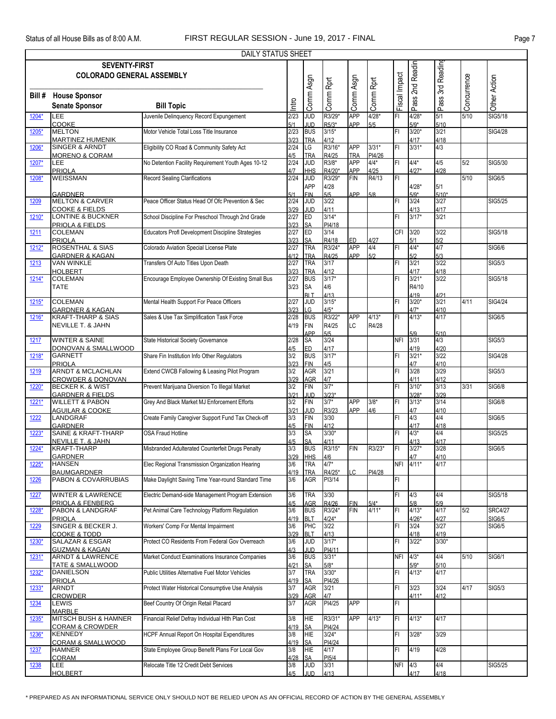|             | <b>DAILY STATUS SHEET</b><br><b>SEVENTY-FIRST</b>           |                                                    |              |                          |                    |                          |                |                         |                   |                 |             |                |  |
|-------------|-------------------------------------------------------------|----------------------------------------------------|--------------|--------------------------|--------------------|--------------------------|----------------|-------------------------|-------------------|-----------------|-------------|----------------|--|
|             |                                                             |                                                    |              |                          |                    |                          |                |                         | 2nd Readin        |                 |             |                |  |
|             | <b>COLORADO GENERAL ASSEMBLY</b>                            |                                                    |              |                          |                    |                          |                |                         |                   | 3rd Reading     |             |                |  |
|             |                                                             |                                                    |              |                          |                    |                          |                |                         |                   |                 |             |                |  |
| Bill #      | <b>House Sponsor</b>                                        |                                                    |              | Comm Asgn                | Comm Rprt          | Comm Asgn                | Comm Rprt      | Fiscal Impact           |                   |                 | Concurrence | Other Action   |  |
|             | <b>Senate Sponsor</b>                                       | <b>Bill Topic</b>                                  | lntro        |                          |                    |                          |                |                         | Pass:             | Pass            |             |                |  |
|             | LEE                                                         | Juvenile Delinquency Record Expungement            | 2/23         | JUD                      | R3/29*             | <b>APP</b>               | $4/28*$        | FI                      | $4/28*$           | 5/1             | 5/10        | <b>SIG5/18</b> |  |
| 1204*       | COOKE                                                       |                                                    | 5/1          | JUD                      | R5/3*              | APP                      | 5/5            |                         | $5/9*$            | 5/10            |             |                |  |
| 1205*       | <b>MELTON</b>                                               | Motor Vehicle Total Loss Title Insurance           | 2/23         | <b>BUS</b>               | $3/15*$            |                          |                | FI                      | $3/20*$           | 3/21            |             | <b>SIG4/28</b> |  |
|             | <b>MARTINEZ HUMENIK</b>                                     |                                                    | 3/23         | <b>TRA</b>               | 4/12               |                          |                |                         | 4/17              | 4/18            |             |                |  |
| 1206*       | <b>SINGER &amp; ARNDT</b>                                   | Eligibility CO Road & Community Safety Act         | 2/24         | LG                       | R3/16*             | <b>APP</b>               | $3/31*$        | FI                      | $3/31*$           | 4/3             |             |                |  |
|             | <b>MORENO &amp; CORAM</b>                                   |                                                    | 4/5          | <b>TRA</b>               | R4/25              | <b>TRA</b><br><b>APP</b> | PI4/26         |                         |                   |                 |             |                |  |
| 1207*       | <b>LEE</b><br>PRIOLA                                        | No Detention Facility Requirement Youth Ages 10-12 | 2/24<br>4/7  | <b>JUD</b><br><b>HHS</b> | R3/8*<br>R4/20*    | APP                      | $4/4*$<br>4/25 | FI                      | $4/4*$<br>$4/27*$ | 4/5<br>4/28     | 5/2         | SIG5/30        |  |
| 1208*       | <b>WEISSMAN</b>                                             | <b>Record Sealing Clarifications</b>               | 2/24         | <b>JUD</b>               | R3/29*             | <b>FIN</b>               | R4/13          | FI                      |                   |                 | 5/10        | <b>SIG6/5</b>  |  |
|             |                                                             |                                                    |              | APP                      | 4/28               |                          |                |                         | $4/28*$           | 5/1             |             |                |  |
|             | GARDNER                                                     |                                                    | 5/1          | <b>FIN</b>               | 5/5                | APP                      | 5/8            |                         | $5/9*$            | $5/10*$         |             |                |  |
| 1209        | <b>MELTON &amp; CARVER</b>                                  | Peace Officer Status Head Of Ofc Prevention & Sec  | 2/24         | JUD                      | 3/22               |                          |                | IF۱                     | 3/24              | 3/27            |             | SIG5/25        |  |
| 1210*       | <b>COOKE &amp; FIELDS</b><br>LONTINE & BUCKNER              |                                                    | 3/29<br>2/27 | JUD<br><b>ED</b>         | 4/11<br>$3/14*$    |                          |                | FI                      | 4/13<br>$3/17*$   | 4/17<br>3/21    |             |                |  |
|             | PRIOLA & FIELDS                                             | School Discipline For Preschool Through 2nd Grade  | 3/23         | SA                       | PI4/18             |                          |                |                         |                   |                 |             |                |  |
| 1211        | <b>COLEMAN</b>                                              | Educators Profl Development Discipline Strategies  | 2/27         | ED                       | 3/14               |                          |                | CFI                     | 3/20              | 3/22            |             | SIG5/18        |  |
|             | <b>PRIOLA</b>                                               |                                                    | 3/23         | SA                       | R4/18              | <b>ED</b>                | 4/27           |                         | 5/1               | 5/2             |             |                |  |
| 1212*       | <b>ROSENTHAL &amp; SIAS</b>                                 | Colorado Aviation Special License Plate            | 2/27         | <b>TRA</b>               | R3/24*             | <b>APP</b>               | 4/4            | l۴۱                     | $4/4*$            | 4/7             |             | SIG6/6         |  |
|             | <b>GARDNER &amp; KAGAN</b>                                  |                                                    | 4/12         | <b>TRA</b>               | R4/25<br>3/17      | APP                      | 5/2            | FI                      | 5/2               | 5/3<br>3/22     |             |                |  |
| 1213        | <b>VAN WINKLE</b><br><b>HOLBERT</b>                         | Transfers Of Auto Titles Upon Death                | 2/27<br>3/23 | TRA<br><b>TRA</b>        | 4/12               |                          |                |                         | 3/21<br>4/17      | 4/18            |             | <b>SIG5/3</b>  |  |
| 1214*       | <b>COLEMAN</b>                                              | Encourage Employee Ownership Of Existing Small Bus | 2/27         | <b>BUS</b>               | $3/17*$            |                          |                | FI                      | $3/21*$           | 3/22            |             | SIG5/18        |  |
|             | <b>TATE</b>                                                 |                                                    | 3/23         | SA                       | 4/6                |                          |                |                         | R4/10             |                 |             |                |  |
|             |                                                             |                                                    |              | <b>RIT</b>               | 4/13               |                          |                |                         | 4/19              | 4/21            |             |                |  |
| 1215*       | <b>COLEMAN</b>                                              | Mental Health Support For Peace Officers           | 2/27         | JUD                      | $3/15*$            |                          |                | l۴۱                     | $3/20*$           | 3/21            | 4/11        | <b>SIG4/24</b> |  |
|             | <b>GARDNER &amp; KAGAN</b><br><b>KRAFT-THARP &amp; SIAS</b> | Sales & Use Tax Simplification Task Force          | 3/23<br>2/28 | G<br><b>BUS</b>          | $4/5*$<br>R3/22*   | <b>APP</b>               | $4/13*$        | FI                      | $4/7*$<br>$4/13*$ | 4/10<br>4/17    |             | <b>SIG6/5</b>  |  |
| 1216*       | <b>NEVILLE T. &amp; JAHN</b>                                |                                                    | 4/19         | <b>FIN</b>               | R4/25              | LC                       | R4/28          |                         |                   |                 |             |                |  |
|             |                                                             |                                                    |              | APP                      | 5/5                |                          |                |                         | 5/9               | 5/10            |             |                |  |
| 1217        | <b>WINTER &amp; SAINE</b>                                   | <b>State Historical Society Governance</b>         | 2/28         | SA                       | 3/24               |                          |                | <b>NFI</b>              | 3/31              | 4/3             |             | <b>SIG5/3</b>  |  |
|             | DONOVAN & SMALLWOOD                                         |                                                    | 4/5          | ED                       | 4/17               |                          |                |                         | 4/19              | 4/20            |             |                |  |
| 1218*       | <b>GARNETT</b><br><b>PRIOLA</b>                             | Share Fin Institution Info Other Regulators        | 3/2          | <b>BUS</b>               | $3/17*$            |                          |                | IF۱                     | $3/21*$           | 3/22            |             | <b>SIG4/28</b> |  |
| 1219        | <b>ARNDT &amp; MCLACHLAN</b>                                | Extend CWCB Fallowing & Leasing Pilot Program      | 3/23<br>3/2  | FIN<br><b>AGR</b>        | 4/5<br>3/21        |                          |                | FI                      | 4/7<br>3/28       | 4/10<br>3/29    |             | <b>SIG5/3</b>  |  |
|             | <b>CROWDER &amp; DONOVAN</b>                                |                                                    | 3/29         | AGR                      | 4/7                |                          |                |                         | 4/11              | 4/12            |             |                |  |
| 1220*       | BECKER K. & WIST                                            | Prevent Marijuana Diversion To Illegal Market      | 3/2          | <b>FIN</b>               | $3/7*$             |                          |                | FI                      | $3/10*$           | 3/13            | 3/31        | <b>SIG6/8</b>  |  |
|             | <u>GARDNER &amp; FIELDS</u>                                 |                                                    | 3/21         | <b>JUD</b>               | $3/23*$            |                          |                |                         | $3/28*$           | 3/29            |             |                |  |
| 1221*       | <b>WILLETT &amp; PABON</b><br><u>AGUILAR &amp; COOKE</u>    | Grey And Black Market MJ Enforcement Efforts       | 3/2<br>3/21  | <b>FIN</b><br>JUD        | $3/7*$<br>R3/23    | <b>APP</b><br>APP        | $3/8*$<br>4/6  | FI                      | $3/13*$<br>4/7    | 3/14<br>4/10    |             | <b>SIG6/8</b>  |  |
| 1222        | LANDGRAF                                                    | Create Family Caregiver Support Fund Tax Check-off | 3/3          | <b>FIN</b>               | 3/30               |                          |                | l۴۱                     | 4/3               | 4/4             |             | <b>SIG6/5</b>  |  |
|             | <b>GARDNER</b>                                              |                                                    | 4/5          | <b>FIN</b>               | 4/12               |                          |                |                         | 4/17              | 4/18            |             |                |  |
| 1223*       | SAINE & KRAFT-THARP                                         | <b>OSA Fraud Hotline</b>                           | 3/3          | <b>SA</b>                | $3/30*$            |                          |                | FI                      | $4/3*$            | 4/4             |             | SIG5/25        |  |
|             | <b>NEVILLE T. &amp; JAHN</b>                                |                                                    | 4/5          | SA<br><b>BUS</b>         | 4/11<br>R3/15*     | <b>FIN</b>               |                | FI                      | 4/13              | 4/17            |             |                |  |
| 1224*       | <b>KRAFT-THARP</b><br><b>GARDNER</b>                        | Misbranded Adulterated Counterfeit Drugs Penalty   | 3/3<br>3/29  | <b>HHS</b>               | 4/6                |                          | R3/23*         |                         | $3/27*$<br>4/7    | 3/28<br>4/10    |             | <b>SIG6/5</b>  |  |
| 1225*       | <b>HANSEN</b>                                               | Elec Regional Transmission Organization Hearing    | 3/6          | <b>TRA</b>               | $4/7*$             |                          |                |                         | NFI 4/11*         | 4/17            |             |                |  |
|             | <b>BAUMGARDNER</b>                                          |                                                    | 4/19         | <b>TRA</b>               | R4/25*             | $\mathcal{C}$            | PI4/28         |                         |                   |                 |             |                |  |
| 1226        | PABON & COVARRUBIAS                                         | Make Daylight Saving Time Year-round Standard Time | 3/6          | <b>AGR</b>               | PI3/14             |                          |                | FL                      |                   |                 |             |                |  |
| 1227        | <b>WINTER &amp; LAWRENCE</b>                                | Electric Demand-side Management Program Extension  | 3/6          | <b>TRA</b>               | 3/30               |                          |                | FL                      | 4/3               | 4/4             |             | <b>SIG5/18</b> |  |
|             | PRIOLA & FENBERG                                            |                                                    | 4/5          | AGR                      | R4/26              | <b>FIN</b>               | 5/4*           |                         | 5/8               | 5/9             |             |                |  |
| 1228*       | PABON & LANDGRAF                                            | Pet Animal Care Technology Platform Regulation     | 3/6          | <b>BUS</b>               | R3/24*             | <b>FIN</b>               | $4/11*$        | IF۱                     | $4/13*$           | 4/17            | 5/2         | <b>SRC4/27</b> |  |
|             | <b>PRIOLA</b>                                               |                                                    | 4/19         | <b>BLT</b>               | $4/24*$            |                          |                |                         | $4/26*$           | 4/27            |             | SIG6/5         |  |
| <u>1229</u> | SINGER & BECKER J.                                          | Workers' Comp For Mental Impairment                | 3/6          | PHC                      | 3/22               |                          |                | IF۱                     | 3/24              | 3/27            |             | SIG6/5         |  |
| 1230*       | <b>COOKE &amp; TODD</b><br>SALAZAR & ESGAR                  | Protect CO Residents From Federal Gov Overreach    | 3/29<br>3/6  | <b>BLT</b><br>JUD        | 4/13<br>$3/17*$    |                          |                | IF۱                     | 4/18<br>$3/22*$   | 4/19<br>$3/30*$ |             |                |  |
|             | <b>GUZMAN &amp; KAGAN</b>                                   |                                                    | 4/3          | <b>JUD</b>               | PI4/11             |                          |                |                         |                   |                 |             |                |  |
| 1231*       | <b>ARNDT &amp; LAWRENCE</b>                                 | Market Conduct Examinations Insurance Companies    | 3/6          | <b>BUS</b>               | $3/31*$            |                          |                | <b>NFI</b>              | $4/3*$            | 4/4             | 5/10        | SIG6/1         |  |
|             | <b>TATE &amp; SMALLWOOD</b>                                 |                                                    | 4/21         | SΑ                       | $5/8*$             |                          |                |                         | $5/9*$            | 5/10            |             |                |  |
| $1232*$     | <b>DANIELSON</b>                                            | Public Utilities Alternative Fuel Motor Vehicles   | 3/7          | <b>TRA</b>               | $3/30*$            |                          |                | IF۱                     | $4/13*$           | 4/17            |             |                |  |
| 1233*       | <b>PRIOLA</b><br><b>ARNDT</b>                               | Protect Water Historical Consumptive Use Analysis  | 4/19<br>3/7  | <b>SA</b><br><b>AGR</b>  | PI4/26<br>3/21     |                          |                | IF۱                     | 3/23              | 3/24            | 4/17        | <b>SIG5/3</b>  |  |
|             | <b>CROWDER</b>                                              |                                                    | 3/29         | AGR                      |                    |                          |                |                         | $4/11*$           | 4/12            |             |                |  |
| 1234        | LEWIS                                                       | Beef Country Of Origin Retail Placard              | 3/7          | <b>AGR</b>               | PI4/25             | <b>APP</b>               |                | FL                      |                   |                 |             |                |  |
|             | <b>MARBLE</b>                                               |                                                    |              |                          |                    |                          |                |                         |                   |                 |             |                |  |
| 1235*       | <b>MITSCH BUSH &amp; HAMNER</b>                             | Financial Relief Defray Individual Hlth Plan Cost  | 3/8          | <b>HIE</b>               | R3/31*             | APP                      | $4/13*$        | $\overline{\mathbb{E}}$ | $4/13*$           | 4/17            |             |                |  |
|             | <b>CORAM &amp; CROWDER</b>                                  |                                                    | 4/19         | <b>SA</b>                | PI4/24             |                          |                |                         |                   |                 |             |                |  |
| 1236*       | <b>KENNEDY</b><br><b>CORAM &amp; SMALLWOOD</b>              | HCPF Annual Report On Hospital Expenditures        | 3/8<br>4/19  | <b>HIE</b><br><b>SA</b>  | $3/24*$<br>PI4/24  |                          |                | FL                      | $3/28*$           | 3/29            |             |                |  |
| 1237        | <b>HAMNER</b>                                               | State Employee Group Benefit Plans For Local Gov   | 3/8          | HIE                      | 4/17               |                          |                | FI                      | 4/19              | 4/28            |             |                |  |
|             | CORAM                                                       |                                                    | 4/28         | SA                       | PI <sub>5</sub> /4 |                          |                |                         |                   |                 |             |                |  |
| 1238        | LEE                                                         | Relocate Title 12 Credit Debt Services             | 3/8          | <b>JUD</b>               | 3/31               |                          |                | <b>NFI</b>              | 4/3               | 4/4             |             | SIG5/25        |  |
|             | <b>HOLBERT</b>                                              |                                                    | 4/5          | JUD                      | 4/13               |                          |                |                         | 4/17              | 4/18            |             |                |  |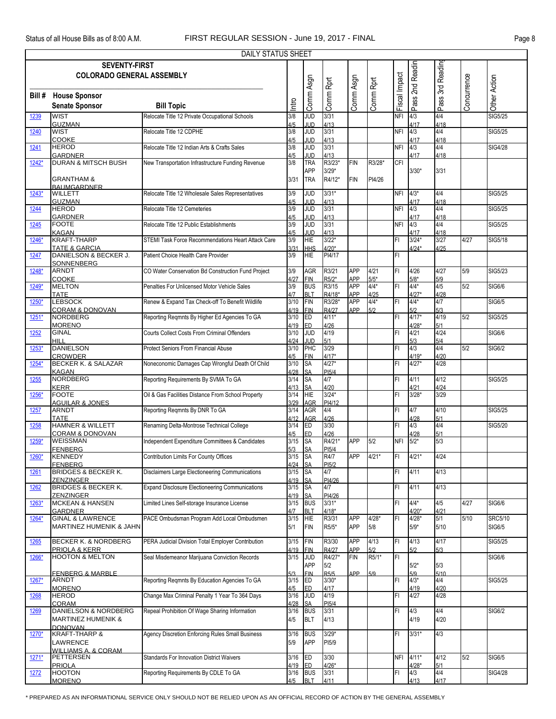|         | DAILY STATUS SHEET                                                                              |                                                        |                |                          |                            |                   |                |               |                    |              |             |                |  |
|---------|-------------------------------------------------------------------------------------------------|--------------------------------------------------------|----------------|--------------------------|----------------------------|-------------------|----------------|---------------|--------------------|--------------|-------------|----------------|--|
|         | Pass 2nd Readin<br><b>SEVENTY-FIRST</b><br>Pass 3rd Reading<br><b>COLORADO GENERAL ASSEMBLY</b> |                                                        |                |                          |                            |                   |                |               |                    |              |             |                |  |
|         |                                                                                                 |                                                        |                |                          |                            |                   |                |               |                    |              |             |                |  |
|         |                                                                                                 |                                                        |                |                          |                            |                   |                |               |                    |              |             |                |  |
| Bill #  | <b>House Sponsor</b>                                                                            |                                                        |                | Comm Asgn                | Comm Rprt                  | Comm Asgn         | Comm Rprt      | Fiscal Impact |                    |              | Concurrence | Other Action   |  |
|         | <b>Senate Sponsor</b>                                                                           | <b>Bill Topic</b>                                      | Intro          |                          |                            |                   |                |               |                    |              |             |                |  |
| 1239    | <b>WIST</b><br><b>GUZMAN</b>                                                                    | Relocate Title 12 Private Occupational Schools         | 3/8<br>4/5     | JUD<br>JUD               | 3/31<br>4/13               |                   |                | <b>NFI</b>    | 4/3<br>4/17        | 4/4<br>4/18  |             | <b>SIG5/25</b> |  |
| 1240    | <b>WIST</b>                                                                                     | Relocate Title 12 CDPHE                                | 3/8            | g                        | 3/31                       |                   |                | <b>NFI</b>    | 4/3                | 4/4          |             | <b>SIG5/25</b> |  |
|         | COOKE                                                                                           |                                                        | 4/5            | <b>JUD</b>               | 4/13                       |                   |                |               | 4/17               | 4/18         |             |                |  |
| 1241    | <b>HEROD</b><br><b>GARDNER</b>                                                                  | Relocate Title 12 Indian Arts & Crafts Sales           | 3/8<br>4/5     | <b>JUD</b><br>JUD        | 3/31<br>4/13               |                   |                | <b>NFI</b>    | 4/3<br>4/17        | 4/4<br>4/18  |             | <b>SIG4/28</b> |  |
| 1242*   | <b>DURAN &amp; MITSCH BUSH</b>                                                                  | New Transportation Infrastructure Funding Revenue      | 3/8            | <b>TRA</b>               | R3/23*                     | FIN               | R3/28*         | CFI           |                    |              |             |                |  |
|         |                                                                                                 |                                                        |                | APP                      | $3/29*$                    |                   |                |               | $3/30*$            | 3/31         |             |                |  |
|         | <b>GRANTHAM &amp;</b><br><b>BAUMGARDNER</b>                                                     |                                                        | 3/31           | <b>TRA</b>               | R4/12*                     | <b>FIN</b>        | PI4/26         |               |                    |              |             |                |  |
| 1243*   | <b>WILLETT</b>                                                                                  | Relocate Title 12 Wholesale Sales Representatives      | 3/9            | g                        | $3/31*$                    |                   |                | NFI 4/3*      |                    | 4/4          |             | SIG5/25        |  |
| 1244    | <b>GUZMAN</b><br><b>HEROD</b>                                                                   | Relocate Title 12 Cemeteries                           | 4/5<br>3/9     | JUD<br><b>JUD</b>        | 4/13<br>3/31               |                   |                | <b>NFI</b>    | 4/17<br>4/3        | 4/18<br>4/4  |             | SIG5/25        |  |
|         | <b>GARDNER</b>                                                                                  |                                                        | 4/5            | <b>JUD</b>               | 4/13                       |                   |                |               | 4/17               | 4/18         |             |                |  |
| 1245    | <b>FOOTE</b>                                                                                    | Relocate Title 12 Public Establishments                | 3/9            | g                        | 3/31                       |                   |                | <b>NFI</b>    | 4/3                | 4/4          |             | <b>SIG5/25</b> |  |
| 1246*   | <b>KAGAN</b><br><b>KRAFT-THARP</b>                                                              | STEMI Task Force Recommendations Heart Attack Care     | 4/5<br>3/9     | <b>JUD</b><br>HIE        | 4/13<br>$3/22*$            |                   |                | FI            | 4/17<br>$3/24*$    | 4/18<br>3/27 | 4/27        | SIG5/18        |  |
|         | <b>TATE &amp; GARCIA</b>                                                                        |                                                        | 3/31           | <b>HHS</b>               | $4/20*$                    |                   |                |               | $4/24*$            | 4/25         |             |                |  |
| 1247    | DANIELSON & BECKER J.                                                                           | Patient Choice Health Care Provider                    | 3/9            | HIE                      | PI4/17                     |                   |                | FI            |                    |              |             |                |  |
| $1248*$ | SONNENBERG<br><b>ARNDT</b>                                                                      | CO Water Conservation Bd Construction Fund Project     | 3/9            | <b>AGR</b>               | R3/21                      | <b>APP</b>        | 4/21           | FI            | 4/26               | 4/27         | 5/9         | SIG5/23        |  |
|         | <b>COOKE</b>                                                                                    |                                                        | 4/27           | <b>FIN</b>               | R5/2*                      | <b>APP</b>        | $\frac{5}{54}$ |               | $5/8*$             | 5/9          |             |                |  |
| 1249*   | <b>MELTON</b><br><b>TATE</b>                                                                    | Penalties For Unlicensed Motor Vehicle Sales           | 3/9<br>4/7     | <b>BUS</b><br><b>BLT</b> | R3/15<br>R4/18*            | <b>APP</b><br>APP | 4/25           | FI            | $4/4*$<br>$4/27*$  | 4/5<br>4/28  | 5/2         | SIG6/6         |  |
| 1250*   | <b>LEBSOCK</b>                                                                                  | Renew & Expand Tax Check-off To Benefit Wildlife       | 3/10           | <b>FIN</b>               | R3/28*                     | APP               | $4/4*$         | FL            | $4/4*$             | 4/7          |             | <b>SIG6/5</b>  |  |
|         | <b>CORAM &amp; DONOVAN</b>                                                                      |                                                        | 4/19           | <b>FIN</b>               | R4/27                      | APP               | 5/2            |               |                    | 5/3          |             |                |  |
| 1251*   | <b>NORDBERG</b><br><b>MORENO</b>                                                                | Reporting Reqmnts By Higher Ed Agencies To GA          | 3/10<br>4/19   | ED<br>ED                 | $4/11*$                    |                   |                | FI            | $4/17*$<br>$4/28*$ | 4/19<br>5/1  | 5/2         | SIG5/25        |  |
| 1252    | <b>GINAL</b>                                                                                    | Courts Collect Costs From Criminal Offenders           | 3/10           | <b>JUD</b>               | 4/26<br>4/19               |                   |                | FI            | 4/21               | 4/24         |             | <b>SIG6/6</b>  |  |
| 1253*   | HILL<br><b>DANIELSON</b>                                                                        | Protect Seniors From Financial Abuse                   | 4/24<br>3/10   | <b>JUD</b><br>PHC        | 5/1<br>3/29                |                   |                | FI            | 5/3<br>4/3         | 5/4<br>4/4   | 5/2         | SIG6/2         |  |
|         | <b>CROWDER</b>                                                                                  |                                                        | 4/5            | <b>FIN</b>               | $4/17*$                    |                   |                |               | $4/19*$            | 4/20         |             |                |  |
| 1254*   | <b>BECKER K. &amp; SALAZAR</b>                                                                  | Noneconomic Damages Cap Wrongful Death Of Child        | 3/10           | SA                       | $4/27*$                    |                   |                | FI            | $4/27*$            | 4/28         |             |                |  |
| 1255    | <b>KAGAN</b><br><b>NORDBERG</b>                                                                 | Reporting Requirements By SVMA To GA                   | 4/28<br>3/14   | <b>SA</b><br>SA          | <b>PI5/4</b><br>4/7        |                   |                | FI            | 4/11               | 4/12         |             | SIG5/25        |  |
|         | <b>KERR</b>                                                                                     |                                                        | 4/13           | <b>SA</b>                | 4/20                       |                   |                |               | 4/21               | 4/24         |             |                |  |
| 1256*   | <b>FOOTE</b>                                                                                    | Oil & Gas Facilities Distance From School Property     | 3/14           | <b>HIE</b>               | $3/24*$                    |                   |                | FI            | $3/28*$            | 3/29         |             |                |  |
| 1257    | <b>AGUILAR &amp; JONES</b><br><b>ARNDT</b>                                                      | Reporting Reqmnts By DNR To GA                         | 3/29<br>3/14   | AGR<br><b>AGR</b>        | PI4/12<br>4/4              |                   |                | FI            | 4/7                | 4/10         |             | SIG5/25        |  |
|         | <b>TATE</b>                                                                                     |                                                        | 4/12           | AGR                      | 4/26                       |                   |                |               | 4/28               | 5/1          |             |                |  |
| 1258    | <b>HAMNER &amp; WILLETT</b><br><b>CORAM &amp; DONOVAN</b>                                       | Renaming Delta-Montrose Technical College              | 3/14<br>4/5    | ED<br>ED                 | 3/30<br>4/26               |                   |                | FI            | 4/3<br>4/28        | 4/4<br>5/1   |             | SIG5/20        |  |
| 1259*   | <b>WEISSMAN</b>                                                                                 | Independent Expenditure Committees & Candidates        | 3/15           | <b>SA</b>                | R4/21*                     | APP               | 5/2            | $NFI$ 5/2*    |                    | 5/3          |             |                |  |
|         | <b>FENBERG</b>                                                                                  |                                                        | 5/3<br>3/15 SA | <b>SA</b>                | PI <sub>5</sub> /4<br>R4/7 | APP               | $4/21*$        |               |                    | 4/24         |             |                |  |
| 1260*   | <b>KENNEDY</b><br><b>FENBERG</b>                                                                | <b>Contribution Limits For County Offices</b>          | 4/24 SA        |                          | PI <sub>5</sub> /2         |                   |                | FI            | $4/21*$            |              |             |                |  |
| 1261    | <b>BRIDGES &amp; BECKER K.</b>                                                                  | Disclaimers Large Electioneering Communications        | 3/15           | <b>SA</b>                | 4/7                        |                   |                | FI            | 4/11               | 4/13         |             |                |  |
| 1262    | ZENZINGER<br><b>BRIDGES &amp; BECKER K.</b>                                                     | <b>Expand Disclosure Electioneering Communications</b> | 4/19<br>3/15   | <b>SA</b><br><b>SA</b>   | PI4/26<br>4/7              |                   |                | FI            | 4/11               | 4/13         |             |                |  |
|         | <b>ZENZINGER</b>                                                                                |                                                        | 4/19           | <b>SA</b>                | PI4/26                     |                   |                |               |                    |              |             |                |  |
| $1263*$ | <b>MCKEAN &amp; HANSEN</b>                                                                      | Limited Lines Self-storage Insurance License           | 3/15           | <b>BUS</b>               | $3/31*$                    |                   |                | FI            | $4/4*$             | 4/5          | 4/27        | SIG6/6         |  |
| 1264*   | <b>GARDNER</b><br><b>GINAL &amp; LAWRENCE</b>                                                   | PACE Ombudsman Program Add Local Ombudsmen             | 4/7<br>3/15    | <b>BLT</b><br><b>HIE</b> | $4/18*$<br>R3/31           | APP               | $4/28*$        | FI            | $4/20*$<br>$4/28*$ | 4/21<br>5/1  | 5/10        | <b>SRC5/10</b> |  |
|         | MARTINEZ HUMENIK & JAHN                                                                         |                                                        | 5/1            | <b>FIN</b>               | R5/5*                      | APP               | 5/8            |               | $5/9*$             | 5/10         |             | SIG6/5         |  |
| 1265    | <b>BECKER K. &amp; NORDBERG</b>                                                                 | PERA Judicial Division Total Employer Contribution     | 3/15           | FIN                      | R3/30                      | APP               | 4/13           | FI            | 4/13               | 4/17         |             | SIG5/25        |  |
|         | PRIOLA & KERR                                                                                   |                                                        | 4/19           | <b>FIN</b>               | R4/27                      | APP               |                |               | 5/2                | 5/3          |             |                |  |
| 1266*   | <b>HOOTON &amp; MELTON</b>                                                                      | Seal Misdemeanor Marijuana Conviction Records          | 3/15           | <b>JUD</b>               | R4/27*                     | <b>FIN</b>        | R5/1*          | FI            |                    |              |             | <b>SIG6/6</b>  |  |
|         | <b>FENBERG &amp; MARBLE</b>                                                                     |                                                        | 5/3            | <b>APP</b><br><b>FIN</b> | 5/2<br>R5/5                | APP               | 5/9            |               | $5/2*$<br>5/9      | 5/3<br>5/10  |             |                |  |
| 1267*   | <b>ARNDT</b>                                                                                    | Reporting Regmnts By Education Agencies To GA          | 3/15           | ED                       | $3/30*$                    |                   |                | FI            | $4/3*$             | 4/4          |             | SIG5/25        |  |
| 1268    | <b>MORENO</b><br><b>HEROD</b>                                                                   | Change Max Criminal Penalty 1 Year To 364 Days         | 4/5<br>3/16    | ED<br>JUD                | 4/17<br>4/19               |                   |                | FI            | 4/19<br>4/27       | 4/20<br>4/28 |             |                |  |
|         | CORAM                                                                                           |                                                        | 4/28           | <b>SA</b>                | PI <sub>5</sub> /4         |                   |                |               |                    |              |             |                |  |
| 1269    | DANIELSON & NORDBERG                                                                            | Repeal Prohibition Of Wage Sharing Information         | 3/16           | <b>BUS</b>               | 3/31                       |                   |                | FI            | 4/3                | 4/4          |             | <b>SIG6/2</b>  |  |
|         | <b>MARTINEZ HUMENIK &amp;</b><br><b>DONOVAN</b>                                                 |                                                        | 4/5            | <b>BLT</b>               | 4/13                       |                   |                |               | 4/19               | 4/20         |             |                |  |
| 1270*   | <b>KRAFT-THARP &amp;</b>                                                                        | Agency Discretion Enforcing Rules Small Business       | 3/16           | <b>BUS</b>               | $3/29*$                    |                   |                | FI            | $3/31*$            | 4/3          |             |                |  |
|         | LAWRENCE                                                                                        |                                                        | 5/9            | <b>APP</b>               | PI <sub>5/9</sub>          |                   |                |               |                    |              |             |                |  |
| $1271*$ | WILLIAMS A. & CORAM<br><b>PETTERSEN</b>                                                         | <b>Standards For Innovation District Waivers</b>       | 3/16           | <b>ED</b>                | 3/30                       |                   |                |               | NFI 4/11*          | 4/12         | 5/2         | <b>SIG6/5</b>  |  |
|         | <b>PRIOLA</b>                                                                                   |                                                        | 4/19           | ED                       | $4/26*$                    |                   |                |               | $4/28*$            | 5/1          |             |                |  |
| 1272    | <b>HOOTON</b><br><b>MORENO</b>                                                                  | Reporting Requirements By CDLE To GA                   | 3/16<br>4/5    | <b>BUS</b><br>BLT        | 3/31<br>4/11               |                   |                | FI            | 4/3<br>4/13        | 4/4<br>4/17  |             | <b>SIG4/28</b> |  |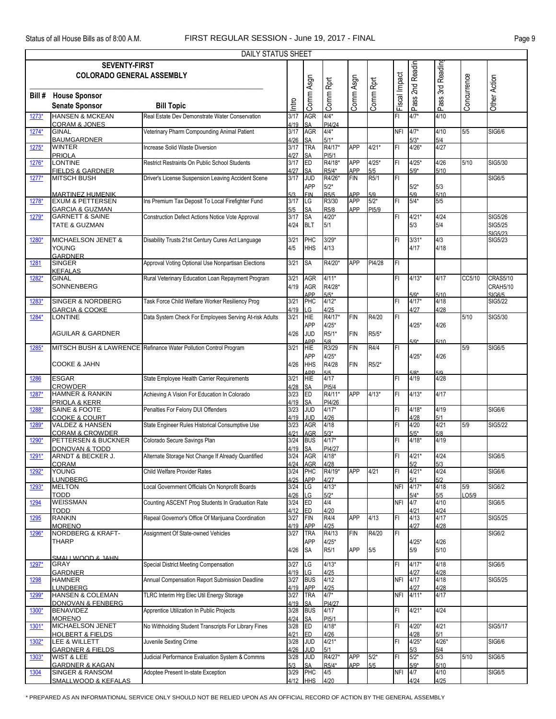|         | DAILY STATUS SHEET                                                |                                                                  |                      |                                      |                                      |                   |                |               |                       |                    |              |                                                     |  |
|---------|-------------------------------------------------------------------|------------------------------------------------------------------|----------------------|--------------------------------------|--------------------------------------|-------------------|----------------|---------------|-----------------------|--------------------|--------------|-----------------------------------------------------|--|
|         | <b>SEVENTY-FIRST</b><br><b>COLORADO GENERAL ASSEMBLY</b>          |                                                                  |                      |                                      |                                      |                   |                |               | Pass 2nd Readin       | Pass 3rd Reading   |              |                                                     |  |
| Bill #  | <b>House Sponsor</b><br><b>Senate Sponsor</b>                     | <b>Bill Topic</b>                                                | Intro                | Comm Asgn                            | Comm Rprt                            | Comm Asgn         | Comm Rprt      | Fiscal Impact |                       |                    | Concurrence  | Other Action                                        |  |
| 1273*   | <b>HANSEN &amp; MCKEAN</b>                                        | Real Estate Dev Demonstrate Water Conservation                   | 3/17                 | AGR                                  | $4/4*$                               |                   |                | FI            | $4/7*$                | 4/10               |              |                                                     |  |
| 1274*   | <b>CORAM &amp; JONES</b><br><b>GINAL</b>                          | Veterinary Pharm Compounding Animal Patient                      | 4/19<br>3/17         | <b>SA</b><br>AGR                     | PI4/24<br>$4/4*$                     |                   |                | <b>NFI</b>    | $4/7*$                | 4/10               | 5/5          | <b>SIG6/6</b>                                       |  |
|         | <b>BAUMGARDNER</b>                                                |                                                                  | 4/26                 | SA<br>TRA                            | $5/1*$                               |                   |                |               | $5/3*$                | 5/4                |              |                                                     |  |
| 1275*   | <b>WINTER</b><br><b>PRIOLA</b>                                    | Increase Solid Waste Diversion                                   | 3/17<br>4/27         | SA                                   | R4/17*<br>PI <sub>5</sub> /1         | <b>APP</b>        | $4/21*$        | FI            | $4/26*$               | 4/27               |              |                                                     |  |
| 1276*   | <b>LONTINE</b><br><b>FIELDS &amp; GARDNER</b>                     | Restrict Restraints On Public School Students                    | 3/17<br>4/27         | ED<br>SA                             | R4/18*<br>R5/4*                      | APP<br>APP        | $4/25*$<br>5/5 | FI            | $4/25*$<br>$5/9*$     | 4/26<br>5/10       | 5/10         | SIG5/30                                             |  |
| 1277*   | <b>MITSCH BUSH</b>                                                | Driver's License Suspension Leaving Accident Scene               | 3/17                 | <b>JUD</b><br><b>APP</b>             | R4/26*<br>$5/2*$                     | <b>FIN</b>        | R5/1           | FI            | $5/2*$                | 5/3                |              | <b>SIG6/5</b>                                       |  |
| 1278*   | <b>MARTINEZ HUMENIK</b><br><b>EXUM &amp; PETTERSEN</b>            | Ins Premium Tax Deposit To Local Firefighter Fund                | 5/3<br>3/17          | <b>FIN</b><br>LG                     | R5/5<br>R3/30                        | APP<br><b>APP</b> | 5/9<br>$5/2*$  | FI            | 5/9<br>$5/4*$         | 5/10<br>5/5        |              |                                                     |  |
| 1279*   | <b>GARCIA &amp; GUZMAN</b><br><b>GARNETT &amp; SAINE</b>          |                                                                  | 5/5<br>3/17          | SA<br><b>SA</b>                      | R <sub>5</sub> /8<br>$4/20*$         | APP               | PI5/9          | FI            | $4/21*$               | 4/24               |              | SIG5/26                                             |  |
|         | TATE & GUZMAN                                                     | Construction Defect Actions Notice Vote Approval                 | 4/24                 | <b>BLT</b>                           | 5/1                                  |                   |                |               | 5/3                   | 5/4                |              | SIG5/25<br>SIG5/23                                  |  |
| 1280*   | <b>MICHAELSON JENET &amp;</b><br><b>YOUNG</b><br>GARDNER          | Disability Trusts 21st Century Cures Act Language                | 3/21<br>4/5          | PHC<br><b>HHS</b>                    | $3/29*$<br>4/13                      |                   |                | FI            | $3/31*$<br>4/17       | 4/3<br>4/18        |              | SIG5/23                                             |  |
| 1281    | <b>SINGER</b><br><b>KEFALAS</b>                                   | Approval Voting Optional Use Nonpartisan Elections               | 3/21                 | <b>SA</b>                            | R4/20*                               | <b>APP</b>        | PI4/28         | FL            |                       |                    |              |                                                     |  |
| 1282*   | <b>GINAL</b><br>SONNENBERG                                        | Rural Veterinary Education Loan Repayment Program                | 3/21<br>4/19         | AGR<br><b>AGR</b><br><b>APP</b>      | $4/11*$<br>R4/28*<br>$5/5*$          |                   |                | FI            | $4/13*$<br>$5/9*$     | 4/17<br>5/10       | CC5/10       | <b>CRAS5/10</b><br><b>CRAH5/10</b><br><b>SIG6/5</b> |  |
| 1283*   | <b>SINGER &amp; NORDBERG</b><br><b>GARCIA &amp; COOKE</b>         | Task Force Child Welfare Worker Resiliency Prog                  | 3/21<br>4/19         | PHC<br>LG                            | $4/12*$<br>4/25                      |                   |                | FI            | $4/17*$<br>4/27       | 4/18<br>4/28       |              | SIG5/22                                             |  |
| 1284*   | <b>LONTINE</b>                                                    | Data System Check For Employees Serving At-risk Adults           | 3/21                 | <b>HIE</b><br><b>APP</b>             | R4/17*<br>$4/25*$                    | <b>FIN</b>        | R4/20          | IF۱           | $4/25*$               | 4/26               | 5/10         | SIG5/30                                             |  |
|         | <b>AGUILAR &amp; GARDNER</b>                                      |                                                                  | 4/26                 | <b>JUD</b><br><b>APP</b>             | R5/1*<br>5/8                         | <b>FIN</b>        | R5/5*          |               | $5/9*$                | 5/10               |              |                                                     |  |
| 1285*   |                                                                   | MITSCH BUSH & LAWRENCE Refinance Water Pollution Control Program | 3/21                 | <b>HIE</b><br>APP                    | R3/29<br>$4/25*$                     | FIN               | R4/4           | FL            | $4/25*$               | 4/26               | 5/9          | <b>SIG6/5</b>                                       |  |
|         | <b>COOKE &amp; JAHN</b>                                           |                                                                  | 4/26                 | <b>HHS</b><br><b>SDD</b>             | R4/28                                | <b>FIN</b>        | R5/2*          |               |                       |                    |              |                                                     |  |
| 1286    | <b>ESGAR</b><br><b>CROWDER</b>                                    | State Employee Health Carrier Requirements                       | 3/21<br>4/28         | <b>HIE</b><br><b>SA</b>              | 4/17<br>PI <sub>5</sub> /4           |                   |                | FI            | 4/19                  | 4/28               |              |                                                     |  |
| 1287*   | <b>HAMNER &amp; RANKIN</b><br>PRIOLA & KERR                       | Achieving A Vision For Education In Colorado                     | 3/23<br>4/19         | <b>ED</b><br><b>SA</b>               | R4/11*<br>PI4/26                     | APP               | $4/13*$        | FL            | $4/13*$               | 4/17               |              |                                                     |  |
| 1288    | <b>SAINE &amp; FOOTE</b><br><b>COOKE &amp; COURT</b>              | Penalties For Felony DUI Offenders                               | 3/23<br>4/19         | g<br><b>JUD</b>                      | $4/17*$<br>4/26                      |                   |                | FI            | $4/18*$<br>4/28       | 4/19<br>5/1        |              | <b>SIG6/6</b>                                       |  |
| 1289*   | <b>VALDEZ &amp; HANSEN</b><br><b>CORAM &amp; CROWDER</b>          | State Engineer Rules Historical Consumptive Use                  | 3/23<br>4/21         | AGR<br>AGR                           | 4/18<br>$5/3*$                       |                   |                | FI            | 4/20<br>$5/5*$        | 4/21<br>5/8        | 5/9          | SIG5/22                                             |  |
| 1290*   | PETTERSEN & BUCKNER<br><b>DONOVAN &amp; TODD</b>                  | Colorado Secure Savings Plan                                     | 3/24<br>4/19         | <b>BUS</b><br>SA                     | $4/17*$<br>PI4/27                    |                   |                | FI            | $4/18*$               | 4/19               |              |                                                     |  |
| $1291*$ | ARNDT & BECKER J.<br><b>CORAM</b>                                 | Alternate Storage Not Change If Already Quantified               | 4/24                 | 3/24 AGR<br><b>AGR</b>               | $4/18*$<br>4/28                      |                   |                | IF۱           | $4/21*$<br>5/2        | 4/24<br>5/3        |              | <b>SIG6/5</b>                                       |  |
| 1292*   | YOUNG                                                             | Child Welfare Provider Rates                                     | 3/24                 | PHC                                  | R4/19*                               | <b>APP</b>        | 4/21           | FI            | $4/21*$               | 4/24               |              | <b>SIG6/6</b>                                       |  |
| 1293*   | <b>LUNDBERG</b><br><b>MELTON</b><br><b>TODD</b>                   | Local Government Officials On Nonprofit Boards                   | 4/25<br>3/24         | APP<br>LG<br>LG                      | 4/27<br>$4/13*$<br>$5/2*$            |                   |                | <b>NFI</b>    | 5/1<br>$4/17*$        | 5/2<br>4/18<br>5/5 | 5/9<br>LO5/9 | <b>SIG6/2</b>                                       |  |
| 1294    | WEISSMAN<br><b>TODD</b>                                           | Counting ASCENT Prog Students In Graduation Rate                 | 4/26<br>3/24<br>4/12 | ED<br><b>ED</b>                      | 4/4<br>4/20                          |                   |                | <b>NFI</b>    | $5/4*$<br>4/7<br>4/21 | 4/10<br>4/24       |              | SIG6/5                                              |  |
| 1295    | <b>RANKIN</b>                                                     | Repeal Governor's Office Of Marijuana Coordination               | 3/27                 | FIN                                  | R4/4                                 | APP               | 4/13           | FI            | 4/13                  | 4/17               |              | SIG5/25                                             |  |
| 1296*   | <b>MORENO</b><br><b>NORDBERG &amp; KRAFT-</b>                     | Assignment Of State-owned Vehicles                               | 4/19<br>3/27         | <b>APP</b><br><b>TRA</b>             | 4/25<br>R4/13                        | FIN               | R4/20          | FL            | 4/27                  | 4/28               |              | <b>SIG6/2</b>                                       |  |
|         | <b>THARP</b><br>SMALL WOOD & JAHN                                 |                                                                  | 4/26                 | <b>APP</b><br><b>SA</b>              | $4/25*$<br>R5/1                      | APP               | 5/5            |               | $4/25*$<br>5/9        | 4/26<br>5/10       |              |                                                     |  |
| 1297*   | GRAY<br><b>GARDNER</b>                                            | Special District Meeting Compensation                            | 3/27                 | LG                                   | $4/13*$                              |                   |                | IF۱           | $4/17*$               | 4/18               |              | SIG6/5                                              |  |
| 1298    | HAMNER                                                            | Annual Compensation Report Submission Deadline                   | 4/19<br>3/27         | LG<br><b>BUS</b>                     | 4/25<br>4/12                         |                   |                | <b>NFI</b>    | 4/27<br>4/17          | 4/28<br>4/18       |              | SIG5/25                                             |  |
| 1299*   | LUNDBERG<br><b>HANSEN &amp; COLEMAN</b>                           | TLRC Interim Hrg Elec Util Energy Storage                        | 4/19<br>3/27<br>4/19 | APP<br>TRA                           | 4/25<br>$4/7*$                       |                   |                | <b>NFI</b>    | 4/27<br>$4/11*$       | 4/28<br>4/17       |              |                                                     |  |
| 1300*   | <b>DONOVAN &amp; FENBERG</b><br><b>BENAVIDEZ</b><br><b>MORENO</b> | Apprentice Utilization In Public Projects                        | 3/28<br>4/24         | <b>SA</b><br><b>BUS</b><br><b>SA</b> | PI4/27<br>4/17<br>PI <sub>5</sub> /1 |                   |                | FI            | $4/21*$               | 4/24               |              |                                                     |  |
| 1301*   | MICHAELSON JENET<br><b>HOLBERT &amp; FIELDS</b>                   | No Withholding Student Transcripts For Library Fines             | 3/28<br>4/21         | <b>ED</b><br>ED.                     | $4/18*$<br>4/26                      |                   |                | FI            | 4/20*<br>4/28         | 4/21<br>5/1        |              | SIG5/17                                             |  |
| 1302*   | LEE & WILLETT<br><b>GARDNER &amp; FIELDS</b>                      | Juvenile Sexting Crime                                           | 3/28<br>4/26         | <b>JUD</b><br><b>JUD</b>             | $4/21*$<br>5/1                       |                   |                | FI            | $4/25*$<br>5/3        | $4/26*$<br>5/4     |              | SIG6/6                                              |  |
| 1303*   | WIST & LEE<br><b>GARDNER &amp; KAGAN</b>                          | Judicial Performance Evaluation System & Commns                  | 3/28<br>5/3          | <b>JUD</b><br>SΑ                     | R4/27*<br>R5/4*                      | <b>APP</b><br>APP | $5/2*$<br>5/5  | FI            | $5/2*$<br>$5/9*$      | 5/3<br>5/10        | 5/10         | <b>SIG6/5</b>                                       |  |
| 1304    | SINGER & RANSOM<br>SMALLWOOD & KEFALAS                            | Adoptee Present In-state Exception                               | 3/29<br>4/12         | PHC<br><b>HHS</b>                    | 4/5<br>4/20                          |                   |                | NFI           | 4/7<br>4/24           | 4/10<br>4/25       |              | SIG6/5                                              |  |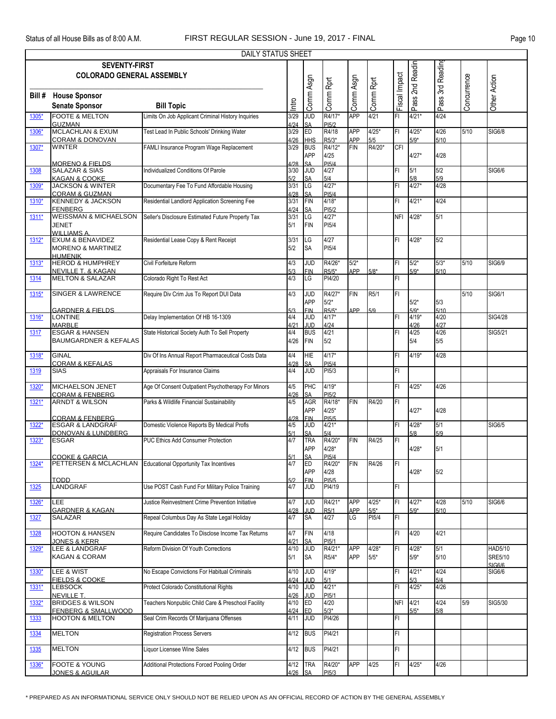|         | <b>DAILY STATUS SHEET</b><br><b>SEVENTY-FIRST</b>                             |                                                              |                     |                                      |                                          |                          |                    |               |                    |                  |             |                                     |  |  |
|---------|-------------------------------------------------------------------------------|--------------------------------------------------------------|---------------------|--------------------------------------|------------------------------------------|--------------------------|--------------------|---------------|--------------------|------------------|-------------|-------------------------------------|--|--|
|         | <b>COLORADO GENERAL ASSEMBLY</b>                                              |                                                              |                     |                                      |                                          |                          |                    |               |                    |                  |             |                                     |  |  |
|         |                                                                               |                                                              |                     |                                      |                                          |                          |                    | Fiscal Impact | Pass 2nd Readin    | Pass 3rd Reading |             |                                     |  |  |
|         | <b>Bill # House Sponsor</b>                                                   |                                                              |                     | Comm Asgn                            | Comm Rprt                                | Comm Asgn                | Comm Rprt          |               |                    |                  | Concurrence | Other Action                        |  |  |
|         | <b>Senate Sponsor</b>                                                         | <b>Bill Topic</b>                                            | Intro               |                                      |                                          |                          |                    |               |                    |                  |             |                                     |  |  |
| 1305*   | <b>FOOTE &amp; MELTON</b><br><b>GUZMAN</b>                                    | Limits On Job Applicant Criminal History Inquiries           | 3/29<br>4/24        | JUD<br>SA                            | R4/17*<br>PI <sub>5</sub> /2             | <b>APP</b>               | 4/21               | FI            | $4/21*$            | 4/24             |             |                                     |  |  |
| 1306*   | <b>MCLACHLAN &amp; EXUM</b><br><b>CORAM &amp; DONOVAN</b>                     | Test Lead In Public Schools' Drinking Water                  | 3/29<br>4/26        | ED<br><b>HHS</b>                     | R4/18<br>R5/3*                           | <b>APP</b><br><b>APP</b> | $4/25*$            | FI            | $4/25*$<br>$5/9*$  | 4/26<br>5/10     | 5/10        | <b>SIG6/8</b>                       |  |  |
| 1307*   | <b>WINTER</b>                                                                 | FAMLI Insurance Program Wage Replacement                     | 3/29                | <b>BUS</b><br>APP                    | R4/12*<br>4/25                           | <b>FIN</b>               | 5/5<br>R4/20*      | CFI           | $4/27*$            | 4/28             |             |                                     |  |  |
| 1308    | MORENO & FIFI DS<br><b>SALAZAR &amp; SIAS</b><br>KAGAN & COOKE                | ndividualized Conditions Of Parole                           | 1/28<br>3/30<br>5/2 | SΔ<br><b>JUD</b><br>SΑ               | PI5/4<br>4/27<br>5/4                     |                          |                    | FI            | 5/1<br>5/8         | 5/2<br>5/9       |             | SIG6/6                              |  |  |
| 1309*   | <b>JACKSON &amp; WINTER</b><br><b>CORAM &amp; GUZMAN</b>                      | Documentary Fee To Fund Affordable Housing                   | 3/31<br>4/28        | LG<br><b>SA</b>                      | $4/27*$<br><b>PI5/4</b>                  |                          |                    | FI            | $4/27*$            | 4/28             |             |                                     |  |  |
| 1310*   | <b>KENNEDY &amp; JACKSON</b><br><b>FENBERG</b>                                | Residential Landlord Application Screening Fee               | 3/31<br>4/24        | <b>FIN</b><br>SA                     | $4/18*$<br>PI5/2                         |                          |                    | FI            | $4/21*$            | 4/24             |             |                                     |  |  |
| $1311*$ | <b>WEISSMAN &amp; MICHAELSON</b><br><b>JENET</b><br><b>WILLIAMS A.</b>        | Seller's Disclosure Estimated Future Property Tax            | 3/31<br>5/1         | LG<br><b>FIN</b>                     | $4/27*$<br>PI <sub>5</sub> /4            |                          |                    | NFI           | $4/28*$            | 5/1              |             |                                     |  |  |
| $1312*$ | <b>EXUM &amp; BENAVIDEZ</b><br><b>MORENO &amp; MARTINEZ</b><br><b>HUMENIK</b> | Residential Lease Copy & Rent Receipt                        | 3/31<br>5/2         | LG<br><b>SA</b>                      | 4/27<br>PI <sub>5</sub> /4               |                          |                    | FI            | $4/28*$            | 5/2              |             |                                     |  |  |
| 1313*   | <b>HEROD &amp; HUMPHREY</b><br><b>NEVILLE T. &amp; KAGAN</b>                  | Civil Forfeiture Reform                                      | 4/3<br>5/3          | <b>JUD</b><br><b>FIN</b>             | R4/26*<br>$R5/5*$                        | $5/2*$<br>APP            | $5/8*$             | FI            | $5/2*$<br>$5/9*$   | $5/3*$<br>5/10   | 5/10        | SIG6/9                              |  |  |
| 1314    | <b>MELTON &amp; SALAZAR</b>                                                   | Colorado Right To Rest Act                                   | 4/3                 | LG                                   | PI4/20                                   |                          |                    | FI            |                    |                  |             |                                     |  |  |
| 1315*   | <b>SINGER &amp; LAWRENCE</b>                                                  | Require Div Crim Jus To Report DUI Data                      | 4/3                 | JUD<br>APP                           | R4/27*<br>$5/2*$                         | <b>FIN</b>               | R5/1               | FI            | $5/2*$             | 5/3              | 5/10        | SIG6/1                              |  |  |
| 1316*   | <b>GARDNER &amp; FIFLDS</b><br><b>LONTINE</b>                                 | Delay Implementation Of HB 16-1309                           | 5/3<br>4/4          | <b>FIN</b><br><b>JUD</b>             | $R5/5*$<br>$4/17*$                       | APP                      | 5/9                | FI            | $5/9*$<br>$4/19*$  | 5/10<br>4/20     |             | <b>SIG4/28</b>                      |  |  |
| 1317    | <b>MARBLE</b><br><b>ESGAR &amp; HANSEN</b>                                    | State Historical Society Auth To Sell Property               | 4/21<br>4/4         | JUD<br><b>BUS</b>                    | 4/24<br>4/21                             |                          |                    | FI            | 4/26<br>4/25       | 4/27<br>4/26     |             | SIG5/21                             |  |  |
|         | <b>BAUMGARDNER &amp; KEFALAS</b>                                              |                                                              | 4/26                | <b>FIN</b>                           | 5/2                                      |                          |                    |               | 5/4                | 5/5              |             |                                     |  |  |
| 1318*   | <b>GINAL</b><br><b>CORAM &amp; KEFALAS</b>                                    | Div Of Ins Annual Report Pharmaceutical Costs Data           | 4/4<br>4/28         | <b>HIE</b><br>SA                     | $4/17*$<br><b>PI5/4</b>                  |                          |                    | FI            | $4/19*$            | 4/28             |             |                                     |  |  |
| 1319    | <b>SIAS</b>                                                                   | Appraisals For Insurance Claims                              | 4/4                 | <b>JUD</b>                           | PI <sub>5</sub> /3                       |                          |                    | FI            |                    |                  |             |                                     |  |  |
| 1320*   | <b>MICHAELSON JENET</b><br><b>CORAM &amp; FENBERG</b>                         | Age Of Consent Outpatient Psychotherapy For Minors           | 4/5<br>4/26         | PHC<br><b>SA</b>                     | $4/19*$<br>PI5/2                         |                          |                    | FI            | $4/25*$            | 4/26             |             |                                     |  |  |
| 1321*   | <b>ARNDT &amp; WILSON</b><br><b>CORAM &amp; FENBERG</b>                       | Parks & Wildlife Financial Sustainability                    | 4/5<br>4/28         | <b>AGR</b><br>APP<br><b>FIN</b>      | R4/18*<br>$4/25*$<br>PI5/5               | <b>FIN</b>               | R4/20              | FI            | $4/27*$            | 4/28             |             |                                     |  |  |
| 1322*   | <b>ESGAR &amp; LANDGRAF</b><br><b>DONOVAN &amp; LUNDBERG</b>                  | Domestic Violence Reports By Medical Profls                  | 4/5<br>5/1          | <b>JUD</b><br>SA                     | $4/21*$<br>5/4                           |                          |                    | FI            | $4/28*$<br>5/8     | 5/1<br>5/9       |             | SIG6/5                              |  |  |
| 1323*   | <b>ESGAR</b>                                                                  | PUC Ethics Add Consumer Protection                           | 4/7                 | <b>TRA</b><br><b>APP</b>             | R4/20*<br>$4/28*$                        | <b>FIN</b>               | R4/25              | FI            | $4/28*$            | 5/1              |             |                                     |  |  |
| $1324*$ | <b>COOKE &amp; GARCIA</b>                                                     | PETTERSEN & MCLACHLAN Educational Opportunity Tax Incentives | 5/1<br>4/7          | <b>SA</b><br><b>ED</b><br><b>APP</b> | PI5/4<br>R4/20*<br>4/28                  | <b>FIN</b>               | R4/26              | FI            | $4/28*$            | 5/2              |             |                                     |  |  |
| 1325    | <b>TODD</b><br>LANDGRAF                                                       | Use POST Cash Fund For Military Police Training              | 5/2<br>4/7          | <b>FIN</b><br><b>JUD</b>             | PI <sub>5</sub> / <sub>5</sub><br>PI4/19 |                          |                    | FL            |                    |                  |             |                                     |  |  |
| 1326*   | LEE.<br><b>GARDNER &amp; KAGAN</b>                                            | Justice Reinvestment Crime Prevention Initiative             | 4/7<br>4/28         | <b>JUD</b><br><b>JUD</b>             | R4/21*<br>R <sub>5</sub> /1              | <b>APP</b><br><b>APP</b> | $4/25*$<br>$5/5*$  | FI            | $4/27*$<br>$5/9*$  | 4/28<br>5/10     | 5/10        | <b>SIG6/6</b>                       |  |  |
| 1327    | SALAZAR                                                                       | Repeal Columbus Day As State Legal Holiday                   | 4/7                 | <b>SA</b>                            | 4/27                                     | LG                       | PI <sub>5</sub> /4 | FI            |                    |                  |             |                                     |  |  |
| 1328    | <b>HOOTON &amp; HANSEN</b><br><b>JONES &amp; KERR</b>                         | Require Candidates To Disclose Income Tax Returns            | 4/7<br>4/21         | <b>FIN</b><br>SA                     | 4/18<br>PI <sub>5</sub> /1               |                          |                    | FI            | 4/20               | 4/21             |             |                                     |  |  |
| 1329*   | LEE & LANDGRAF<br>KAGAN & CORAM                                               | Reform Division Of Youth Corrections                         | 4/10<br>5/1         | JUD<br>SA                            | R4/21*<br>R5/4*                          | <b>APP</b><br>APP        | $4/28*$<br>$5/5*$  | FI            | $4/28*$<br>$5/9*$  | 5/1<br>5/10      |             | HAD5/10<br>SRE5/10<br><b>SIG6/6</b> |  |  |
| 1330*   | LEE & WIST<br><b>FIELDS &amp; COOKE</b>                                       | No Escape Convictions For Habitual Criminals                 | 4/10<br>4/24        | g<br>JUD                             | $4/19*$<br>5/1                           |                          |                    | FI            | $4/21*$<br>5/3     | 4/24<br>5/4      |             | <b>SIG6/6</b>                       |  |  |
| 1331*   | <b>LEBSOCK</b><br>NEVILLE T.                                                  | Protect Colorado Constitutional Rights                       | 4/10<br>4/26        | JUD<br><b>JUD</b>                    | $4/21*$<br>PI <sub>5</sub> /1            |                          |                    | FI            | $4/25*$            | 4/26             |             |                                     |  |  |
| 1332*   | <b>BRIDGES &amp; WILSON</b><br>FENBERG & SMALLWOOD                            | Teachers Nonpublic Child Care & Preschool Facility           | 4/10<br>4/24        | <b>ED</b><br><b>ED</b>               | 4/20<br>$5/3*$                           |                          |                    |               | NFI 4/21<br>$5/5*$ | 4/24<br>5/8      | 5/9         | <b>SIG5/30</b>                      |  |  |
| 1333    | <b>HOOTON &amp; MELTON</b>                                                    | Seal Crim Records Of Marijuana Offenses                      | 4/11                | <b>JUD</b>                           | PI4/26                                   |                          |                    | FI.           |                    |                  |             |                                     |  |  |
| 1334    | <b>MELTON</b>                                                                 | <b>Registration Process Servers</b>                          | 4/12                | <b>BUS</b>                           | PI4/21                                   |                          |                    | FI            |                    |                  |             |                                     |  |  |
| 1335    | <b>MELTON</b>                                                                 | Liquor Licensee Wine Sales                                   | 4/12                | <b>BUS</b>                           | PI4/21                                   |                          |                    | FI            |                    |                  |             |                                     |  |  |
| 1336*   | <b>FOOTE &amp; YOUNG</b><br><b>JONES &amp; AGUILAR</b>                        | Additional Protections Forced Pooling Order                  | 4/12<br>4/26        | <b>TRA</b><br><b>SA</b>              | R4/20*<br>PI <sub>5</sub> /3             | <b>APP</b>               | 4/25               | FL            | $4/25*$            | 4/26             |             |                                     |  |  |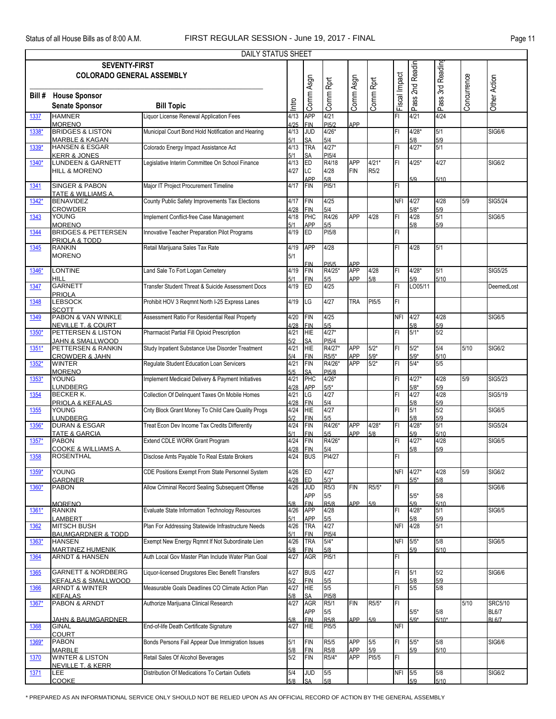|        |                                                             | DAILY STATUS SHEET                                 |             |                          |                                         |                   |                  |               |                     |             |             |                |  |
|--------|-------------------------------------------------------------|----------------------------------------------------|-------------|--------------------------|-----------------------------------------|-------------------|------------------|---------------|---------------------|-------------|-------------|----------------|--|
|        | Pass 2nd Readin<br><b>SEVENTY-FIRST</b><br>Pass 3rd Reading |                                                    |             |                          |                                         |                   |                  |               |                     |             |             |                |  |
|        | <b>COLORADO GENERAL ASSEMBLY</b>                            |                                                    |             |                          |                                         |                   |                  |               |                     |             |             |                |  |
|        |                                                             |                                                    |             | Comm Asgn                | Comm Rprt                               | Comm Asgn         | Comm Rprt        | Fiscal Impact |                     |             | Concurrence | Other Action   |  |
|        |                                                             |                                                    |             |                          |                                         |                   |                  |               |                     |             |             |                |  |
| Bill # | <b>House Sponsor</b>                                        |                                                    |             |                          |                                         |                   |                  |               |                     |             |             |                |  |
|        | <b>Senate Sponsor</b>                                       | <b>Bill Topic</b>                                  | Intro       |                          |                                         |                   |                  |               |                     |             |             |                |  |
| 1337   | <b>HAMNER</b>                                               | Liquor License Renewal Application Fees            | 4/13        | <b>APP</b>               | 4/21                                    |                   |                  | FI            | 4/21                | 4/24        |             |                |  |
|        | <b>MORENO</b>                                               |                                                    | 4/25        | <b>FIN</b>               | PI <sub>5</sub> /2                      | APP               |                  |               |                     |             |             |                |  |
| 1338*  | <b>BRIDGES &amp; LISTON</b>                                 | Municipal Court Bond Hold Notification and Hearing | 4/13        | <b>JUD</b>               | $4/26*$                                 |                   |                  | FI            | $4/28$ <sup>*</sup> | 5/1         |             | <b>SIG6/6</b>  |  |
|        | <b>MARBLE &amp; KAGAN</b>                                   |                                                    | 5/1         | <b>SA</b><br><b>TRA</b>  | 5/4                                     |                   |                  | FI            | 5/8<br>$4/27*$      | 5/9<br>5/1  |             |                |  |
| 1339*  | <b>HANSEN &amp; ESGAR</b><br><b>KERR &amp; JONES</b>        | Colorado Energy Impact Assistance Act              | 4/13        |                          | $4/27*$<br>PI <sub>5</sub> /4           |                   |                  |               |                     |             |             |                |  |
| 1340*  | <b>LUNDEEN &amp; GARNETT</b>                                | Legislative Interim Committee On School Finance    | 5/1<br>4/13 | SA<br>ED                 | R4/18                                   | <b>APP</b>        | $4/21*$          | FI            | $4/25*$             | 4/27        |             | SIG6/2         |  |
|        | <b>HILL &amp; MORENO</b>                                    |                                                    | 4/27        | LC                       | 4/28                                    | <b>FIN</b>        | R5/2             |               |                     |             |             |                |  |
|        |                                                             |                                                    |             | APP                      | 5/8                                     |                   |                  |               | 5/9                 | 5/10        |             |                |  |
| 1341   | <b>SINGER &amp; PABON</b>                                   | Major IT Project Procurement Timeline              | 4/17        | <b>FIN</b>               | PI <sub>5</sub> /1                      |                   |                  | FI            |                     |             |             |                |  |
|        | <b>TATE &amp; WILLIAMS A</b>                                |                                                    |             |                          |                                         |                   |                  |               |                     |             |             |                |  |
| 1342*  | <b>BENAVIDEZ</b>                                            | County Public Safety Improvements Tax Elections    | 4/17        | <b>FIN</b>               | 4/25                                    |                   |                  |               | NFI 4/27            | 4/28        | 5/9         | <b>SIG5/24</b> |  |
|        | <b>CROWDER</b>                                              |                                                    | 4/28        | <b>FIN</b>               | 5/4                                     |                   |                  |               | $5/8*$              | 5/9         |             |                |  |
| 1343   | YOUNG                                                       | Implement Conflict-free Case Management            | 4/18        | PHC                      | R4/26                                   | APP               | 4/28             | FI            | 4/28                | 5/1         |             | SIG6/5         |  |
| 1344   | <b>MORENO</b><br><b>BRIDGES &amp; PETTERSEN</b>             | Innovative Teacher Preparation Pilot Programs      | 5/1<br>4/19 | APP<br>ED                | 5/5<br>PI <sub>5/8</sub>                |                   |                  | FI            | 5/8                 | 5/9         |             |                |  |
|        | PRIOLA & TODD                                               |                                                    |             |                          |                                         |                   |                  |               |                     |             |             |                |  |
| 1345   | <b>RANKIN</b>                                               | Retail Marijuana Sales Tax Rate                    | 4/19        | <b>APP</b>               | 4/28                                    |                   |                  | FI            | 4/28                | 5/1         |             |                |  |
|        | <b>MORENO</b>                                               |                                                    | 5/1         |                          |                                         |                   |                  |               |                     |             |             |                |  |
|        |                                                             |                                                    |             | FIN                      | PI <sub>5</sub> /5                      | APP               |                  |               |                     |             |             |                |  |
| 1346*  | LONTINE                                                     | Land Sale To Fort Logan Cemetery                   | 4/19        | <b>FIN</b>               | R4/25*                                  | <b>APP</b>        | 4/28             | FI            | $4/28*$             | 5/1         |             | SIG5/25        |  |
|        | HILL                                                        |                                                    | 5/1         | <b>FIN</b>               | 5/5                                     | APP               | 5/8              |               | 5/9                 | 5/10        |             |                |  |
| 1347   | <b>GARNETT</b>                                              | Transfer Student Threat & Suicide Assessment Docs  | 4/19        | ED                       | 4/25                                    |                   |                  | FI            | LO05/11             |             |             | DeemedLost     |  |
| 1348   | <b>PRIOLA</b><br><b>LEBSOCK</b>                             | Prohibit HOV 3 Regmnt North I-25 Express Lanes     | 4/19        | LG                       | 4/27                                    | <b>TRA</b>        | PI5/5            | FI            |                     |             |             |                |  |
|        | <b>SCOTT</b>                                                |                                                    |             |                          |                                         |                   |                  |               |                     |             |             |                |  |
| 1349   | PABON & VAN WINKLE                                          | Assessment Ratio For Residential Real Property     | 4/20        | <b>FIN</b>               | 4/25                                    |                   |                  |               | NFI 4/27            | 4/28        |             | SIG6/5         |  |
|        | NEVILLE T. & COURT                                          |                                                    | 4/28        | <b>FIN</b>               | 5/5                                     |                   |                  |               | 5/8                 | 5/9         |             |                |  |
| 1350*  | PETTERSEN & LISTON                                          | Pharmacist Partial Fill Opioid Prescription        | 4/21        | HIE                      | $4/27*$                                 |                   |                  | FI            | $5/1*$              | 5/2         |             |                |  |
|        | <b>JAHN &amp; SMALLWOOD</b>                                 |                                                    | 5/2         | <b>SA</b>                | PI <sub>5</sub> /4                      |                   |                  |               |                     |             |             |                |  |
| 1351*  | PETTERSEN & RANKIN                                          | Study Inpatient Substance Use Disorder Treatment   | 4/21        | <b>HIE</b>               | R4/27*                                  | APP               | $5/2*$           | FI            | $5/2*$              | 5/4         | 5/10        | <b>SIG6/2</b>  |  |
|        | <b>CROWDER &amp; JAHN</b>                                   |                                                    | 5/4         | <b>FIN</b>               | R5/5*<br>R4/26*                         | APP<br>APP        | $5/9*$<br>$5/2*$ | FI            | $5/9*$<br>$5/4*$    | 5/10<br>5/5 |             |                |  |
| 1352*  | <b>WINTER</b><br><b>MORENO</b>                              | Regulate Student Education Loan Servicers          | 4/21<br>5/5 | <b>FIN</b>               |                                         |                   |                  |               |                     |             |             |                |  |
| 1353*  | YOUNG                                                       | Implement Medicaid Delivery & Payment Initiatives  | 4/21        | SΑ<br>PHC                | PI <sub>5</sub> /8<br>$4/26*$           |                   |                  | FI            | $4/27*$             | 4/28        | 5/9         | <b>SIG5/23</b> |  |
|        | LUNDBERG                                                    |                                                    | 4/28        | APP                      | $5/5*$                                  |                   |                  |               | $5/8*$              | 5/9         |             |                |  |
| 1354   | <b>BECKER K.</b>                                            | Collection Of Delinquent Taxes On Mobile Homes     | 4/21        | LG                       | 4/27                                    |                   |                  | FI            | 4/27                | 4/28        |             | SIG5/19        |  |
|        | PRIOLA & KEFALAS                                            |                                                    | 4/28        | <b>FIN</b>               | 5/4                                     |                   |                  |               | 5/8                 | 5/9         |             |                |  |
| 1355   | YOUNG                                                       | Cnty Block Grant Money To Child Care Quality Progs | 4/24        | HIE                      | 4/27                                    |                   |                  | FI            | 5/1                 | 5/2         |             | SIG6/5         |  |
|        | <b>LUNDBERG</b>                                             |                                                    | 5/2         | <b>FIN</b>               | 5/5                                     |                   |                  |               | 5/8                 | 5/9         |             |                |  |
| 1356*  | <b>DURAN &amp; ESGAR</b>                                    | Treat Econ Dev Income Tax Credits Differently      | 4/24<br>5/1 | <b>FIN</b><br><b>FIN</b> | R4/26*<br>5/5                           | <b>APP</b><br>APP | $4/28*$          | FI            | $4/28*$<br>5/9      | 5/1<br>5/10 |             | SIG5/24        |  |
| 1357*  | <b>TATE &amp; GARCIA</b><br><b>PABON</b>                    | Extend CDLE WORK Grant Program                     | 4/24        | <b>FIN</b>               | R4/26*                                  |                   | 5/8              | FI            | $4/27*$             | 4/28        |             | SIG6/5         |  |
|        | <b>COOKE &amp; WILLIAMS A.</b>                              |                                                    | 4/28        | <b>FIN</b>               | 5/4                                     |                   |                  |               | 5/8                 | 5/9         |             |                |  |
| 1358   | <b>ROSENTHAL</b>                                            | Disclose Amts Payable To Real Estate Brokers       | 4/24 BUS    |                          | PI4/27                                  |                   |                  | FI            |                     |             |             |                |  |
|        |                                                             |                                                    |             |                          |                                         |                   |                  |               |                     |             |             |                |  |
| 1359*  | <b>YOUNG</b>                                                | CDE Positions Exempt From State Personnel System   | 4/26        | <b>ED</b>                | 4/27                                    |                   |                  | NFI           | $4/27*$             | 4/28        | 5/9         | <b>SIG6/2</b>  |  |
|        | <b>GARDNER</b>                                              |                                                    | 4/28        | <b>ED</b>                | $5/3*$                                  |                   |                  |               | $5/5*$              | 5/8         |             |                |  |
| 1360*  | <b>PABON</b>                                                | Allow Criminal Record Sealing Subsequent Offense   | 4/26        | <b>JUD</b><br><b>APP</b> | R5/3<br>5/5                             | <b>FIN</b>        | R5/5*            | FI            | $5/5*$              | 5/8         |             | <b>SIG6/6</b>  |  |
|        | <b>MORENO</b>                                               |                                                    | 5/8         | FIN                      | R <sub>5</sub> /8                       | APP               | 5/9              |               | 5/9                 | 5/10        |             |                |  |
| 1361*  | <b>RANKIN</b>                                               | Evaluate State Information Technology Resources    | 4/26        | <b>APP</b>               | 4/28                                    |                   |                  | FI            | $4/28*$             | 5/1         |             | SIG6/5         |  |
|        | <b>LAMBERT</b>                                              |                                                    | 5/1         | <b>APP</b>               | 5/5                                     |                   |                  |               | 5/8                 | 5/9         |             |                |  |
| 1362   | <b>MITSCH BUSH</b>                                          | Plan For Addressing Statewide Infrastructure Needs | 4/26        | <b>TRA</b>               | 4/27                                    |                   |                  | NFI           | 4/28                | 5/1         |             |                |  |
|        | <b>BAUMGARDNER &amp; TODD</b>                               |                                                    | 5/1         | <b>FIN</b>               | PI <sub>5</sub> /4                      |                   |                  |               |                     |             |             |                |  |
| 1363*  | <b>HANSEN</b>                                               | Exempt New Energy Rgmnt If Not Subordinate Lien    | 4/26        | <b>TRA</b>               | $5/4*$                                  |                   |                  | NFI           | $5/5*$              | 5/8         |             | SIG6/5         |  |
| 1364   | <b>MARTINEZ HUMENIK</b><br><b>ARNDT &amp; HANSEN</b>        | Auth Local Gov Master Plan Include Water Plan Goal | 5/8<br>4/27 | <b>FIN</b><br><b>AGR</b> | 5/8<br>PI <sub>5</sub> /1               |                   |                  | FI            | 5/9                 | 5/10        |             |                |  |
|        |                                                             |                                                    |             |                          |                                         |                   |                  |               |                     |             |             |                |  |
| 1365   | <b>GARNETT &amp; NORDBERG</b>                               | Liquor-licensed Drugstores Elec Benefit Transfers  | 4/27        | <b>BUS</b>               | 4/27                                    |                   |                  | FI            | 5/1                 | 5/2         |             | SIG6/6         |  |
|        | <b>KEFALAS &amp; SMALLWOOD</b>                              |                                                    | 5/2         | <b>FIN</b>               | 5/5                                     |                   |                  |               | 5/8                 | 5/9         |             |                |  |
| 1366   | <b>ARNDT &amp; WINTER</b>                                   | Measurable Goals Deadlines CO Climate Action Plan  | 4/27        | <b>HIE</b>               | 5/5                                     |                   |                  | FI            | 5/5                 | 5/8         |             |                |  |
|        | <b>KEFALAS</b>                                              |                                                    | 5/8         |                          | PI <sub>5</sub> /8                      |                   |                  |               |                     |             |             |                |  |
| 1367*  | PABON & ARNDT                                               | Authorize Marijuana Clinical Research              | 4/27        | <b>AGR</b>               | R5/1                                    | <b>FIN</b>        | R5/5*            | FI            |                     |             | 5/10        | <b>SRC5/10</b> |  |
|        |                                                             |                                                    |             | APP                      | 5/5                                     |                   |                  |               | $5/5*$              | 5/8         |             | <b>BL6/7</b>   |  |
| 1368   | <u>JAHN &amp; BAUMGARDNER</u><br><b>GINAL</b>               | End-of-life Death Certificate Signature            | 5/8<br>4/27 | <b>FIN</b><br><b>HIE</b> | R <sub>5</sub> /8<br>PI <sub>5</sub> /5 | <b>APP</b>        | 5/9              | NFI           | $5/9*$              | $5/10*$     |             | <b>BL6/7</b>   |  |
|        | <b>COURT</b>                                                |                                                    |             |                          |                                         |                   |                  |               |                     |             |             |                |  |
| 1369*  | <b>PABON</b>                                                | Bonds Persons Fail Appear Due Immigration Issues   | 5/1         | FIN                      | R <sub>5</sub> /5                       | <b>APP</b>        | 5/5              | FI            | $5/5*$              | 5/8         |             | <b>SIG6/6</b>  |  |
|        | <b>MARBLE</b>                                               |                                                    | 5/8         | <b>FIN</b>               | R <sub>5</sub> /8                       | APP               | 5/9              |               | 5/9                 | 5/10        |             |                |  |
| 1370   | <b>WINTER &amp; LISTON</b>                                  | Retail Sales Of Alcohol Beverages                  | 5/2         | <b>FIN</b>               | R5/4*                                   | APP               | PI5/5            | FI            |                     |             |             |                |  |
|        | <b>NEVILLE T. &amp; KERR</b>                                |                                                    |             |                          |                                         |                   |                  |               |                     |             |             |                |  |
| 1371   | LEE                                                         | Distribution Of Medications To Certain Outlets     | 5/4         | <b>JUD</b>               | 5/5                                     |                   |                  | NFI 5/5       |                     | 5/8         |             | SIG6/2         |  |
|        | COOKE                                                       |                                                    | 5/8         | <b>SA</b>                | 5/8                                     |                   |                  |               | 5/9                 | 5/10        |             |                |  |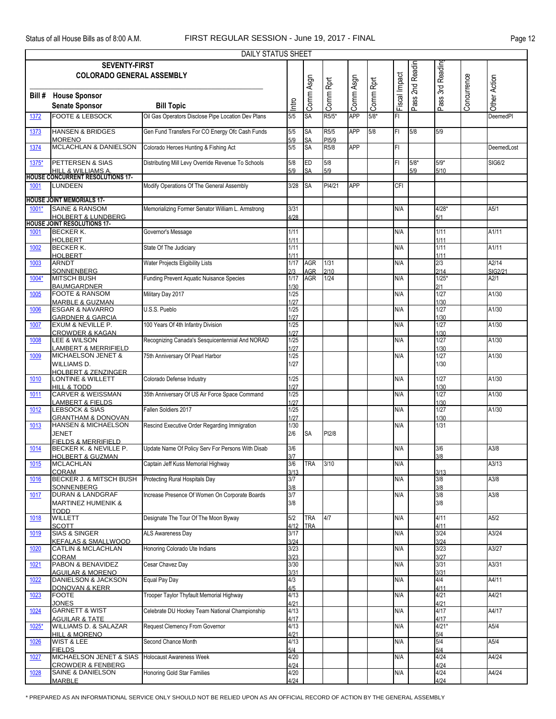|        | DAILY STATUS SHEET                                                  |                                                    |              |            |                                        |            |           |               |        |              |             |               |  |  |
|--------|---------------------------------------------------------------------|----------------------------------------------------|--------------|------------|----------------------------------------|------------|-----------|---------------|--------|--------------|-------------|---------------|--|--|
|        | Pass 2nd Readin<br><b>SEVENTY-FIRST</b><br>Pass 3rd Reading         |                                                    |              |            |                                        |            |           |               |        |              |             |               |  |  |
|        | <b>COLORADO GENERAL ASSEMBLY</b>                                    |                                                    |              |            |                                        |            |           |               |        |              |             |               |  |  |
|        |                                                                     |                                                    |              |            |                                        |            |           |               |        |              |             |               |  |  |
| Bill # | <b>House Sponsor</b>                                                |                                                    |              | Comm Asgn  | Comm Rprt                              | Comm Asgn  | Comm Rprt | Fiscal Impact |        |              | Concurrence | Other Action  |  |  |
|        | <b>Senate Sponsor</b>                                               | <b>Bill Topic</b>                                  | Intro        |            |                                        |            |           |               |        |              |             |               |  |  |
| 1372   | <b>FOOTE &amp; LEBSOCK</b>                                          | Oil Gas Operators Disclose Pipe Location Dev Plans | 5/5          | SA         | R5/5*                                  | <b>APP</b> | $5/8*$    | FI            |        |              |             | DeemedPl      |  |  |
|        |                                                                     |                                                    |              |            |                                        |            |           |               |        |              |             |               |  |  |
| 1373   | <b>HANSEN &amp; BRIDGES</b>                                         | Gen Fund Transfers For CO Energy Ofc Cash Funds    | 5/5          | SA         | R5/5                                   | <b>APP</b> | 5/8       | FI            | 5/8    | 5/9          |             |               |  |  |
|        | <b>MORENO</b>                                                       |                                                    | 5/9          | SA<br>SA   | PI <sub>5/9</sub><br>R <sub>5</sub> /8 | <b>APP</b> |           | FI            |        |              |             | DeemedLost    |  |  |
| 1374   | <b>MCLACHLAN &amp; DANIELSON</b>                                    | Colorado Heroes Hunting & Fishing Act              | 5/5          |            |                                        |            |           |               |        |              |             |               |  |  |
| 1375*  | PETTERSEN & SIAS                                                    | Distributing Mill Levy Override Revenue To Schools | 5/8          | ED         | 5/8                                    |            |           | FI.           | $5/8*$ | $5/9*$       |             | <b>SIG6/2</b> |  |  |
|        | <b>HILL &amp; WILLIAMS A</b>                                        |                                                    | 5/9          | SA         | 5/9                                    |            |           |               | 5/9    | 5/10         |             |               |  |  |
|        | <b>HOUSE CONCURRENT RESOLUTIONS 17-</b><br><b>LUNDEEN</b>           |                                                    |              |            | PI4/21                                 | <b>APP</b> |           |               |        |              |             |               |  |  |
| 1001   |                                                                     | Modify Operations Of The General Assembly          | 3/28         | <b>SA</b>  |                                        |            |           | CFI           |        |              |             |               |  |  |
|        | <b>HOUSE JOINT MEMORIALS 17-</b>                                    |                                                    |              |            |                                        |            |           |               |        |              |             |               |  |  |
| 1001*  | <b>SAINE &amp; RANSOM</b>                                           | Memorializing Former Senator William L. Armstrong  | 3/31         |            |                                        |            |           | N/A           |        | $4/28*$      |             | A5/1          |  |  |
|        | <b>HOLBERT &amp; LUNDBERG</b><br><b>HOUSE JOINT RESOLUTIONS 17-</b> |                                                    | 4/28         |            |                                        |            |           |               |        | 5/1          |             |               |  |  |
| 1001   | <b>BECKER K.</b>                                                    | Governor's Message                                 | 1/11         |            |                                        |            |           | N/A           |        | 1/11         |             | A1/11         |  |  |
|        | HOLBERT                                                             |                                                    | 1/11         |            |                                        |            |           |               |        | 1/11         |             |               |  |  |
| 1002   | <b>BECKER K.</b>                                                    | State Of The Judiciary                             | 1/11         |            |                                        |            |           | N/A           |        | 1/11         |             | A1/11         |  |  |
| 1003   | <b>HOLBERT</b><br><b>ARNDT</b>                                      | Water Projects Eligibility Lists                   | 1/11<br>1/17 | <b>AGR</b> | $1/31$                                 |            |           | N/A           |        | 1/11<br>2/3  |             | A2/14         |  |  |
|        | SONNENBERG                                                          |                                                    | 2/3          | AGR        | 2/10                                   |            |           |               |        | 2/14         |             | SIG2/21       |  |  |
| 1004*  | <b>MITSCH BUSH</b>                                                  | Funding Prevent Aquatic Nuisance Species           | 1/17         | AGR        | 1/24                                   |            |           | N/A           |        | $1/25*$      |             | A2/1          |  |  |
| 1005   | <b>BAUMGARDNER</b><br><b>FOOTE &amp; RANSOM</b>                     | Military Day 2017                                  | 1/30<br>1/25 |            |                                        |            |           | N/A           |        | 2/1<br>1/27  |             | A1/30         |  |  |
|        | <b>MARBLE &amp; GUZMAN</b>                                          |                                                    | 1/27         |            |                                        |            |           |               |        | 1/30         |             |               |  |  |
| 1006   | <b>ESGAR &amp; NAVARRO</b>                                          | U.S.S. Pueblo                                      | 1/25         |            |                                        |            |           | N/A           |        | 1/27         |             | A1/30         |  |  |
|        | <b>GARDNER &amp; GARCIA</b>                                         |                                                    | 1/27         |            |                                        |            |           |               |        | 1/30<br>1/27 |             | A1/30         |  |  |
| 1007   | EXUM & NEVILLE P.<br><b>CROWDER &amp; KAGAN</b>                     | 100 Years Of 4th Infantry Division                 | 1/25<br>1/27 |            |                                        |            |           | N/A           |        | 1/30         |             |               |  |  |
| 1008   | LEE & WILSON                                                        | Recognizing Canada's Sesquicentennial And NORAD    | 1/25         |            |                                        |            |           | N/A           |        | 1/27         |             | A1/30         |  |  |
|        | <u>LAMBERT &amp; MERRIFIELD</u>                                     |                                                    | 1/27         |            |                                        |            |           |               |        | 1/30         |             |               |  |  |
| 1009   | MICHAELSON JENET &<br>WILLIAMS D.                                   | 75th Anniversary Of Pearl Harbor                   | 1/25<br>1/27 |            |                                        |            |           | N/A           |        | 1/27<br>1/30 |             | A1/30         |  |  |
|        | <b>HOLBERT &amp; ZENZINGER</b>                                      |                                                    |              |            |                                        |            |           |               |        |              |             |               |  |  |
| 1010   | LONTINE & WILLETT                                                   | Colorado Defense Industry                          | 1/25         |            |                                        |            |           | N/A           |        | 1/27         |             | A1/30         |  |  |
|        | <b>HILL &amp; TODD</b><br><b>CARVER &amp; WEISSMAN</b>              |                                                    | 1/27         |            |                                        |            |           |               |        | 1/30         |             |               |  |  |
| 1011   | LAMBERT & FIELDS                                                    | 35th Anniversary Of US Air Force Space Command     | 1/25<br>1/27 |            |                                        |            |           | N/A           |        | 1/27<br>1/30 |             | A1/30         |  |  |
| 1012   | <b>LEBSOCK &amp; SIAS</b>                                           | Fallen Soldiers 2017                               | 1/25         |            |                                        |            |           | N/A           |        | 1/27         |             | A1/30         |  |  |
|        | <b>GRANTHAM &amp; DONOVAN</b>                                       |                                                    | 1/27         |            |                                        |            |           |               |        | 1/30         |             |               |  |  |
| 1013   | <b>HANSEN &amp; MICHAELSON</b><br><b>JENET</b>                      | Rescind Executive Order Regarding Immigration      | 1/30         |            |                                        |            |           | N/A           |        | 1/31         |             |               |  |  |
|        | <b>FIFLOS &amp; MERRIFIELD</b>                                      |                                                    | 2/6          | <b>SA</b>  | PI2/8                                  |            |           |               |        |              |             |               |  |  |
| 1014   | BECKER K. & NEVILLE P.                                              | Update Name Of Policy Serv For Persons With Disab  | 3/6          |            |                                        |            |           | N/A           |        | 3/6          |             | A3/8          |  |  |
|        | <b>HOLBERT &amp; GUZMAN</b>                                         |                                                    | 3/7          |            |                                        |            |           |               |        | 3/8          |             |               |  |  |
| 1015   | <b>MCLACHLAN</b><br><b>CORAM</b>                                    | Captain Jeff Kuss Memorial Highway                 | 3/6<br>3/13  | TRA        | 3/10                                   |            |           | N/A           |        | 3/13         |             | A3/13         |  |  |
| 1016   | BECKER J. & MITSCH BUSH                                             | Protecting Rural Hospitals Day                     | 3/7          |            |                                        |            |           | N/A           |        | 3/8          |             | A3/8          |  |  |
|        | <b>SONNENBERG</b>                                                   |                                                    | 3/8          |            |                                        |            |           |               |        | 3/8          |             |               |  |  |
| 1017   | DURAN & LANDGRAF<br><b>MARTINEZ HUMENIK &amp;</b>                   | Increase Presence Of Women On Corporate Boards     | 3/7<br>3/8   |            |                                        |            |           | N/A           |        | 3/8<br>3/8   |             | A3/8          |  |  |
|        | <b>TODD</b>                                                         |                                                    |              |            |                                        |            |           |               |        |              |             |               |  |  |
| 1018   | <b>WILLETT</b>                                                      | Designate The Tour Of The Moon Byway               | 5/2          | TRA        | 4/7                                    |            |           | N/A           |        | 4/11         |             | A5/2          |  |  |
|        | <b>SCOTT</b>                                                        |                                                    | 4/12         | <b>TRA</b> |                                        |            |           |               |        | 4/11         |             |               |  |  |
| 1019   | <b>SIAS &amp; SINGER</b><br><b>KEFALAS &amp; SMALLWOOD</b>          | ALS Awareness Day                                  | 3/17<br>3/24 |            |                                        |            |           | N/A           |        | 3/24<br>3/24 |             | A3/24         |  |  |
| 1020   | <b>CATLIN &amp; MCLACHLAN</b>                                       | Honoring Colorado Ute Indians                      | 3/23         |            |                                        |            |           | N/A           |        | 3/23         |             | A3/27         |  |  |
|        | <b>CORAM</b>                                                        |                                                    | 3/23         |            |                                        |            |           |               |        | 3/27         |             |               |  |  |
| 1021   | PABON & BENAVIDEZ                                                   | Cesar Chavez Day                                   | 3/30         |            |                                        |            |           | N/A           |        | 3/31         |             | A3/31         |  |  |
| 1022   | <b>AGUILAR &amp; MORENO</b><br>DANIELSON & JACKSON                  | Equal Pay Day                                      | 3/31<br>4/3  |            |                                        |            |           | N/A           |        | 3/31<br>4/4  |             | A4/11         |  |  |
|        | <b>DONOVAN &amp; KERR</b>                                           |                                                    | 4/5          |            |                                        |            |           |               |        | 4/11         |             |               |  |  |
| 1023   | <b>FOOTE</b>                                                        | Trooper Taylor Thyfault Memorial Highway           | 4/13         |            |                                        |            |           | N/A           |        | 4/21         |             | A4/21         |  |  |
| 1024   | <b>JONES</b><br><b>GARNETT &amp; WIST</b>                           | Celebrate DU Hockey Team National Championship     | 4/21<br>4/13 |            |                                        |            |           | N/A           |        | 4/21<br>4/17 |             | A4/17         |  |  |
|        | <b>AGUILAR &amp; TATE</b>                                           |                                                    | 4/17         |            |                                        |            |           |               |        | 4/17         |             |               |  |  |
| 1025*  | WILLIAMS D. & SALAZAR                                               | Request Clemency From Governor                     | 4/13         |            |                                        |            |           | N/A           |        | $4/21*$      |             | A5/4          |  |  |
|        | <b>HILL &amp; MORENO</b>                                            | Second Chance Month                                | 4/21<br>4/13 |            |                                        |            |           | N/A           |        | 5/4<br>5/4   |             | A5/4          |  |  |
| 1026   | <b>WIST &amp; LEE</b><br><b>FIELDS</b>                              |                                                    | 5/4          |            |                                        |            |           |               |        | 5/4          |             |               |  |  |
| 1027   | MICHAELSON JENET & SIAS                                             | <b>Holocaust Awareness Week</b>                    | 4/20         |            |                                        |            |           | N/A           |        | 4/24         |             | A4/24         |  |  |
|        | <b>CROWDER &amp; FENBERG</b>                                        |                                                    | 4/24         |            |                                        |            |           |               |        | 4/24         |             |               |  |  |
| 1028   | SAINE & DANIELSON<br><b>MARBLE</b>                                  | Honoring Gold Star Families                        | 4/20<br>4/24 |            |                                        |            |           | N/A           |        | 4/24<br>4/24 |             | A4/24         |  |  |
|        |                                                                     |                                                    |              |            |                                        |            |           |               |        |              |             |               |  |  |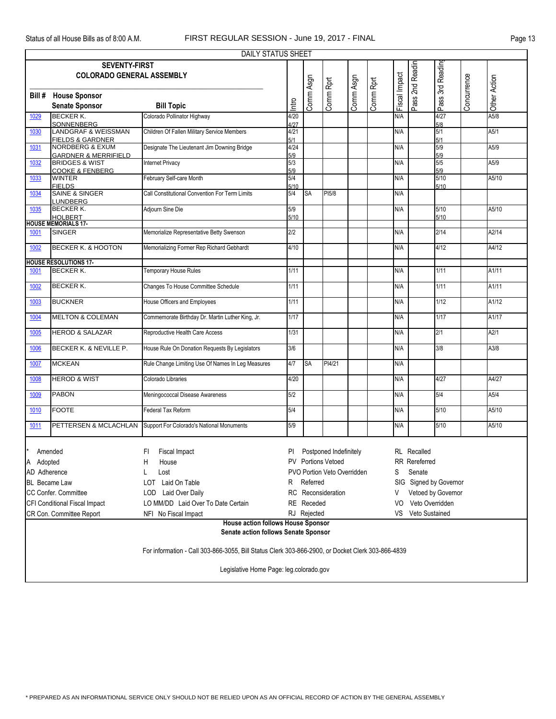| Pass 2nd Readin<br><b>SEVENTY-FIRST</b><br>Fiscal Impact<br><b>COLORADO GENERAL ASSEMBLY</b><br>Comm Asgn<br>Comm Asgn<br>Comm Rprt<br>Comm Rprt<br>Bill #<br><b>House Sponsor</b><br>Intro<br><b>Senate Sponsor</b><br><b>Bill Topic</b><br><b>BECKER K.</b><br>Colorado Pollinator Highway<br>4/20<br>N/A<br>1029<br><b>SONNENBERG</b><br>4/27<br>Children Of Fallen Military Service Members<br><b>LANDGRAF &amp; WEISSMAN</b><br>4/21<br>N/A<br>1030<br><b>FIELDS &amp; GARDNER</b><br>5/1<br><b>NORDBERG &amp; EXUM</b><br>Designate The Lieutenant Jim Downing Bridge<br>4/24<br>N/A<br>1031<br><b>GARDNER &amp; MERRIFIELD</b><br>5/9<br><b>BRIDGES &amp; WIST</b><br>5/3<br><b>Internet Privacy</b><br>N/A<br>1032 | Pass 3rd Reading<br>4/27<br>5/8<br>5/1<br>5/1<br>5/9<br>5/9<br>5/5<br>5/9<br>5/10<br>5/10 | Concurrence | Other Action<br>A5/8<br>A5/1<br>A5/9<br>A5/9 |
|----------------------------------------------------------------------------------------------------------------------------------------------------------------------------------------------------------------------------------------------------------------------------------------------------------------------------------------------------------------------------------------------------------------------------------------------------------------------------------------------------------------------------------------------------------------------------------------------------------------------------------------------------------------------------------------------------------------------------|-------------------------------------------------------------------------------------------|-------------|----------------------------------------------|
|                                                                                                                                                                                                                                                                                                                                                                                                                                                                                                                                                                                                                                                                                                                            |                                                                                           |             |                                              |
|                                                                                                                                                                                                                                                                                                                                                                                                                                                                                                                                                                                                                                                                                                                            |                                                                                           |             |                                              |
|                                                                                                                                                                                                                                                                                                                                                                                                                                                                                                                                                                                                                                                                                                                            |                                                                                           |             |                                              |
|                                                                                                                                                                                                                                                                                                                                                                                                                                                                                                                                                                                                                                                                                                                            |                                                                                           |             |                                              |
|                                                                                                                                                                                                                                                                                                                                                                                                                                                                                                                                                                                                                                                                                                                            |                                                                                           |             |                                              |
|                                                                                                                                                                                                                                                                                                                                                                                                                                                                                                                                                                                                                                                                                                                            |                                                                                           |             |                                              |
|                                                                                                                                                                                                                                                                                                                                                                                                                                                                                                                                                                                                                                                                                                                            |                                                                                           |             |                                              |
|                                                                                                                                                                                                                                                                                                                                                                                                                                                                                                                                                                                                                                                                                                                            |                                                                                           |             |                                              |
|                                                                                                                                                                                                                                                                                                                                                                                                                                                                                                                                                                                                                                                                                                                            |                                                                                           |             |                                              |
| <b>COOKE &amp; FENBERG</b><br>5/9                                                                                                                                                                                                                                                                                                                                                                                                                                                                                                                                                                                                                                                                                          |                                                                                           |             |                                              |
| February Self-care Month<br>5/4<br><b>WINTER</b><br>N/A<br>1033<br><b>FIELDS</b><br>5/10                                                                                                                                                                                                                                                                                                                                                                                                                                                                                                                                                                                                                                   |                                                                                           |             | A5/10                                        |
| <b>SAINE &amp; SINGER</b><br>Call Constitutional Convention For Term Limits<br>5/4<br>PI5/8<br>N/A<br>1034<br>SA<br><b>LUNDBERG</b>                                                                                                                                                                                                                                                                                                                                                                                                                                                                                                                                                                                        |                                                                                           |             |                                              |
| <b>BECKER K.</b><br>Adjourn Sine Die<br>5/9<br>N/A<br>1035                                                                                                                                                                                                                                                                                                                                                                                                                                                                                                                                                                                                                                                                 | 5/10                                                                                      |             | A5/10                                        |
| <b>HOLBERT</b><br>5/10<br><b>HOUSE MEMORIALS 17-</b>                                                                                                                                                                                                                                                                                                                                                                                                                                                                                                                                                                                                                                                                       | 5/10                                                                                      |             |                                              |
| Memorialize Representative Betty Swenson<br>2/2<br>1001<br><b>SINGER</b><br>N/A                                                                                                                                                                                                                                                                                                                                                                                                                                                                                                                                                                                                                                            | 2/14                                                                                      |             | A2/14                                        |
| BECKER K. & HOOTON<br>4/10<br>1002<br>Memorializing Former Rep Richard Gebhardt<br>N/A                                                                                                                                                                                                                                                                                                                                                                                                                                                                                                                                                                                                                                     | 4/12                                                                                      |             | A4/12                                        |
| <b>HOUSE RESOLUTIONS 17-</b>                                                                                                                                                                                                                                                                                                                                                                                                                                                                                                                                                                                                                                                                                               |                                                                                           |             |                                              |
| <b>BECKER K.</b><br><b>Temporary House Rules</b><br>1001<br>1/11<br>N/A                                                                                                                                                                                                                                                                                                                                                                                                                                                                                                                                                                                                                                                    | 1/11                                                                                      |             | A1/11                                        |
| <b>BECKER K.</b><br>Changes To House Committee Schedule<br>N/A<br>1002<br>1/11                                                                                                                                                                                                                                                                                                                                                                                                                                                                                                                                                                                                                                             | 1/11                                                                                      |             | A1/11                                        |
| <b>BUCKNER</b><br>House Officers and Employees<br>1/11<br>N/A<br>1003                                                                                                                                                                                                                                                                                                                                                                                                                                                                                                                                                                                                                                                      | 1/12                                                                                      |             | A1/12                                        |
| <b>MELTON &amp; COLEMAN</b><br>Commemorate Birthday Dr. Martin Luther King, Jr.<br>1/17<br>N/A<br>1004                                                                                                                                                                                                                                                                                                                                                                                                                                                                                                                                                                                                                     | 1/17                                                                                      |             | A1/17                                        |
| <b>HEROD &amp; SALAZAR</b><br>Reproductive Health Care Access<br>1/31<br>N/A<br>1005                                                                                                                                                                                                                                                                                                                                                                                                                                                                                                                                                                                                                                       | 2/1                                                                                       |             | A2/1                                         |
| BECKER K. & NEVILLE P.<br>3/6<br>N/A<br>1006<br>House Rule On Donation Requests By Legislators                                                                                                                                                                                                                                                                                                                                                                                                                                                                                                                                                                                                                             | 3/8                                                                                       |             | A3/8                                         |
| 1007<br><b>MCKEAN</b><br>Rule Change Limiting Use Of Names In Leg Measures<br>4/7<br>SA<br>PI4/21<br>N/A                                                                                                                                                                                                                                                                                                                                                                                                                                                                                                                                                                                                                   |                                                                                           |             |                                              |
| <b>HEROD &amp; WIST</b><br>Colorado Libraries<br>4/20<br>N/A<br>1008                                                                                                                                                                                                                                                                                                                                                                                                                                                                                                                                                                                                                                                       | 4/27                                                                                      |             | A4/27                                        |
| <b>PABON</b><br>Meningococcal Disease Awareness<br>5/2<br>1009<br>N/A                                                                                                                                                                                                                                                                                                                                                                                                                                                                                                                                                                                                                                                      | 5/4                                                                                       |             | A5/4                                         |
| <b>FOOTE</b><br>5/4<br>1010<br>Federal Tax Reform<br>N/A                                                                                                                                                                                                                                                                                                                                                                                                                                                                                                                                                                                                                                                                   | 5/10                                                                                      |             | A5/10                                        |
| PETTERSEN & MCLACHLAN<br>Support For Colorado's National Monuments<br>5/9<br>N/A<br>1011                                                                                                                                                                                                                                                                                                                                                                                                                                                                                                                                                                                                                                   | 5/10                                                                                      |             | A5/10                                        |
|                                                                                                                                                                                                                                                                                                                                                                                                                                                                                                                                                                                                                                                                                                                            |                                                                                           |             |                                              |
| Postponed Indefinitely<br><b>RL</b> Recalled<br>Amended<br>FI<br>Fiscal Impact<br>PI                                                                                                                                                                                                                                                                                                                                                                                                                                                                                                                                                                                                                                       |                                                                                           |             |                                              |
| PV Portions Vetoed<br><b>RR</b> Rereferred<br>A Adopted<br>H<br>House                                                                                                                                                                                                                                                                                                                                                                                                                                                                                                                                                                                                                                                      |                                                                                           |             |                                              |
| <b>PVO Portion Veto Overridden</b><br>Senate<br>AD Adherence<br>S<br>Lost                                                                                                                                                                                                                                                                                                                                                                                                                                                                                                                                                                                                                                                  |                                                                                           |             |                                              |
| <b>BL</b> Became Law<br>LOT Laid On Table<br>Referred<br>SIG Signed by Governor<br>R                                                                                                                                                                                                                                                                                                                                                                                                                                                                                                                                                                                                                                       |                                                                                           |             |                                              |
| CC Confer. Committee<br>Reconsideration<br>Vetoed by Governor<br>LOD Laid Over Daily<br>RC.<br>V                                                                                                                                                                                                                                                                                                                                                                                                                                                                                                                                                                                                                           |                                                                                           |             |                                              |
| CFI Conditional Fiscal Impact<br>LO MM/DD Laid Over To Date Certain<br>RE Receded<br>VO Veto Overridden                                                                                                                                                                                                                                                                                                                                                                                                                                                                                                                                                                                                                    |                                                                                           |             |                                              |
| Veto Sustained<br>RJ Rejected<br>CR Con. Committee Report<br>VS.<br>NFI No Fiscal Impact                                                                                                                                                                                                                                                                                                                                                                                                                                                                                                                                                                                                                                   |                                                                                           |             |                                              |
| <b>House action follows House Sponsor</b><br>Senate action follows Senate Sponsor                                                                                                                                                                                                                                                                                                                                                                                                                                                                                                                                                                                                                                          |                                                                                           |             |                                              |
| For information - Call 303-866-3055, Bill Status Clerk 303-866-2900, or Docket Clerk 303-866-4839                                                                                                                                                                                                                                                                                                                                                                                                                                                                                                                                                                                                                          |                                                                                           |             |                                              |
| Legislative Home Page: leg.colorado.gov                                                                                                                                                                                                                                                                                                                                                                                                                                                                                                                                                                                                                                                                                    |                                                                                           |             |                                              |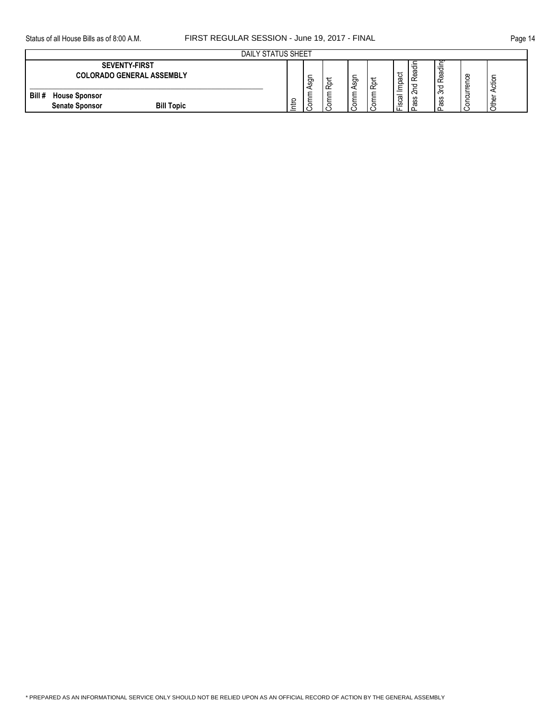| <b>DAILY STATUS SHEET</b>                                                    |        |         |        |          |                    |                                |                               |                             |         |        |
|------------------------------------------------------------------------------|--------|---------|--------|----------|--------------------|--------------------------------|-------------------------------|-----------------------------|---------|--------|
| <b>SEVENTY-FIRST</b><br><b>COLORADO GENERAL ASSEMBLY</b>                     |        | -<br>ğ  | ∽<br>운 | ngs<br>A | $\Omega$<br>$\sim$ | ಕ<br>ā<br>≏                    | ω<br>œ<br>$\sim$              | ້<br>ヮ<br>᠊ᢐ<br>Φ<br>$\sim$ | œ<br>Φ  | ਠ<br>ಕ |
| Bill #<br><b>House Sponsor</b><br><b>Bill Topic</b><br><b>Senate Sponsor</b> | C<br>∸ | $\circ$ | C      | l S      |                    | -<br>-<br>පි<br><u>ن</u><br>்ட | $\sim$<br><b>SC</b><br>S<br>অ | $\sim$<br>ഗ<br>S<br>᠊ᢐ      | $\circ$ | Φ      |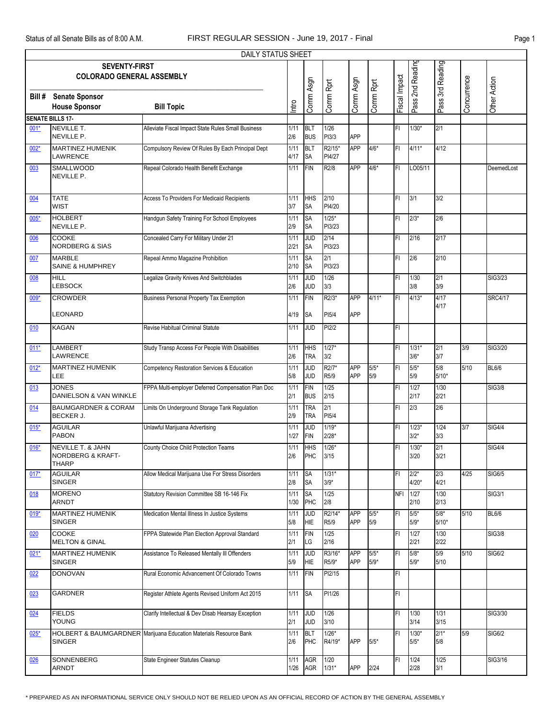|        |                                                                              | DAILY STATUS SHEET                                                |              |                          |                             |                   |                  |               |                    |                   |             |                |
|--------|------------------------------------------------------------------------------|-------------------------------------------------------------------|--------------|--------------------------|-----------------------------|-------------------|------------------|---------------|--------------------|-------------------|-------------|----------------|
|        | <b>SEVENTY-FIRST</b><br><b>COLORADO GENERAL ASSEMBLY</b>                     |                                                                   |              |                          |                             |                   |                  |               | Pass 2nd Reading   | Pass 3rd Reading  |             |                |
| Bill # | <b>Senate Sponsor</b><br><b>House Sponsor</b>                                | <b>Bill Topic</b>                                                 | Intro        | Comm Asgn                | Comm Rprt                   | Comm Asgn         | Comm Rprt        | Fiscal Impact |                    |                   | Concurrence | Other Action   |
|        | <b>SENATE BILLS 17-</b>                                                      |                                                                   |              |                          |                             |                   |                  |               |                    |                   |             |                |
| $001*$ | NEVILLE T.<br>NEVILLE P.                                                     | Alleviate Fiscal Impact State Rules Small Business                | 1/11<br>2/6  | <b>BLT</b><br><b>BUS</b> | 1/26<br>PI3/3               | APP               |                  | FI            | $1/30*$            | 2/1               |             |                |
| 002*   | <b>MARTINEZ HUMENIK</b>                                                      | Compulsory Review Of Rules By Each Principal Dept                 | 1/11         | <b>BLT</b>               | R2/15*                      | <b>APP</b>        | $4/6*$           | FI            | $4/11*$            | 4/12              |             |                |
| 003    | LAWRENCE<br>SMALLWOOD                                                        | Repeal Colorado Health Benefit Exchange                           | 4/17<br>1/11 | <b>SA</b><br><b>FIN</b>  | PI4/27<br>R <sub>2</sub> /8 | APP               | $4/6*$           | FI            | LO05/11            |                   |             | DeemedLost     |
|        | NEVILLE P.                                                                   |                                                                   |              |                          |                             |                   |                  |               |                    |                   |             |                |
| 004    | <b>TATE</b><br><b>WIST</b>                                                   | Access To Providers For Medicaid Recipients                       | 1/11<br>3/7  | <b>HHS</b><br><b>SA</b>  | 2/10<br>PI4/20              |                   |                  | FI            | 3/1                | 3/2               |             |                |
| $005*$ | <b>HOLBERT</b><br>NEVILLE P.                                                 | Handgun Safety Training For School Employees                      | 1/11<br>2/9  | <b>SA</b><br><b>SA</b>   | $1/25*$<br>PI3/23           |                   |                  | FI            | $2/3*$             | 2/6               |             |                |
| 006    | COOKE<br><b>NORDBERG &amp; SIAS</b>                                          | Concealed Carry For Military Under 21                             | 1/11<br>2/21 | <b>JUD</b><br><b>SA</b>  | 2/14<br>PI3/23              |                   |                  | FI            | 2/16               | 2/17              |             |                |
| 007    | <b>MARBLE</b><br>SAINE & HUMPHREY                                            | Repeal Ammo Magazine Prohibition                                  | 1/11<br>2/10 | <b>SA</b><br>SA          | 2/1<br>PI3/23               |                   |                  | FI            | 2/6                | 2/10              |             |                |
| 008    | HILL<br>LEBSOCK                                                              | Legalize Gravity Knives And Switchblades                          | 1/11<br>2/6  | <b>JUD</b><br><b>JUD</b> | 1/26<br>3/3                 |                   |                  | FI            | 1/30<br>3/8        | 2/1<br>3/9        |             | SIG3/23        |
| 009*   | <b>CROWDER</b>                                                               | <b>Business Personal Property Tax Exemption</b>                   | 1/11         | <b>FIN</b>               | R2/3*                       | <b>APP</b>        | $4/11*$          | FI            | $4/13*$            | 4/17<br>4/17      |             | <b>SRC4/17</b> |
|        | <b>EONARD</b>                                                                |                                                                   | 4/19         | <b>SA</b>                | PI5/4                       | APP               |                  |               |                    |                   |             |                |
| 010    | <b>KAGAN</b>                                                                 | Revise Habitual Criminal Statute                                  | 1/11         | JUD                      | PI2/2                       |                   |                  | FI            |                    |                   |             |                |
| $011*$ | LAMBERT<br>LAWRENCE                                                          | Study Transp Access For People With Disabilities                  | 1/11<br>2/6  | HHS<br><b>TRA</b>        | $1/27*$<br>3/2              |                   |                  | FI            | $1/31*$<br>$3/6*$  | 2/1<br>3/7        | 3/9         | SIG3/20        |
| $012*$ | MARTINEZ HUMENIK<br>.EE                                                      | Competency Restoration Services & Education                       | 1/11<br>5/8  | <b>JUD</b><br><b>JUD</b> | R2/7*<br>R5/9               | <b>APP</b><br>APP | $5/5*$<br>5/9    | FI            | $5/5*$<br>5/9      | 5/8<br>$5/10*$    | 5/10        | <b>BL6/6</b>   |
| 013    | <b>JONES</b><br>DANIELSON & VAN WINKLE                                       | FPPA Multi-employer Deferred Compensation Plan Doc                | 1/11<br>2/1  | <b>FIN</b><br><b>BUS</b> | 1/25<br>2/15                |                   |                  | FI            | 1/27<br>2/17       | 1/30<br>2/21      |             | <b>SIG3/8</b>  |
| 014    | <b>BAUMGARDNER &amp; CORAM</b><br><b>BECKER J.</b>                           | Limits On Underground Storage Tank Regulation                     | 1/11<br>2/9  | <b>TRA</b><br><b>TRA</b> | 2/1<br>PI5/4                |                   |                  | FI            | 2/3                | 2/6               |             |                |
| $015*$ | <b>AGUILAR</b><br><b>PABON</b>                                               | Unlawful Marijuana Advertising                                    | 1/11<br>1/27 | <b>JUD</b><br><b>FIN</b> | $1/19*$<br>$2/28*$          |                   |                  | FI            | $1/23*$<br>$3/2*$  | 1/24<br>3/3       | 3/7         | <b>SIG4/4</b>  |
| $016*$ | <b>NEVILLE T. &amp; JAHN</b><br><b>NORDBERG &amp; KRAFT-</b><br><b>THARP</b> | County Choice Child Protection Teams                              | 1/11<br>2/6  | <b>HHS</b><br><b>PHC</b> | $1/26*$<br>3/15             |                   |                  | FI            | $1/30*$<br>3/20    | 2/1<br>3/21       |             | <b>SIG4/4</b>  |
| $017*$ | <b>AGUILAR</b><br><b>SINGER</b>                                              | Allow Medical Marijuana Use For Stress Disorders                  | 1/11<br>2/8  | <b>SA</b><br><b>SA</b>   | $1/31*$<br>$3/9*$           |                   |                  | FI.           | $2/2*$<br>$4/20*$  | 2/3<br>4/21       | 4/25        | SIG6/5         |
| 018    | <b>MORENO</b><br>ARNDT                                                       | Statutory Revision Committee SB 16-146 Fix                        | 1/11<br>1/30 | <b>SA</b><br>PHC         | 1/25<br>2/8                 |                   |                  | <b>NFI</b>    | 1/27<br>2/10       | 1/30<br>2/13      |             | <b>SIG3/1</b>  |
| $019*$ | MARTINEZ HUMENIK<br><b>SINGER</b>                                            | Medication Mental Illness In Justice Systems                      | 1/11<br>5/8  | <b>JUD</b><br><b>HIE</b> | R2/14*<br>R5/9              | <b>APP</b><br>APP | $5/5*$<br>5/9    | FI            | $5/5^*$<br>$5/9*$  | $5/8*$<br>$5/10*$ | 5/10        | <b>BL6/6</b>   |
| 020    | <b>COOKE</b><br><b>MELTON &amp; GINAL</b>                                    | FPPA Statewide Plan Election Approval Standard                    | 1/11<br>2/1  | <b>FIN</b><br>LG         | 1/25<br>2/16                |                   |                  | FI            | 1/27<br>2/21       | 1/30<br>2/22      |             | <b>SIG3/8</b>  |
| $021*$ | MARTINEZ HUMENIK<br><b>SINGER</b>                                            | Assistance To Released Mentally III Offenders                     | 1/11<br>5/9  | <b>JUD</b><br><b>HIE</b> | R3/16*<br>R5/9*             | APP<br>APP        | $5/5*$<br>$5/9*$ | FI            | $5/8*$<br>$5/9*$   | 5/9<br>5/10       | 5/10        | <b>SIG6/2</b>  |
| 022    | <b>DONOVAN</b>                                                               | Rural Economic Advancement Of Colorado Towns                      | 1/11         | <b>FIN</b>               | PI2/15                      |                   |                  | FI            |                    |                   |             |                |
| 023    | GARDNER                                                                      | Register Athlete Agents Revised Uniform Act 2015                  | 1/11         | <b>SA</b>                | PI1/26                      |                   |                  | FI            |                    |                   |             |                |
| 024    | <b>FIELDS</b><br>YOUNG                                                       | Clarify Intellectual & Dev Disab Hearsay Exception                | 1/11<br>2/1  | <b>JUD</b><br><b>JUD</b> | 1/26<br>3/10                |                   |                  | FI            | 1/30<br>3/14       | 1/31<br>3/15      |             | SIG3/30        |
| $025*$ | <b>SINGER</b>                                                                | HOLBERT & BAUMGARDNER Marijuana Education Materials Resource Bank | 1/11<br>2/6  | <b>BLT</b><br>PHC        | $1/26*$<br>R4/19*           | APP               | $5/5*$           | FI            | $1/30*$<br>$5/5^*$ | $2/1*$<br>5/8     | 5/9         | <b>SIG6/2</b>  |
| 026    | SONNENBERG<br>ARNDT                                                          | State Engineer Statutes Cleanup                                   | 1/11<br>1/26 | <b>AGR</b><br>AGR        | 1/20<br>$1/31*$             | <b>APP</b>        | 2/24             | FI            | 1/24<br>2/28       | 1/25<br>3/1       |             | SIG3/16        |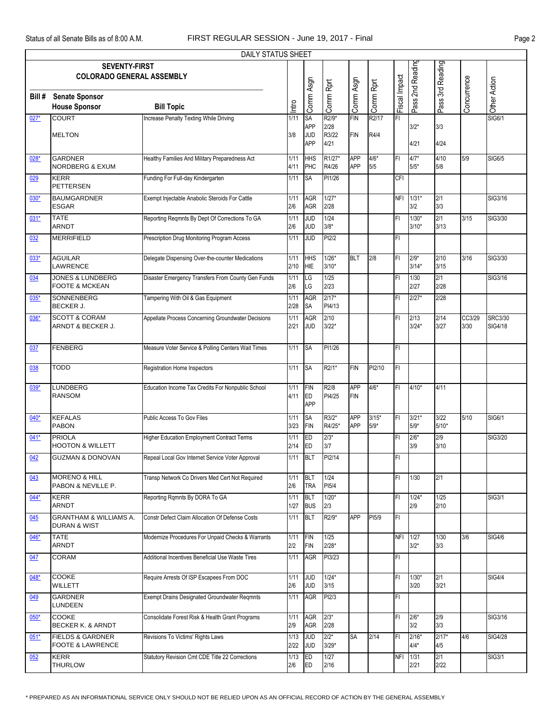|        |                                                              | <b>DAILY STATUS SHEET</b>                           |              |                                |                             |                          |                   |               |                    |                  |                |                           |
|--------|--------------------------------------------------------------|-----------------------------------------------------|--------------|--------------------------------|-----------------------------|--------------------------|-------------------|---------------|--------------------|------------------|----------------|---------------------------|
|        | <b>SEVENTY-FIRST</b><br><b>COLORADO GENERAL ASSEMBLY</b>     |                                                     |              |                                |                             |                          |                   |               | Pass 2nd Reading   | Pass 3rd Reading |                |                           |
| Bill # | <b>Senate Sponsor</b><br><b>House Sponsor</b>                | <b>Bill Topic</b>                                   | Intro        | Comm Asgn                      | Comm Rprt                   | Comm Asgn                | Comm Rprt         | Fiscal Impact |                    |                  | Concurrence    | Other Action              |
| $027*$ | <b>COURT</b>                                                 | Increase Penalty Texting While Driving              | 1/11         | SA                             | R2/9*                       | <b>FIN</b>               | R2/17             | FI            |                    |                  |                | <b>SIG6/1</b>             |
|        | <b>MELTON</b>                                                |                                                     | 3/8          | APP<br><b>JUD</b><br>APP       | 2/28<br>R3/22<br>4/21       | <b>FIN</b>               | R4/4              |               | $3/2*$<br>4/21     | 3/3<br>4/24      |                |                           |
| 028*   | <b>GARDNER</b><br><b>NORDBERG &amp; EXUM</b>                 | Healthy Families And Military Preparedness Act      | 1/11<br>4/11 | HHS<br>PHC                     | R1/27*<br>R4/26             | <b>APP</b><br>APP        | $4/6*$<br>5/5     | FI            | $4/7*$<br>$5/5*$   | 4/10<br>5/8      | 5/9            | SIG6/5                    |
| 029    | <b>KERR</b><br><b>PETTERSEN</b>                              | Funding For Full-day Kindergarten                   | 1/11         | <b>SA</b>                      | PI1/26                      |                          |                   | CFI           |                    |                  |                |                           |
| $030*$ | <b>BAUMGARDNER</b><br><b>ESGAR</b>                           | Exempt Injectable Anabolic Steroids For Cattle      | 1/11<br>2/6  | <b>AGR</b><br><b>AGR</b>       | $1/27*$<br>2/28             |                          |                   | <b>NFI</b>    | $1/31*$<br>3/2     | 2/1<br>3/3       |                | SIG3/16                   |
| $031*$ | <b>TATE</b><br><b>ARNDT</b>                                  | Reporting Reqmnts By Dept Of Corrections To GA      | 1/11<br>2/6  | g<br><b>JUD</b>                | 1/24<br>$3/8*$              |                          |                   | FI            | $1/30*$<br>$3/10*$ | 2/1<br>3/13      | 3/15           | SIG3/30                   |
| 032    | <b>MERRIFIELD</b>                                            | Prescription Drug Monitoring Program Access         | 1/11         | <b>JUD</b>                     | PI2/2                       |                          |                   | FI            |                    |                  |                |                           |
| $033*$ | <b>AGUILAR</b><br>LAWRENCE                                   | Delegate Dispensing Over-the-counter Medications    | 1/11<br>2/10 | <b>HHS</b><br>HIE              | $1/26*$<br>$3/10*$          | <b>BLT</b>               | 2/8               | FI            | $2/9*$<br>$3/14*$  | 2/10<br>3/15     | 3/16           | SIG3/30                   |
| 034    | <b>JONES &amp; LUNDBERG</b><br><b>FOOTE &amp; MCKEAN</b>     | Disaster Emergency Transfers From County Gen Funds  | 1/11<br>2/6  | LG<br>LG                       | 1/25<br>2/23                |                          |                   | FI            | 1/30<br>2/27       | 2/1<br>2/28      |                | SIG3/16                   |
| $035*$ | SONNENBERG<br><b>BECKER J.</b>                               | Tampering With Oil & Gas Equipment                  | 1/11<br>2/28 | AGR<br>SA                      | $2/17*$<br>PI4/13           |                          |                   | FI            | $2/27*$            | 2/28             |                |                           |
| $036*$ | <b>SCOTT &amp; CORAM</b><br>ARNDT & BECKER J.                | Appellate Process Concerning Groundwater Decisions  | 1/11<br>2/21 | <b>AGR</b><br><b>JUD</b>       | 2/10<br>$3/22*$             |                          |                   | FI            | 2/13<br>$3/24*$    | 2/14<br>3/27     | CC3/29<br>3/30 | <b>SRC3/30</b><br>SIG4/18 |
| 037    | <b>FENBERG</b>                                               | Measure Voter Service & Polling Centers Wait Times  | 1/11         | SA                             | PI1/26                      |                          |                   | FI            |                    |                  |                |                           |
| 038    | TODD                                                         | Registration Home Inspectors                        | 1/11         | <b>SA</b>                      | R <sub>2/1</sub> *          | <b>FIN</b>               | PI2/10            | FI            |                    |                  |                |                           |
| $039*$ | <b>LUNDBERG</b><br><b>RANSOM</b>                             | Education Income Tax Credits For Nonpublic School   | 1/11<br>4/11 | <b>FIN</b><br><b>ED</b><br>APP | R <sub>2</sub> /8<br>PI4/25 | <b>APP</b><br><b>FIN</b> | $4/6*$            | FI            | $4/10*$            | 4/11             |                |                           |
| 040*   | <b>KEFALAS</b><br><b>PABON</b>                               | Public Access To Gov Files                          | 1/11<br>3/23 | <b>SA</b><br><b>FIN</b>        | R3/2*<br>R4/25*             | <b>APP</b><br><b>APP</b> | $3/15*$<br>$5/9*$ | FI            | $3/21*$<br>$5/9*$  | 3/22<br>$5/10*$  | 5/10           | SIG6/1                    |
| $041*$ | <b>PRIOLA</b><br><b>HOOTON &amp; WILLETT</b>                 | <b>Higher Education Employment Contract Terms</b>   | 1/11<br>2/14 | ED<br>ED                       | $2/3*$<br>3/7               |                          |                   | FI            | $2/6*$<br>3/9      | 2/9<br>3/10      |                | SIG3/20                   |
| 042    | <b>GUZMAN &amp; DONOVAN</b>                                  | Repeal Local Gov Internet Service Voter Approval    | 1/11         | <b>BLT</b>                     | PI2/14                      |                          |                   | FI            |                    |                  |                |                           |
| 043    | <b>MORENO &amp; HILL</b><br>PABON & NEVILLE P.               | Transp Network Co Drivers Med Cert Not Required     | 1/11<br>2/6  | <b>BLT</b><br><b>TRA</b>       | 1/24<br>PI5/4               |                          |                   | FI            | 1/30               | 2/1              |                |                           |
| 044*   | <b>KERR</b><br><b>ARNDT</b>                                  | Reporting Rgmnts By DORA To GA                      | 1/11<br>1/27 | <b>BLT</b><br><b>BUS</b>       | $1/20*$<br>2/3              |                          |                   | FI            | $1/24*$<br>2/9     | 1/25<br>2/10     |                | SIG3/1                    |
| 045    | <b>GRANTHAM &amp; WILLIAMS A.</b><br><b>DURAN &amp; WIST</b> | Constr Defect Claim Allocation Of Defense Costs     | 1/11         | <b>BLT</b>                     | R2/9*                       | <b>APP</b>               | PI5/9             | FI            |                    |                  |                |                           |
| $046*$ | TATE<br>ARNDT                                                | Modernize Procedures For Unpaid Checks & Warrants   | 1/11<br>2/2  | <b>FIN</b><br><b>FIN</b>       | 1/25<br>$2/28*$             |                          |                   | NFI 1/27      | $3/2*$             | 1/30<br>3/3      | 3/6            | <b>SIG4/6</b>             |
| 047    | <b>CORAM</b>                                                 | Additional Incentives Beneficial Use Waste Tires    | 1/11         | <b>AGR</b>                     | PI3/23                      |                          |                   | FI            |                    |                  |                |                           |
| $048*$ | COOKE<br><b>WILLETT</b>                                      | Require Arrests Of ISP Escapees From DOC            | 1/11<br>2/6  | <b>JUD</b><br><b>JUD</b>       | $1/24*$<br>3/15             |                          |                   | FI            | $1/30*$<br>3/20    | 2/1<br>3/21      |                | <b>SIG4/4</b>             |
| 049    | GARDNER<br>LUNDEEN                                           | <b>Exempt Drains Designated Groundwater Regmnts</b> | 1/11         | <b>AGR</b>                     | PI2/3                       |                          |                   | FI            |                    |                  |                |                           |
| $050*$ | COOKE<br>BECKER K. & ARNDT                                   | Consolidate Forest Risk & Health Grant Programs     | 1/11<br>2/9  | <b>AGR</b><br>AGR              | $2/3*$<br>2/28              |                          |                   | FI            | $2/6*$<br>3/2      | 2/9<br>3/3       |                | SIG3/16                   |
| $051*$ | <b>FIELDS &amp; GARDNER</b><br><b>FOOTE &amp; LAWRENCE</b>   | Revisions To Victims' Rights Laws                   | 1/13<br>2/22 | <b>JUD</b><br><b>JUD</b>       | $2/2*$<br>$3/29*$           | <b>SA</b>                | 2/14              | FI            | $2/16*$<br>4/4*    | $2/17*$<br>4/5   | 4/6            | <b>SIG4/28</b>            |
| 052    | KERR<br><b>THURLOW</b>                                       | Statutory Revision Cmt CDE Title 22 Corrections     | 1/13<br>2/6  | ED<br>ED                       | 1/27<br>2/16                |                          |                   | NFI 1/31      | 2/21               | 2/1<br>2/22      |                | <b>SIG3/1</b>             |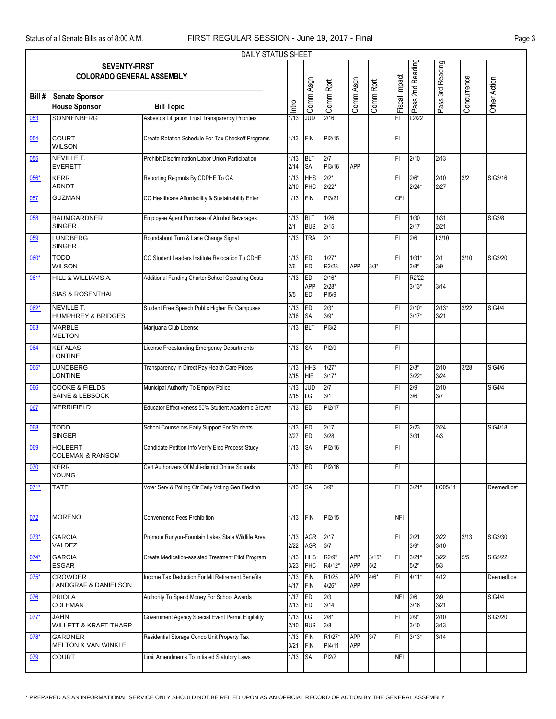|        |                                                          | <b>DAILY STATUS SHEET</b>                          |                |                               |                             |                          |                |               |                    |                  |             |                |
|--------|----------------------------------------------------------|----------------------------------------------------|----------------|-------------------------------|-----------------------------|--------------------------|----------------|---------------|--------------------|------------------|-------------|----------------|
|        | <b>SEVENTY-FIRST</b><br><b>COLORADO GENERAL ASSEMBLY</b> |                                                    |                |                               |                             |                          |                |               | Pass 2nd Reading   | Pass 3rd Reading |             |                |
| Bill # | <b>Senate Sponsor</b><br><b>House Sponsor</b>            | <b>Bill Topic</b>                                  | Intro          | Comm Asgn                     | Comm Rprt                   | Comm Asgn                | Comm Rprt      | Fiscal Impact |                    |                  | Concurrence | Other Action   |
| 053    | <b>SONNENBERG</b>                                        | Asbestos Litigation Trust Transparency Priorities  | 1/13           | <b>JUD</b>                    | 2/16                        |                          |                | FI            | L2/22              |                  |             |                |
| 054    | <b>COURT</b><br><b>WILSON</b>                            | Create Rotation Schedule For Tax Checkoff Programs | 1/13           | <b>FIN</b>                    | PI2/15                      |                          |                | FI            |                    |                  |             |                |
| 055    | <b>NEVILLE T.</b><br><b>EVERETT</b>                      | Prohibit Discrimination Labor Union Participation  | 1/13<br>2/14   | BLT<br><b>SA</b>              | 2/7<br>PI3/16               | <b>APP</b>               |                | FI            | 2/10               | 2/13             |             |                |
| 056*   | <b>KERR</b><br><b>ARNDT</b>                              | Reporting Reqmnts By CDPHE To GA                   | 1/13<br>2/10   | <b>HHS</b><br>PHC             | $2/2*$<br>$2/22*$           |                          |                | FI            | $2/6*$<br>$2/24*$  | 2/10<br>2/27     | 3/2         | SIG3/16        |
| 057    | <b>GUZMAN</b>                                            | CO Healthcare Affordability & Sustainability Enter | 1/13           | <b>FIN</b>                    | PI3/21                      |                          |                | CFI           |                    |                  |             |                |
| 058    | <b>BAUMGARDNER</b><br><b>SINGER</b>                      | Employee Agent Purchase of Alcohol Beverages       | 1/13<br>2/1    | <b>BLT</b><br><b>BUS</b>      | 1/26<br>2/15                |                          |                | FI            | 1/30<br>2/17       | 1/31<br>2/21     |             | <b>SIG3/8</b>  |
| 059    | <b>LUNDBERG</b><br><b>SINGER</b>                         | Roundabout Turn & Lane Change Signal               | 1/13           | <b>TRA</b>                    | 2/1                         |                          |                | FI            | 2/6                | L2/10            |             |                |
| 060*   | <b>TODD</b><br><b>WILSON</b>                             | CO Student Leaders Institute Relocation To CDHE    | 1/13<br>2/6    | ED<br><b>ED</b>               | $1/27*$<br>R2/23            | <b>APP</b>               | $3/3*$         | FI            | $1/31*$<br>$3/8*$  | 2/1<br>3/9       | 3/10        | SIG3/20        |
| 061*   | HILL & WILLIAMS A.<br><b>SIAS &amp; ROSENTHAL</b>        | Additional Funding Charter School Operating Costs  | 1/13<br>5/5    | ED<br><b>APP</b><br><b>ED</b> | $2/16*$<br>$2/28*$<br>PI5/9 |                          |                | FI            | R2/22<br>$3/13*$   | 3/14             |             |                |
| $062*$ | NEVILLE T.<br><b>HUMPHREY &amp; BRIDGES</b>              | Student Free Speech Public Higher Ed Campuses      | 1/13<br>2/16   | ED<br><b>SA</b>               | $2/3*$<br>$3/9*$            |                          |                | FI            | $2/10*$<br>$3/17*$ | $2/13*$<br>3/21  | 3/22        | <b>SIG4/4</b>  |
| 063    | <b>MARBLE</b><br><b>MELTON</b>                           | Marijuana Club License                             | 1/13           | <b>BLT</b>                    | PI3/2                       |                          |                | FI            |                    |                  |             |                |
| 064    | <b>KEFALAS</b><br><b>LONTINE</b>                         | License Freestanding Emergency Departments         | 1/13           | <b>SA</b>                     | PI2/9                       |                          |                | FI            |                    |                  |             |                |
| 065*   | <b>LUNDBERG</b><br>LONTINE                               | Transparency In Direct Pay Health Care Prices      | 1/13<br>2/15   | <b>HHS</b><br><b>HIE</b>      | $1/27*$<br>$3/17*$          |                          |                | FI            | $2/3*$<br>$3/22*$  | 2/10<br>3/24     | 3/28        | <b>SIG4/6</b>  |
| 066    | <b>COOKE &amp; FIELDS</b><br>SAINE & LEBSOCK             | Municipal Authority To Employ Police               | 1/13<br>2/15   | <b>JUD</b><br>LG              | 2/7<br>3/1                  |                          |                | FI            | 2/9<br>3/6         | 2/10<br>3/7      |             | <b>SIG4/4</b>  |
| 067    | <b>MERRIFIELD</b>                                        | Educator Effectiveness 50% Student Academic Growth | 1/13           | ED                            | PI2/17                      |                          |                | FI            |                    |                  |             |                |
| 068    | <b>TODD</b><br><b>SINGER</b>                             | School Counselors Early Support For Students       | 1/13<br>2/27   | ED<br>ED                      | 2/17<br>3/28                |                          |                | FI            | 2/23<br>3/31       | 2/24<br>4/3      |             | <b>SIG4/18</b> |
| 069    | <b>HOLBERT</b><br><b>COLEMAN &amp; RANSOM</b>            | Candidate Petition Info Verify Elec Process Study  | 1/13           | <b>SA</b>                     | PI2/16                      |                          |                | FI            |                    |                  |             |                |
| 070    | <b>KERR</b><br><b>YOUNG</b>                              | Cert Authorizers Of Multi-district Online Schools  | 1/13           | <b>IED</b>                    | PI2/16                      |                          |                | FI            |                    |                  |             |                |
| $071*$ | <b>TATE</b>                                              | Voter Serv & Polling Ctr Early Voting Gen Election | 1/13 SA        |                               | $3/9*$                      |                          |                | FI            | $3/21*$            | LO05/11          |             | DeemedLost     |
| 072    | <b>MORENO</b>                                            | Convenience Fees Prohibition                       | 1/13           | FIN                           | PI2/15                      |                          |                | <b>NFI</b>    |                    |                  |             |                |
| $073*$ | <b>GARCIA</b><br>VALDEZ                                  | Promote Runyon-Fountain Lakes State Wildlife Area  | 1/13<br>2/22   | AGR<br>AGR                    | 2/17<br>3/7                 |                          |                | FI            | 2/21<br>$3/9*$     | 2/22<br>3/10     | 3/13        | SIG3/30        |
| $074*$ | <b>GARCIA</b><br><b>ESGAR</b>                            | Create Medication-assisted Treatment Pilot Program | 1/13<br>3/23   | <b>HHS</b><br>PHC             | R2/9*<br>R4/12*             | <b>APP</b><br><b>APP</b> | $3/15*$<br>5/2 | FI            | $3/21*$<br>$5/2*$  | 3/22<br>5/3      | 5/5         | <b>SIG5/22</b> |
| $075*$ | <b>CROWDER</b><br>LANDGRAF & DANIELSON                   | Income Tax Deduction For Mil Retirement Benefits   | $1/13$<br>4/17 | FIN<br>FIN                    | R1/25<br>$4/26*$            | APP<br>APP               | $4/6*$         | FL            | $4/11*$            | 4/12             |             | DeemedLost     |
| 076    | <b>PRIOLA</b><br><b>COLEMAN</b>                          | Authority To Spend Money For School Awards         | 1/17<br>2/13   | ED<br>ED                      | 2/3<br>3/14                 |                          |                | NFI 2/6       | 3/16               | 2/9<br>3/21      |             | <b>SIG4/4</b>  |
| $077*$ | <b>JAHN</b><br><b>WILLETT &amp; KRAFT-THARP</b>          | Government Agency Special Event Permit Eligibility | 1/13<br>2/10   | LG<br><b>BUS</b>              | $2/8*$<br>3/8               |                          |                | FI            | $2/9*$<br>3/10     | 2/10<br>3/13     |             | SIG3/20        |
| $078*$ | <b>GARDNER</b><br><b>MELTON &amp; VAN WINKLE</b>         | Residential Storage Condo Unit Property Tax        | 1/13<br>3/21   | FIN<br>FIN                    | R1/27*<br>PI4/11            | APP<br><b>APP</b>        | 3/7            | FI            | $3/13*$            | 3/14             |             |                |
| 079    | <b>COURT</b>                                             | Limit Amendments To Initiated Statutory Laws       | 1/13           | <b>SA</b>                     | PI2/2                       |                          |                | <b>NFI</b>    |                    |                  |             |                |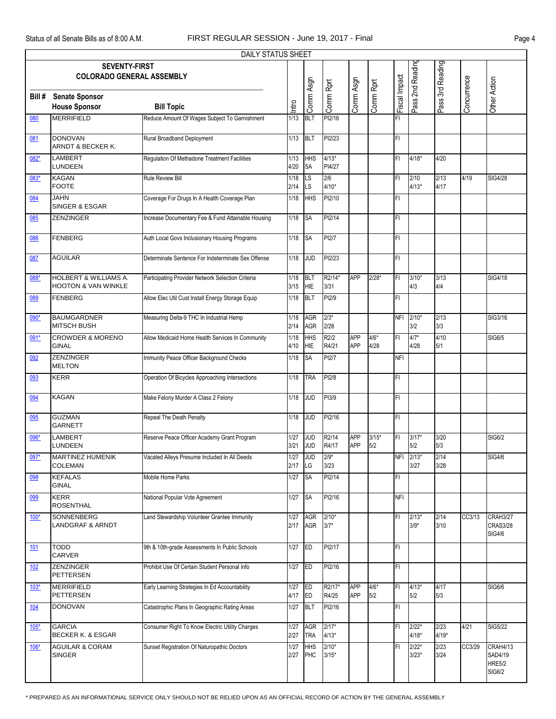|            |                                                                    | DAILY STATUS SHEET                                 |              |                          |                    |                          |                |               |                    |                  |             |                                                |
|------------|--------------------------------------------------------------------|----------------------------------------------------|--------------|--------------------------|--------------------|--------------------------|----------------|---------------|--------------------|------------------|-------------|------------------------------------------------|
|            | <b>SEVENTY-FIRST</b><br><b>COLORADO GENERAL ASSEMBLY</b>           |                                                    |              |                          |                    |                          |                |               | Pass 2nd Reading   | Pass 3rd Reading |             |                                                |
| Bill #     | <b>Senate Sponsor</b><br><b>House Sponsor</b>                      | <b>Bill Topic</b>                                  | Intro        | Comm Asgn                | Comm Rprt          | Comm Asgn                | Comm Rprt      | Fiscal Impact |                    |                  | Concurrence | Other Action                                   |
| 080        | <b>MERRIFIELD</b>                                                  | Reduce Amount Of Wages Subject To Garnishment      | 1/13         | <b>BLT</b>               | PI2/16             |                          |                | FI            |                    |                  |             |                                                |
| 081        | <b>DONOVAN</b><br>ARNDT & BECKER K.                                | Rural Broadband Deployment                         | 1/13         | <b>BLT</b>               | PI2/23             |                          |                | FI            |                    |                  |             |                                                |
| 082*       | LAMBERT<br>LUNDEEN                                                 | Regulation Of Methadone Treatment Facilities       | 1/13<br>4/20 | <b>HHS</b><br>SA         | $4/13*$<br>PI4/27  |                          |                | FI            | $4/18*$            | 4/20             |             |                                                |
| 083*       | <b>KAGAN</b><br><b>FOOTE</b>                                       | <b>Rule Review Bill</b>                            | 1/18<br>2/14 | LS<br><b>LS</b>          | 2/6<br>$4/10*$     |                          |                | FI            | 2/10<br>$4/13*$    | 2/13<br>4/17     | 4/19        | <b>SIG4/28</b>                                 |
| 084        | JAHN<br>SINGER & ESGAR                                             | Coverage For Drugs In A Health Coverage Plan       | 1/18         | <b>HHS</b>               | PI2/10             |                          |                | FI            |                    |                  |             |                                                |
| 085        | <b>ZENZINGER</b>                                                   | Increase Documentary Fee & Fund Attainable Housing | 1/18         | <b>SA</b>                | PI2/14             |                          |                | FI            |                    |                  |             |                                                |
| 086        | <b>FENBERG</b>                                                     | Auth Local Govs Inclusionary Housing Programs      | 1/18         | <b>SA</b>                | PI2/7              |                          |                | FI            |                    |                  |             |                                                |
| 087        | <b>AGUILAR</b>                                                     | Determinate Sentence For Indeterminate Sex Offense | 1/18         | <b>JUD</b>               | PI2/23             |                          |                | FI            |                    |                  |             |                                                |
| 088*       | <b>HOLBERT &amp; WILLIAMS A.</b><br><b>HOOTON &amp; VAN WINKLE</b> | Participating Provider Network Selection Criteria  | 1/18<br>3/15 | <b>BLT</b><br><b>HIE</b> | R2/14*<br>3/31     | <b>APP</b>               | $2/28*$        | FI            | $3/10*$<br>4/3     | 3/13<br>4/4      |             | <b>SIG4/18</b>                                 |
| 089        | <b>FENBERG</b>                                                     | Allow Elec Util Cust Install Energy Storage Equip  | 1/18         | <b>BLT</b>               | PI2/9              |                          |                | FI            |                    |                  |             |                                                |
| 090*       | <b>BAUMGARDNER</b><br><b>MITSCH BUSH</b>                           | Measuring Delta-9 THC In Industrial Hemp           | 1/18<br>2/14 | AGR<br><b>AGR</b>        | $2/3*$<br>2/28     |                          |                |               | NFI 2/10*<br>3/2   | 2/13<br>3/3      |             | SIG3/16                                        |
| 091*       | <b>CROWDER &amp; MORENO</b><br><b>GINAL</b>                        | Allow Medicaid Home Health Services In Community   | 1/18<br>4/10 | <b>HHS</b><br><b>HIE</b> | R2/2<br>R4/21      | <b>APP</b><br>APP        | $4/6*$<br>4/28 | FI            | $4/7*$<br>4/28     | 4/10<br>5/1      |             | <b>SIG6/5</b>                                  |
| 092        | <b>ZENZINGER</b><br><b>MELTON</b>                                  | Immunity Peace Officer Background Checks           | 1/18         | SA                       | PI2/7              |                          |                | <b>NFI</b>    |                    |                  |             |                                                |
| 093        | <b>KERR</b>                                                        | Operation Of Bicycles Approaching Intersections    | 1/18         | <b>TRA</b>               | PI2/8              |                          |                | FI            |                    |                  |             |                                                |
| 094        | <b>KAGAN</b>                                                       | Make Felony Murder A Class 2 Felony                | 1/18         | <b>JUD</b>               | PI3/9              |                          |                | FI            |                    |                  |             |                                                |
| 095        | <b>GUZMAN</b><br>GARNETT                                           | Repeal The Death Penalty                           | 1/18         | JUD                      | PI2/16             |                          |                | FI            |                    |                  |             |                                                |
| 096*       | LAMBERT<br><b>LUNDEEN</b>                                          | Reserve Peace Officer Academy Grant Program        | 1/27<br>3/21 | <b>JUD</b><br><b>JUD</b> | R2/14<br>R4/17     | <b>APP</b><br><b>APP</b> | $3/15*$<br>5/2 | FI            | $3/17*$<br>5/2     | 3/20<br>5/3      |             | SIG6/2                                         |
| $097*$     | <b>MARTINEZ HUMENIK</b><br><b>COLEMAN</b>                          | Vacated Alleys Presume Included In All Deeds       | 1/27<br>2/17 | <b>JUD</b><br>LG         | $2/9*$<br>3/23     |                          |                |               | NFI 2/13*<br>3/27  | 2/14<br>3/28     |             | <b>SIG4/6</b>                                  |
| 098        | <b>KEFALAS</b><br><b>GINAL</b>                                     | Mobile Home Parks                                  | 1/27         | <b>SA</b>                | PI2/14             |                          |                | FI            |                    |                  |             |                                                |
| 099        | KERR<br><b>ROSENTHAL</b>                                           | National Popular Vote Agreement                    | 1/27         | <b>SA</b>                | PI2/16             |                          |                | NFI           |                    |                  |             |                                                |
| $100*$     | <b>SONNENBERG</b><br><b>LANDGRAF &amp; ARNDT</b>                   | Land Stewardship Volunteer Grantee Immunity        | 1/27<br>2/17 | AGR<br>AGR               | $2/10*$<br>$3/7*$  |                          |                | FI            | $2/13*$<br>$3/9*$  | 2/14<br>3/10     | CC3/13      | CRAH3/27<br><b>CRAS3/28</b><br><b>SIG4/6</b>   |
| <u>101</u> | <b>TODD</b><br>CARVER                                              | 9th & 10th-grade Assessments In Public Schools     | 1/27         | ED                       | PI2/17             |                          |                | FI            |                    |                  |             |                                                |
| <u>102</u> | ZENZINGER<br>PETTERSEN                                             | Prohibit Use Of Certain Student Personal Info      | 1/27         | ED                       | PI2/16             |                          |                | FI            |                    |                  |             |                                                |
| $103*$     | <b>MERRIFIELD</b><br>PETTERSEN                                     | Early Learning Strategies In Ed Accountability     | 1/27<br>4/17 | ED<br>ED                 | R2/17*<br>R4/25    | <b>APP</b><br>APP        | $4/6*$<br>5/2  | FI            | $4/13*$<br>5/2     | 4/17<br>5/3      |             | SIG6/6                                         |
| 104        | <b>DONOVAN</b>                                                     | Catastrophic Plans In Geographic Rating Areas      | 1/27         | <b>BLT</b>               | PI2/16             |                          |                | FI            |                    |                  |             |                                                |
| $105*$     | <b>GARCIA</b><br>BECKER K. & ESGAR                                 | Consumer Right To Know Electric Utility Charges    | 1/27<br>2/27 | <b>AGR</b><br><b>TRA</b> | $2/17*$<br>$4/13*$ |                          |                | FI            | $2/22*$<br>$4/18*$ | 2/23<br>$4/19*$  | 4/21        | <b>SIG5/22</b>                                 |
| $106*$     | <b>AGUILAR &amp; CORAM</b><br><b>SINGER</b>                        | Sunset Registration Of Naturopathic Doctors        | 1/27<br>2/27 | <b>HHS</b><br>PHC        | $2/10*$<br>$3/15*$ |                          |                | FI            | $2/22*$<br>$3/23*$ | 2/23<br>3/24     | CC3/29      | CRAH4/13<br>SAD4/19<br><b>HRE5/2</b><br>SIG6/2 |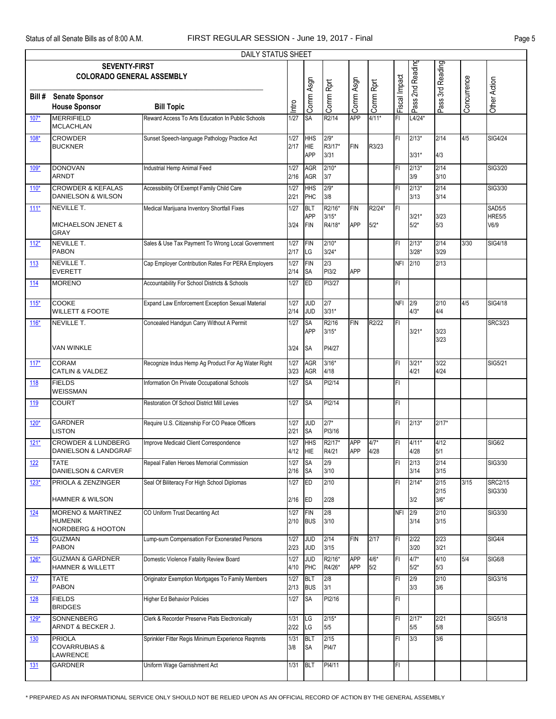|            |                                                                                | DAILY STATUS SHEET                                 |                |                                        |                             |                          |                  |               |                    |                        |             |                                        |
|------------|--------------------------------------------------------------------------------|----------------------------------------------------|----------------|----------------------------------------|-----------------------------|--------------------------|------------------|---------------|--------------------|------------------------|-------------|----------------------------------------|
|            | <b>SEVENTY-FIRST</b><br><b>COLORADO GENERAL ASSEMBLY</b>                       |                                                    |                |                                        |                             |                          |                  |               | Pass 2nd Reading   | Pass 3rd Reading       |             |                                        |
| Bill #     | <b>Senate Sponsor</b><br><b>House Sponsor</b>                                  | <b>Bill Topic</b>                                  | Intro          | Comm Asgn                              | Comm Rprt                   | Comm Asgn                | Comm Rprt        | Fiscal Impact |                    |                        | Concurrence | Other Action                           |
| $107*$     | <b>MERRIFIELD</b><br><b>MCLACHLAN</b>                                          | Reward Access To Arts Education In Public Schools  | 1/27           | SA                                     | R2/14                       | APP                      | $4/11*$          | FI            | $L4/24*$           |                        |             |                                        |
| $108*$     | <b>CROWDER</b><br><b>BUCKNER</b>                                               | Sunset Speech-language Pathology Practice Act      | $1/27$<br>2/17 | <b>HHS</b><br><b>HIE</b><br>APP        | $2/9*$<br>R3/17*<br>3/31    | <b>FIN</b>               | R3/23            | FI            | $2/13*$<br>$3/31*$ | 2/14<br>4/3            | 4/5         | SIG4/24                                |
| 109*       | <b>DONOVAN</b><br><b>ARNDT</b>                                                 | Industrial Hemp Animal Feed                        | 1/27<br>2/16   | <b>AGR</b><br><b>AGR</b>               | $2/10*$<br>3/7              |                          |                  | FI            | $2/13*$<br>3/9     | 2/14<br>3/10           |             | SIG3/20                                |
| $110*$     | <b>CROWDER &amp; KEFALAS</b><br>DANIELSON & WILSON                             | Accessibility Of Exempt Family Child Care          | $1/27$<br>2/21 | HHS<br>PHC                             | $2/9*$<br>3/8               |                          |                  | FI            | $2/13*$<br>3/13    | 2/14<br>3/14           |             | SIG3/30                                |
| $111*$     | <b>NEVILLE T.</b><br><b>MICHAELSON JENET &amp;</b><br><b>GRAY</b>              | Medical Marijuana Inventory Shortfall Fixes        | 1/27<br>3/24   | <b>BLT</b><br><b>APP</b><br><b>FIN</b> | R2/16*<br>$3/15*$<br>R4/18* | <b>FIN</b><br><b>APP</b> | R2/24*<br>$5/2*$ | Ē             | $3/21*$<br>$5/2*$  | 3/23<br>5/3            |             | <b>SAD5/5</b><br><b>HRE5/5</b><br>V6/9 |
| $112*$     | <b>NEVILLE T.</b><br><b>PABON</b>                                              | Sales & Use Tax Payment To Wrong Local Government  | 1/27<br>2/17   | <b>FIN</b><br>LG                       | $2/10*$<br>$3/24*$          |                          |                  | FI            | $2/13*$<br>$3/28*$ | 2/14<br>3/29           | 3/30        | SIG4/18                                |
| 113        | <b>NEVILLE T.</b><br><b>EVERETT</b>                                            | Cap Employer Contribution Rates For PERA Employers | 1/27<br>2/14   | <b>FIN</b><br><b>SA</b>                | 2/3<br>PI3/2                | APP                      |                  | <b>NFI</b>    | 2/10               | 2/13                   |             |                                        |
| 114        | <b>MORENO</b>                                                                  | Accountability For School Districts & Schools      | 1/27           | <b>ED</b>                              | PI3/27                      |                          |                  | FI            |                    |                        |             |                                        |
| $115*$     | <b>COOKE</b><br><b>WILLETT &amp; FOOTE</b>                                     | Expand Law Enforcement Exception Sexual Material   | 1/27<br>2/14   | <b>JUD</b><br><b>JUD</b>               | 2/7<br>$3/31*$              |                          |                  | <b>NFI</b>    | 2/9<br>$4/3*$      | 2/10<br>4/4            | 4/5         | SIG4/18                                |
| $116*$     | <b>NEVILLE T.</b>                                                              | Concealed Handgun Carry Without A Permit           | 1/27           | <b>SA</b><br><b>APP</b>                | R2/16<br>$3/15*$            | <b>FIN</b>               | R2/22            | FI            | $3/21*$            | 3/23                   |             | <b>SRC3/23</b>                         |
|            | <b>VAN WINKLE</b>                                                              |                                                    | 3/24           | <b>SA</b>                              | PI4/27                      |                          |                  |               |                    | 3/23                   |             |                                        |
| $117*$     | <b>CORAM</b><br><b>CATLIN &amp; VALDEZ</b>                                     | Recognize Indus Hemp Ag Product For Ag Water Right | $1/27$<br>3/23 | AGR<br><b>AGR</b>                      | $3/16*$<br>4/18             |                          |                  | FI            | $3/21*$<br>4/21    | 3/22<br>4/24           |             | SIG5/21                                |
| 118        | <b>FIELDS</b><br><b>WEISSMAN</b>                                               | Information On Private Occupational Schools        | 1/27           | <b>SA</b>                              | PI2/14                      |                          |                  | FI            |                    |                        |             |                                        |
| 119        | <b>COURT</b>                                                                   | Restoration Of School District Mill Levies         | 1/27           | <b>SA</b>                              | PI2/14                      |                          |                  | FI            |                    |                        |             |                                        |
| 120*       | <b>GARDNER</b><br><b>LISTON</b>                                                | Require U.S. Citizenship For CO Peace Officers     | 1/27<br>2/21   | <b>JUD</b><br><b>SA</b>                | $2/7*$<br>PI3/16            |                          |                  | FI            | $2/13*$            | $2/17*$                |             |                                        |
| $121*$     | <b>CROWDER &amp; LUNDBERG</b><br>DANIELSON & LANDGRAF                          | Improve Medicaid Client Correspondence             | $1/27$<br>4/12 | <b>HHS</b><br><b>HIE</b>               | R2/17*<br>R4/21             | <b>APP</b><br><b>APP</b> | $4/7*$<br>4/28   | FI            | $4/11*$<br>4/28    | 4/12<br>5/1            |             | SIG6/2                                 |
| <u>122</u> | <b>TATE</b><br><b>DANIELSON &amp; CARVER</b>                                   | Repeal Fallen Heroes Memorial Commission           | 1/27<br>2/16   | <b>SA</b><br><b>SA</b>                 | 2/9<br>3/10                 |                          |                  | FI            | 2/13<br>3/14       | 2/14<br>3/15           |             | SIG3/30                                |
| $123*$     | PRIOLA & ZENZINGER<br><b>HAMNER &amp; WILSON</b>                               | Seal Of Biliteracy For High School Diplomas        | 1/27<br>2/16   | ED<br>ED                               | 2/10<br>2/28                |                          |                  | FI            | $2/14*$<br>3/2     | 2/15<br>2/15<br>$3/6*$ | 3/15        | <b>SRC2/15</b><br>SIG3/30              |
| <u>124</u> | <b>MORENO &amp; MARTINEZ</b><br><b>HUMENIK</b><br><b>NORDBERG &amp; HOOTON</b> | CO Uniform Trust Decanting Act                     | 1/27<br>2/10   | <b>FIN</b><br><b>BUS</b>               | 2/8<br>3/10                 |                          |                  | NFI 2/9       | 3/14               | 2/10<br>3/15           |             | SIG3/30                                |
| 125        | <b>GUZMAN</b><br><b>PABON</b>                                                  | Lump-sum Compensation For Exonerated Persons       | 1/27<br>2/23   | <b>JUD</b><br><b>JUD</b>               | 2/14<br>3/15                | <b>FIN</b>               | 2/17             | FI            | 2/22<br>3/20       | 2/23<br>3/21           |             | <b>SIG4/4</b>                          |
| $126*$     | <b>GUZMAN &amp; GARDNER</b><br><b>HAMNER &amp; WILLETT</b>                     | Domestic Violence Fatality Review Board            | 1/27<br>4/10   | <b>JUD</b><br>PHC                      | R2/16*<br>R4/26*            | <b>APP</b><br><b>APP</b> | $4/6*$<br>5/2    | FI            | $4/7*$<br>$5/2*$   | 4/10<br>5/3            | 5/4         | <b>SIG6/8</b>                          |
| <u>127</u> | <b>TATE</b><br><b>PABON</b>                                                    | Originator Exemption Mortgages To Family Members   | $1/27$<br>2/13 | BLT<br><b>BUS</b>                      | 2/8<br>3/1                  |                          |                  | FI            | 2/9<br>3/3         | 2/10<br>3/6            |             | SIG3/16                                |
| <u>128</u> | <b>FIELDS</b><br><b>BRIDGES</b>                                                | <b>Higher Ed Behavior Policies</b>                 | 1/27           | <b>SA</b>                              | PI2/16                      |                          |                  | FI            |                    |                        |             |                                        |
| 129*       | SONNENBERG<br>ARNDT & BECKER J.                                                | Clerk & Recorder Preserve Plats Electronically     | 1/31<br>2/22   | LG<br>LG                               | $2/15*$<br>5/5              |                          |                  | FI            | $2/17*$<br>5/5     | 2/21<br>5/8            |             | <b>SIG5/18</b>                         |
| <u>130</u> | <b>PRIOLA</b><br><b>COVARRUBIAS &amp;</b><br>LAWRENCE                          | Sprinkler Fitter Regis Minimum Experience Regmnts  | 1/31<br>3/8    | BLT<br>SA                              | 2/15<br>PI4/7               |                          |                  | FI.           | 3/3                | 3/6                    |             |                                        |
| <u>131</u> | <b>GARDNER</b>                                                                 | Uniform Wage Garnishment Act                       | 1/31           | <b>BLT</b>                             | PI4/11                      |                          |                  | FI.           |                    |                        |             |                                        |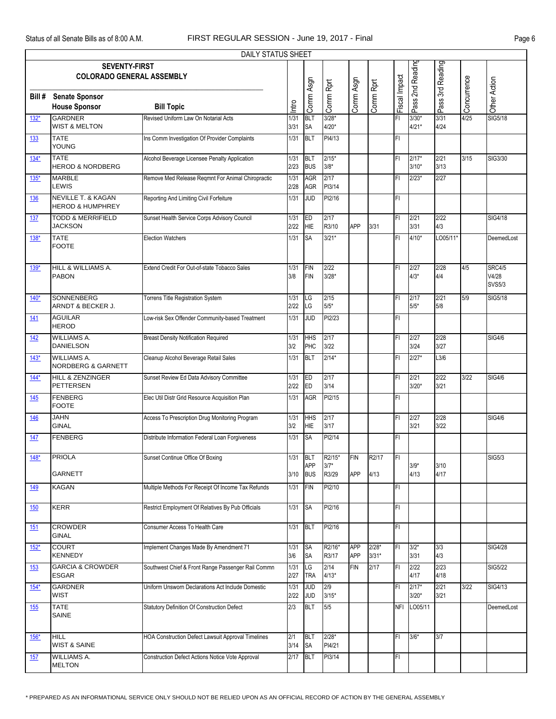|            |                                                          | DAILY STATUS SHEET                                 |              |                          |                    |                               |                    |               |                    |                  |             |                                         |
|------------|----------------------------------------------------------|----------------------------------------------------|--------------|--------------------------|--------------------|-------------------------------|--------------------|---------------|--------------------|------------------|-------------|-----------------------------------------|
|            | <b>SEVENTY-FIRST</b><br><b>COLORADO GENERAL ASSEMBLY</b> |                                                    |              |                          |                    |                               |                    |               | Pass 2nd Reading   | Pass 3rd Reading |             |                                         |
| Bill #     | <b>Senate Sponsor</b><br><b>House Sponsor</b>            | <b>Bill Topic</b>                                  | Intro        | Comm Asgn                | Comm Rprt          | Comm Asgn                     | Comm Rprt          | Fiscal Impact |                    |                  | Concurrence | Other Action                            |
| $132*$     | <b>GARDNER</b><br><b>WIST &amp; MELTON</b>               | Revised Uniform Law On Notarial Acts               | 1/31<br>3/31 | <b>BLT</b><br><b>SA</b>  | $3/28*$<br>$4/20*$ |                               |                    | FI            | $3/30*$<br>$4/21*$ | 3/31<br>4/24     | 4/25        | SIG5/18                                 |
| 133        | <b>TATE</b><br><b>YOUNG</b>                              | Ins Comm Investigation Of Provider Complaints      | 1/31         | <b>BLT</b>               | PI4/13             |                               |                    | FI            |                    |                  |             |                                         |
| $134*$     | <b>TATE</b><br><b>HEROD &amp; NORDBERG</b>               | Alcohol Beverage Licensee Penalty Application      | 1/31<br>2/23 | <b>BLT</b><br><b>BUS</b> | $2/15*$<br>$3/8*$  |                               |                    | FI            | $2/17*$<br>$3/10*$ | 2/21<br>3/13     | 3/15        | SIG3/30                                 |
| $135*$     | <b>MARBLE</b><br>LEWIS                                   | Remove Med Release Reqmnt For Animal Chiropractic  | 1/31<br>2/28 | <b>AGR</b><br>AGR        | 2/17<br>PI3/14     |                               |                    | FI            | $2/23*$            | 2/27             |             |                                         |
| <b>136</b> | NEVILLE T. & KAGAN<br><b>HEROD &amp; HUMPHREY</b>        | Reporting And Limiting Civil Forfeiture            | 1/31         | JUD                      | PI2/16             |                               |                    | FI            |                    |                  |             |                                         |
| 137        | <b>TODD &amp; MERRIFIELD</b><br><b>JACKSON</b>           | Sunset Health Service Corps Advisory Council       | 1/31<br>2/22 | ED<br>HIE                | 2/17<br>R3/10      | APP                           | 3/31               | FI            | 2/21<br>3/31       | 2/22<br>4/3      |             | SIG4/18                                 |
| 138*       | <b>TATE</b><br><b>FOOTE</b>                              | <b>Election Watchers</b>                           | 1/31         | <b>SA</b>                | $3/21*$            |                               |                    | FI            | $4/10*$            | LO05/11*         |             | DeemedLost                              |
| 139*       | HILL & WILLIAMS A.<br><b>PABON</b>                       | Extend Credit For Out-of-state Tobacco Sales       | 1/31<br>3/8  | <b>FIN</b><br><b>FIN</b> | 2/22<br>$3/28*$    |                               |                    | FI            | 2/27<br>$4/3*$     | 2/28<br>4/4      | 4/5         | <b>SRC4/5</b><br>V4/28<br><b>SVS5/3</b> |
| $140*$     | SONNENBERG<br>ARNDT & BECKER J.                          | <b>Torrens Title Registration System</b>           | 1/31<br>2/22 | LG<br>LG                 | 2/15<br>$5/5*$     |                               |                    | FI            | 2/17<br>$5/5*$     | 2/21<br>5/8      | 5/9         | SIG5/18                                 |
| <u>141</u> | <b>AGUILAR</b><br><b>HEROD</b>                           | Low-risk Sex Offender Community-based Treatment    | 1/31         | JUD                      | PI2/23             |                               |                    | FI            |                    |                  |             |                                         |
| 142        | <b>WILLIAMS A.</b><br><b>DANIELSON</b>                   | <b>Breast Density Notification Required</b>        | 1/31<br>3/2  | <b>HHS</b><br>PHC        | 2/17<br>3/22       |                               |                    | FI            | 2/27<br>3/24       | 2/28<br>3/27     |             | <b>SIG4/6</b>                           |
| $143*$     | WILLIAMS A.<br>NORDBERG & GARNETT                        | Cleanup Alcohol Beverage Retail Sales              | 1/31         | <b>BLT</b>               | $2/14*$            |                               |                    | FI            | $2/27*$            | L3/6             |             |                                         |
| $144*$     | HILL & ZENZINGER<br>PETTERSEN                            | Sunset Review Ed Data Advisory Committee           | 1/31<br>2/22 | ED<br>ED                 | 2/17<br>3/14       |                               |                    | FI            | 2/21<br>$3/20*$    | 2/22<br>3/21     | 3/22        | <b>SIG4/6</b>                           |
| 145        | <b>FENBERG</b><br><b>FOOTE</b>                           | Elec Util Distr Grid Resource Acquisition Plan     | 1/31         | <b>AGR</b>               | PI2/15             |                               |                    | FI            |                    |                  |             |                                         |
| <u>146</u> | <b>JAHN</b><br><b>GINAL</b>                              | Access To Prescription Drug Monitoring Program     | 1/31<br>3/2  | <b>HHS</b><br><b>HIE</b> | 2/17<br>3/17       |                               |                    | FI            | 2/27<br>3/21       | 2/28<br>3/22     |             | <b>SIG4/6</b>                           |
| 147        | <b>FENBERG</b>                                           | Distribute Information Federal Loan Forgiveness    | 1/31         | <b>SA</b>                | PI2/14             |                               |                    | FI            |                    |                  |             |                                         |
| $148*$     | PRIOLA                                                   | Sunset Continue Office Of Boxing                   |              | $1/31$ BLT<br>APP        | R2/15*<br>$3/7*$   | <b>FIN</b> R <sub>2</sub> /17 |                    | FI            | $3/9*$             | 3/10             |             | <b>SIG5/3</b>                           |
| 149        | <b>GARNETT</b><br><b>KAGAN</b>                           | Multiple Methods For Receipt Of Income Tax Refunds | 3/10<br>1/31 | <b>BUS</b><br><b>FIN</b> | R3/29<br>PI2/10    | <b>APP</b>                    | 4/13               | FI            | 4/13               | 4/17             |             |                                         |
| 150        | KERR                                                     | Restrict Employment Of Relatives By Pub Officials  | 1/31         | <b>SA</b>                | PI2/16             |                               |                    | FI            |                    |                  |             |                                         |
| 151        | <b>CROWDER</b><br><b>GINAL</b>                           | Consumer Access To Health Care                     | 1/31         | BLT                      | PI2/16             |                               |                    | FI            |                    |                  |             |                                         |
| $152*$     | <b>COURT</b><br><b>KENNEDY</b>                           | Implement Changes Made By Amendment 71             | 1/31<br>3/6  | <b>SA</b><br><b>SA</b>   | R2/16*<br>R3/17    | <b>APP</b><br><b>APP</b>      | $2/28*$<br>$3/31*$ | FI            | $3/2*$<br>3/31     | 3/3<br>4/3       |             | <b>SIG4/28</b>                          |
| <u>153</u> | <b>GARCIA &amp; CROWDER</b><br>ESGAR                     | Southwest Chief & Front Range Passenger Rail Commn | 1/31<br>2/27 | LG<br><b>TRA</b>         | 2/14<br>$4/13*$    | <b>FIN</b>                    | 2/17               | FI            | 2/22<br>4/17       | 2/23<br>4/18     |             | <b>SIG5/22</b>                          |
| $154*$     | <b>GARDNER</b><br><b>WIST</b>                            | Jniform Unsworn Declarations Act Include Domestic  | 1/31<br>2/22 | JUD<br><b>JUD</b>        | 2/9<br>$3/15*$     |                               |                    | FI            | $2/17*$<br>$3/20*$ | 2/21<br>3/21     | 3/22        | SIG4/13                                 |
| 155        | <b>TATE</b><br><b>SAINE</b>                              | Statutory Definition Of Construction Defect        | 2/3          | <b>BLT</b>               | 5/5                |                               |                    |               | NFI LO05/11        |                  |             | DeemedLost                              |
| $156*$     | <b>HILL</b><br><b>WIST &amp; SAINE</b>                   | HOA Construction Defect Lawsuit Approval Timelines | 2/1<br>3/14  | <b>BLT</b><br><b>SA</b>  | $2/28*$<br>PI4/21  |                               |                    | FI            | $3/6*$             | 3/7              |             |                                         |
| 157        | <b>WILLIAMS A.</b><br><b>MELTON</b>                      | Construction Defect Actions Notice Vote Approval   | 2/17         | <b>BLT</b>               | PI3/14             |                               |                    | FI            |                    |                  |             |                                         |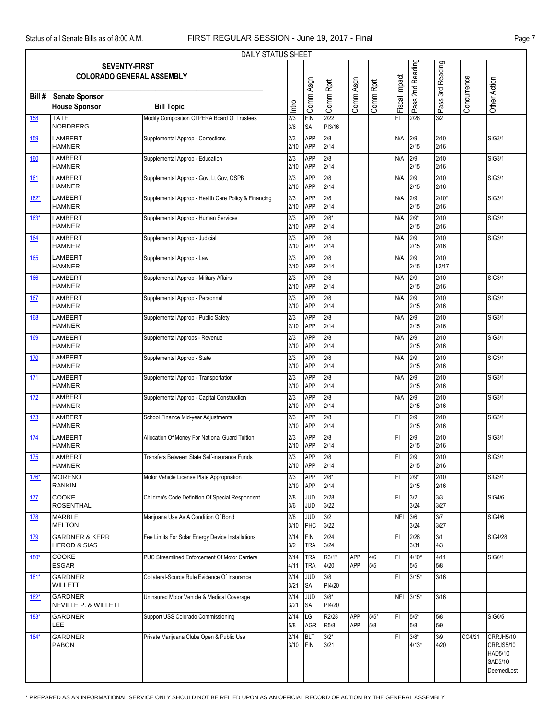|             |                                                          | DAILY STATUS SHEET                                   |                         |                          |                   |            |               |                     |                   |                  |             |                                                            |
|-------------|----------------------------------------------------------|------------------------------------------------------|-------------------------|--------------------------|-------------------|------------|---------------|---------------------|-------------------|------------------|-------------|------------------------------------------------------------|
|             | <b>SEVENTY-FIRST</b><br><b>COLORADO GENERAL ASSEMBLY</b> |                                                      |                         |                          |                   |            |               | Impact              | Pass 2nd Reading  | Pass 3rd Reading |             |                                                            |
| Bill #      | <b>Senate Sponsor</b><br><b>House Sponsor</b>            | <b>Bill Topic</b>                                    | Intro                   | Comm Asgn                | Comm Rprt         | Comm Asgn  | Comm Rprt     | Fiscal <sup>1</sup> |                   |                  | Concurrence | Other Action                                               |
| <b>158</b>  | <b>TATE</b><br><b>NORDBERG</b>                           | Modify Composition Of PERA Board Of Trustees         | $\overline{2/3}$<br>3/6 | <b>FIN</b><br><b>SA</b>  | 2/22<br>PI3/16    |            |               | FI                  | 2/28              | 3/2              |             |                                                            |
| 159         | LAMBERT<br><b>HAMNER</b>                                 | Supplemental Approp - Corrections                    | 2/3<br>2/10             | <b>APP</b><br><b>APP</b> | 2/8<br>2/14       |            |               | N/A                 | 2/9<br>2/15       | 2/10<br>2/16     |             | <b>SIG3/1</b>                                              |
| <u>160</u>  | <b>LAMBERT</b><br><b>HAMNER</b>                          | Supplemental Approp - Education                      | 2/3<br>2/10             | <b>APP</b><br><b>APP</b> | 2/8<br>2/14       |            |               | N/A                 | 2/9<br>2/15       | 2/10<br>2/16     |             | <b>SIG3/1</b>                                              |
| 161         | <b>LAMBERT</b><br><b>HAMNER</b>                          | Supplemental Approp - Gov, Lt Gov, OSPB              | 2/3<br>2/10             | <b>APP</b><br><b>APP</b> | 2/8<br>2/14       |            |               | N/A                 | 2/9<br>2/15       | 2/10<br>2/16     |             | SIG3/1                                                     |
| $162*$      | LAMBERT<br><b>HAMNER</b>                                 | Supplemental Approp - Health Care Policy & Financing | 2/3<br>2/10             | <b>APP</b><br><b>APP</b> | 2/8<br>2/14       |            |               | N/A                 | 2/9<br>2/15       | $2/10*$<br>2/16  |             | <b>SIG3/1</b>                                              |
| $163*$      | <b>LAMBERT</b><br><b>HAMNER</b>                          | Supplemental Approp - Human Services                 | 2/3<br>2/10             | <b>APP</b><br><b>APP</b> | $2/8*$<br>2/14    |            |               | N/A                 | $2/9*$<br>2/15    | 2/10<br>2/16     |             | <b>SIG3/1</b>                                              |
| <u>164</u>  | LAMBERT<br><b>HAMNER</b>                                 | Supplemental Approp - Judicial                       | 2/3<br>2/10             | <b>APP</b><br><b>APP</b> | 2/8<br>2/14       |            |               | N/A                 | 2/9<br>2/15       | 2/10<br>2/16     |             | SIG3/1                                                     |
| 165         | LAMBERT<br><b>HAMNER</b>                                 | Supplemental Approp - Law                            | 2/3<br>2/10             | <b>APP</b><br><b>APP</b> | 2/8<br>2/14       |            |               | N/A                 | 2/9<br>2/15       | 2/10<br>L2/17    |             |                                                            |
| 166         | <b>LAMBERT</b><br><b>HAMNER</b>                          | Supplemental Approp - Military Affairs               | 2/3<br>2/10             | <b>APP</b><br><b>APP</b> | 2/8<br>2/14       |            |               | N/A                 | 2/9<br>2/15       | 2/10<br>2/16     |             | <b>SIG3/1</b>                                              |
| 167         | LAMBERT<br><b>HAMNER</b>                                 | Supplemental Approp - Personnel                      | 2/3<br>2/10             | <b>APP</b><br><b>APP</b> | 2/8<br>2/14       |            |               | N/A                 | 2/9<br>2/15       | 2/10<br>2/16     |             | SIG3/1                                                     |
| 168         | LAMBERT<br><b>HAMNER</b>                                 | Supplemental Approp - Public Safety                  | 2/3<br>2/10             | <b>APP</b><br><b>APP</b> | 2/8<br>2/14       |            |               | N/A                 | 2/9<br>2/15       | 2/10<br>2/16     |             | <b>SIG3/1</b>                                              |
| 169         | <b>LAMBERT</b><br><b>HAMNER</b>                          | Supplemental Approps - Revenue                       | 2/3<br>2/10             | <b>APP</b><br><b>APP</b> | 2/8<br>2/14       |            |               | N/A                 | 2/9<br>2/15       | 2/10<br>2/16     |             | <b>SIG3/1</b>                                              |
| 170         | LAMBERT<br><b>HAMNER</b>                                 | Supplemental Approp - State                          | 2/3<br>2/10             | <b>APP</b><br><b>APP</b> | 2/8<br>2/14       |            |               | N/A                 | 2/9<br>2/15       | 2/10<br>2/16     |             | SIG3/1                                                     |
| 171         | LAMBERT<br><b>HAMNER</b>                                 | Supplemental Approp - Transportation                 | 2/3<br>2/10             | <b>APP</b><br><b>APP</b> | 2/8<br>2/14       |            |               | N/A                 | 2/9<br>2/15       | 2/10<br>2/16     |             | <b>SIG3/1</b>                                              |
| 172         | <b>LAMBERT</b><br><b>HAMNER</b>                          | Supplemental Approp - Capital Construction           | 2/3<br>2/10             | <b>APP</b><br><b>APP</b> | 2/8<br>2/14       |            |               | N/A                 | 2/9<br>2/15       | 2/10<br>2/16     |             | <b>SIG3/1</b>                                              |
| 173         | <b>LAMBERT</b><br><b>HAMNER</b>                          | School Finance Mid-year Adjustments                  | 2/3<br>2/10             | <b>APP</b><br><b>APP</b> | 2/8<br>2/14       |            |               | FI                  | 2/9<br>2/15       | 2/10<br>2/16     |             | SIG3/1                                                     |
| 174         | LAMBERT<br><b>HAMNER</b>                                 | Allocation Of Money For National Guard Tuition       | 2/3<br>2/10             | <b>APP</b><br>APP        | 2/8<br>2/14       |            |               | FI                  | 2/9<br>2/15       | 2/10<br>2/16     |             | <b>SIG3/1</b>                                              |
| $175$       | <b>LAMBERT</b><br><b>HAMNER</b>                          | Transfers Between State Self-insurance Funds         | 2/3<br>2/10             | APP<br>APP               | 2/8<br>2/14       |            |               | FI                  | 2/9<br>2/15       | 2/10<br>2/16     |             | <b>SIG3/1</b>                                              |
| $176*$      | <b>MORENO</b><br><b>RANKIN</b>                           | Motor Vehicle License Plate Appropriation            | 2/3<br>2/10             | <b>APP</b><br>APP        | $2/8*$<br>2/14    |            |               | FI                  | $2/9*$<br>2/15    | 2/10<br>2/16     |             | SIG3/1                                                     |
| 177         | COOKE<br><b>ROSENTHAL</b>                                | Children's Code Definition Of Special Respondent     | 2/8<br>3/6              | <b>JUD</b><br><b>JUD</b> | 2/28<br>3/22      |            |               | FI                  | 3/2<br>3/24       | 3/3<br>3/27      |             | <b>SIG4/6</b>                                              |
| <u>178</u>  | <b>MARBLE</b><br><b>MELTON</b>                           | Marijuana Use As A Condition Of Bond                 | 2/8<br>3/10             | <b>JUD</b><br>PHC        | 3/2<br>3/22       |            |               | <b>NFI</b>          | 3/6<br>3/24       | 3/7<br>3/27      |             | <b>SIG4/6</b>                                              |
| 179         | <b>GARDNER &amp; KERR</b><br><b>HEROD &amp; SIAS</b>     | Fee Limits For Solar Energy Device Installations     | 2/14<br>3/2             | <b>FIN</b><br><b>TRA</b> | 2/24<br>3/24      |            |               | FI                  | 2/28<br>3/31      | 3/1<br>4/3       |             | SIG4/28                                                    |
| $180*$      | COOKE<br><b>ESGAR</b>                                    | PUC Streamlined Enforcement Of Motor Carriers        | 2/14<br>4/11            | <b>TRA</b><br><b>TRA</b> | R3/1*<br>4/20     | APP<br>APP | 4/6<br>5/5    | FI                  | $4/10*$<br>5/5    | 4/11<br>5/8      |             | <b>SIG6/1</b>                                              |
| $181*$      | <b>GARDNER</b><br>WILLETT                                | Collateral-Source Rule Evidence Of Insurance         | 2/14<br>3/21            | <b>JUD</b><br><b>SA</b>  | 3/8<br>PI4/20     |            |               | FI                  | $3/15*$           | 3/16             |             |                                                            |
| <u>182*</u> | <b>GARDNER</b><br>NEVILLE P. & WILLETT                   | Uninsured Motor Vehicle & Medical Coverage           | 2/14<br>3/21            | <b>JUD</b><br><b>SA</b>  | $3/8^*$<br>PI4/20 |            |               |                     | NFI 3/15*         | 3/16             |             |                                                            |
| 183*        | GARDNER<br>LEE                                           | Support USS Colorado Commissioning                   | 2/14<br>5/8             | <b>LG</b><br>AGR         | R2/28<br>R5/8     | APP<br>APP | $5/5*$<br>5/8 | FI                  | $5/5*$<br>5/8     | 5/8<br>5/9       |             | <b>SIG6/5</b>                                              |
| $184*$      | <b>GARDNER</b><br><b>PABON</b>                           | Private Marijuana Clubs Open & Public Use            | 2/14<br>3/10            | <b>BLT</b><br>FIN        | $3/2*$<br>3/21    |            |               | FI                  | $3/8*$<br>$4/13*$ | 3/9<br>4/20      | CC4/21      | CRRJH5/10<br>CRRJS5/10<br>HAD5/10<br>SAD5/10<br>DeemedLost |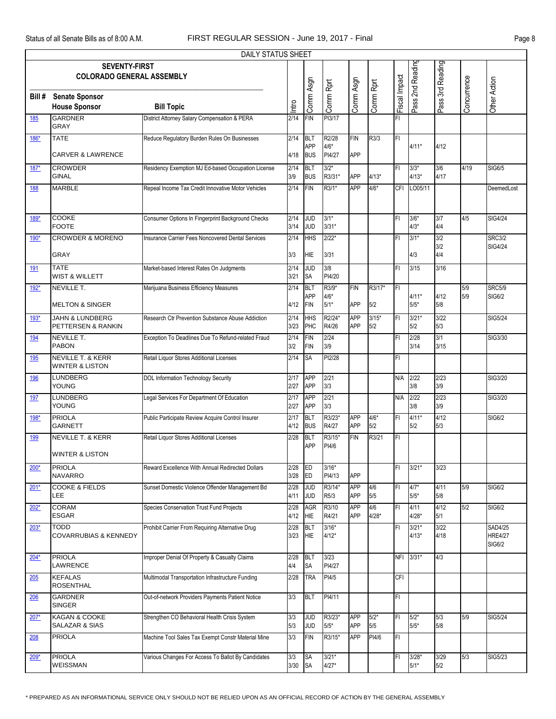|            |                                                            | DAILY STATUS SHEET                                 |              |                          |                         |                          |                   |               |                    |                   |             |                                     |
|------------|------------------------------------------------------------|----------------------------------------------------|--------------|--------------------------|-------------------------|--------------------------|-------------------|---------------|--------------------|-------------------|-------------|-------------------------------------|
|            | <b>SEVENTY-FIRST</b><br><b>COLORADO GENERAL ASSEMBLY</b>   |                                                    |              |                          |                         |                          |                   |               | Pass 2nd Reading   | Pass 3rd Reading  |             |                                     |
| Bill #     | <b>Senate Sponsor</b><br><b>House Sponsor</b>              | <b>Bill Topic</b>                                  | Intro        | Comm Asgn                | Comm Rprt               | Comm Asgn                | Comm Rprt         | Fiscal Impact |                    |                   | Concurrence | Other Action                        |
| 185        | <b>GARDNER</b><br><b>GRAY</b>                              | District Attorney Salary Compensation & PERA       | 2/14         | <b>FIN</b>               | PI3/17                  |                          |                   | FI            |                    |                   |             |                                     |
| 186*       | <b>TATE</b>                                                | Reduce Regulatory Burden Rules On Businesses       | 2/14         | BLT<br>APP               | R2/28<br>$4/6*$         | <b>FIN</b>               | R3/3              | FI            | $4/11*$            | 4/12              |             |                                     |
| 187*       | <b>CARVER &amp; LAWRENCE</b><br><b>CROWDER</b>             | Residency Exemption MJ Ed-based Occupation License | 4/18<br>2/14 | <b>BUS</b><br><b>BLT</b> | PI4/27<br>$3/2*$        | APP                      |                   | FI            | $3/3*$             | 3/6               | 4/19        | SIG6/5                              |
| <b>188</b> | <b>GINAL</b><br><b>MARBLE</b>                              | Repeal Income Tax Credit Innovative Motor Vehicles | 3/9<br>2/14  | <b>BUS</b><br><b>FIN</b> | R3/31*<br>R3/1*         | APP<br>APP               | $4/13*$<br>$4/6*$ | CFI           | $4/13*$<br>LO05/11 | 4/17              |             | DeemedLost                          |
|            |                                                            |                                                    |              |                          |                         |                          |                   |               |                    |                   |             |                                     |
| 189*       | <b>COOKE</b><br><b>FOOTE</b>                               | Consumer Options In Fingerprint Background Checks  | 2/14<br>3/14 | JUD<br><b>JUD</b>        | $3/1*$<br>$3/31*$       |                          |                   | FI            | $3/6*$<br>$4/3*$   | 3/7<br>4/4        | 4/5         | <b>SIG4/24</b>                      |
| $190*$     | <b>CROWDER &amp; MORENO</b><br>GRAY                        | Insurance Carrier Fees Noncovered Dental Services  | 2/14<br>3/3  | <b>HHS</b><br><b>HIE</b> | $2/22*$<br>3/31         |                          |                   | FI            | $3/1*$<br>4/3      | 3/2<br>3/2<br>4/4 |             | <b>SRC3/2</b><br>SIG4/24            |
| <u>191</u> | <b>TATE</b><br><b>WIST &amp; WILLETT</b>                   | Market-based Interest Rates On Judgments           | 2/14<br>3/21 | <b>JUD</b><br><b>SA</b>  | 3/8<br>PI4/20           |                          |                   | FI            | 3/15               | 3/16              |             |                                     |
| $192*$     | NEVILLE T.                                                 | Marijuana Business Efficiency Measures             | 2/14         | <b>BLT</b>               | R3/9*                   | <b>FIN</b>               | R3/17*            | FI            |                    |                   | 5/9         | <b>SRC5/9</b>                       |
|            | <b>MELTON &amp; SINGER</b>                                 |                                                    | 4/12         | <b>APP</b><br><b>FIN</b> | $4/6*$<br>$5/1*$        | APP                      | 5/2               |               | $4/11*$<br>$5/5*$  | 4/12<br>5/8       | 5/9         | SIG6/2                              |
| 193*       | <b>JAHN &amp; LUNDBERG</b><br>PETTERSEN & RANKIN           | Research Ctr Prevention Substance Abuse Addiction  | 2/14<br>3/23 | HHS<br>PHC               | R2/24*<br>R4/26         | <b>APP</b><br>APP        | $3/15*$<br>5/2    | FI            | $3/21*$<br>5/2     | 3/22<br>5/3       |             | SIG5/24                             |
| <u>194</u> | <b>NEVILLE T.</b><br><b>PABON</b>                          | Exception To Deadlines Due To Refund-related Fraud | 2/14<br>3/2  | <b>FIN</b><br><b>FIN</b> | 2/24<br>3/9             |                          |                   | FI            | 2/28<br>3/14       | 3/1<br>3/15       |             | SIG3/30                             |
| <u>195</u> | <b>NEVILLE T. &amp; KERR</b><br><b>WINTER &amp; LISTON</b> | Retail Liquor Stores Additional Licenses           | 2/14         | <b>SA</b>                | PI2/28                  |                          |                   | FI            |                    |                   |             |                                     |
| <b>196</b> | <b>LUNDBERG</b><br><b>YOUNG</b>                            | DOL Information Technology Security                | 2/17<br>2/27 | <b>APP</b><br><b>APP</b> | 2/21<br>3/3             |                          |                   | N/A           | 2/22<br>3/8        | 2/23<br>3/9       |             | SIG3/20                             |
| 197        | <b>LUNDBERG</b><br><b>YOUNG</b>                            | Legal Services For Department Of Education         | 2/17<br>2/27 | <b>APP</b><br><b>APP</b> | 2/21<br>3/3             |                          |                   | N/A           | 2/22<br>3/8        | 2/23<br>3/9       |             | SIG3/20                             |
| 198*       | <b>PRIOLA</b><br><b>GARNETT</b>                            | Public Participate Review Acquire Control Insurer  | 2/17<br>4/12 | <b>BLT</b><br><b>BUS</b> | R3/23*<br>R4/27         | APP<br><b>APP</b>        | $4/6*$<br>5/2     | FI            | $4/11*$<br>5/2     | 4/12<br>5/3       |             | SIG6/2                              |
| 199        | <b>NEVILLE T. &amp; KERR</b><br><b>WINTER &amp; LISTON</b> | Retail Liquor Stores Additional Licenses           | 2/28         | BLT<br>APP               | R3/15*<br>PI4/6         | <b>FIN</b>               | R3/21             | FI            |                    |                   |             |                                     |
| $200*$     | <b>PRIOLA</b><br><b>NAVARRO</b>                            | Reward Excellence With Annual Redirected Dollars   | 2/28<br>3/28 | ED<br>ED                 | $3/16*$<br>PI4/13       | APP                      |                   | FI            | $3/21*$            | 3/23              |             |                                     |
| $201*$     | <b>COOKE &amp; FIELDS</b><br>LEE.                          | Sunset Domestic Violence Offender Management Bd    | 2/28<br>4/11 | <b>JUD</b><br><b>JUD</b> | R3/14*<br>R5/3          | <b>APP</b><br>APP        | 4/6<br>5/5        | FI            | $4/7*$<br>$5/5*$   | 4/11<br>5/8       | 5/9         | <b>SIG6/2</b>                       |
| $202*$     | <b>CORAM</b><br><b>ESGAR</b>                               | Species Conservation Trust Fund Projects           | 2/28<br>4/12 | <b>AGR</b><br><b>HIE</b> | R3/10<br>R4/21          | APP<br>APP               | 4/6<br>$4/28*$    | FI            | 4/11<br>$4/28*$    | 4/12<br>5/1       | 5/2         | <b>SIG6/2</b>                       |
| $203*$     | TODD<br>COVARRUBIAS & KENNEDY                              | Prohibit Carrier From Requiring Alternative Drug   | 2/28<br>3/23 | <b>BLT</b><br><b>HIE</b> | $3/16*$<br>$4/12*$      |                          |                   | FI            | $3/21*$<br>$4/13*$ | 3/22<br>4/18      |             | SAD4/25<br><b>HRE4/27</b><br>SIG6/2 |
| $204*$     | <b>PRIOLA</b><br>LAWRENCE                                  | Improper Denial Of Property & Casualty Claims      | 2/28<br>4/4  | <b>BLT</b><br><b>SA</b>  | 3/23<br>PI4/27          |                          |                   | <b>NFI</b>    | $3/31*$            | 4/3               |             |                                     |
| 205        | <b>KEFALAS</b><br><b>ROSENTHAL</b>                         | Multimodal Transportation Infrastructure Funding   | 2/28         | <b>TRA</b>               | PI4/5                   |                          |                   | CFI           |                    |                   |             |                                     |
| 206        | GARDNER<br><b>SINGER</b>                                   | Out-of-network Providers Payments Patient Notice   | 3/3          | <b>BLT</b>               | PI4/11                  |                          |                   | FI            |                    |                   |             |                                     |
| $207*$     | KAGAN & COOKE<br>SALAZAR & SIAS                            | Strengthen CO Behavioral Health Crisis System      | 3/3<br>5/3   | <b>JUD</b><br><b>JUD</b> | R3/23*<br>$5/5^{\star}$ | <b>APP</b><br><b>APP</b> | $5/2*$<br>5/5     | FI            | $5/2*$<br>$5/5*$   | 5/3<br>5/8        | 5/9         | SIG5/24                             |
| 208        | <b>PRIOLA</b>                                              | Machine Tool Sales Tax Exempt Constr Material Mine | 3/3          | <b>FIN</b>               | R3/15*                  | <b>APP</b>               | PI4/6             | FI            |                    |                   |             |                                     |
| $209*$     | <b>PRIOLA</b><br>WEISSMAN                                  | Various Changes For Access To Ballot By Candidates | 3/3<br>3/30  | <b>SA</b><br><b>SA</b>   | $3/21*$<br>$4/27*$      |                          |                   | FI            | $3/28*$<br>$5/1*$  | 3/29<br>5/2       | 5/3         | SIG5/23                             |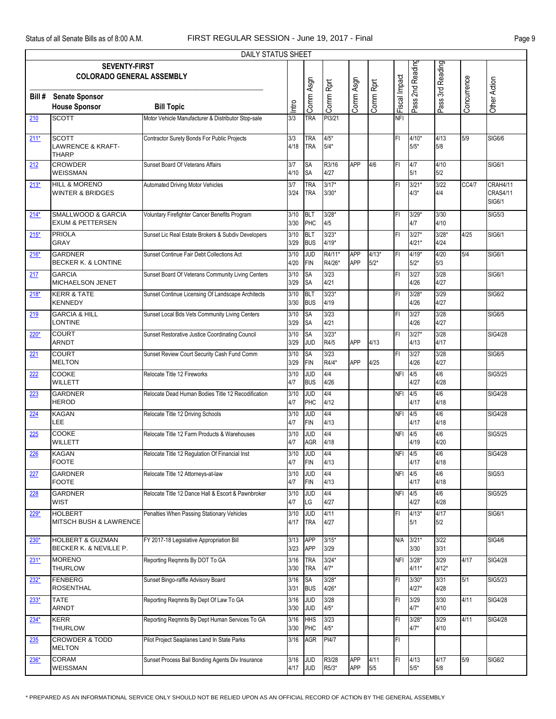|        |                                                              | <b>DAILY STATUS SHEET</b>                          |              |                          |                       |                   |                   |               |                    |                  |             |                                       |
|--------|--------------------------------------------------------------|----------------------------------------------------|--------------|--------------------------|-----------------------|-------------------|-------------------|---------------|--------------------|------------------|-------------|---------------------------------------|
|        | <b>SEVENTY-FIRST</b><br><b>COLORADO GENERAL ASSEMBLY</b>     |                                                    |              |                          |                       |                   |                   |               | Pass 2nd Reading   | Pass 3rd Reading |             |                                       |
| Bill # | <b>Senate Sponsor</b><br><b>House Sponsor</b>                | <b>Bill Topic</b>                                  | Intro        | Comm Asgn                | Comm Rprt             | Comm Asgn         | Comm Rprt         | Fiscal Impact |                    |                  | Concurrence | Other Action                          |
| 210    | <b>SCOTT</b>                                                 | Motor Vehicle Manufacturer & Distributor Stop-sale | 3/3          | <b>TRA</b>               | PI3/21                |                   |                   | <b>NFI</b>    |                    |                  |             |                                       |
| $211*$ | <b>SCOTT</b><br><b>LAWRENCE &amp; KRAFT-</b><br><b>THARP</b> | Contractor Surety Bonds For Public Projects        | 3/3<br>4/18  | <b>TRA</b><br><b>TRA</b> | $4/5*$<br>$5/4*$      |                   |                   | FI            | $4/10*$<br>$5/5*$  | 4/13<br>5/8      | 5/9         | SIG6/6                                |
| 212    | <b>CROWDER</b><br><b>WEISSMAN</b>                            | Sunset Board Of Veterans Affairs                   | 3/7<br>4/10  | <b>SA</b><br><b>SA</b>   | R3/16<br>4/27         | <b>APP</b>        | 4/6               | FI            | 4/7<br>5/1         | 4/10<br>5/2      |             | SIG6/1                                |
| $213*$ | HILL & MORENO<br>WINTER & BRIDGES                            | <b>Automated Driving Motor Vehicles</b>            | 3/7<br>3/24  | <b>TRA</b><br><b>TRA</b> | $3/17*$<br>$3/30*$    |                   |                   | FI            | $3/21*$<br>$4/3*$  | 3/22<br>4/4      | CC4/7       | CRAH4/11<br><b>CRAS4/11</b><br>SIG6/1 |
| $214*$ | <b>SMALLWOOD &amp; GARCIA</b><br><b>EXUM &amp; PETTERSEN</b> | Voluntary Firefighter Cancer Benefits Program      | 3/10<br>3/30 | <b>BLT</b><br>PHC        | $3/28*$<br>4/5        |                   |                   | FI            | $3/29*$<br>4/7     | 3/30<br>4/10     |             | <b>SIG5/3</b>                         |
| $215*$ | <b>PRIOLA</b><br>GRAY                                        | Sunset Lic Real Estate Brokers & Subdiv Developers | 3/10<br>3/29 | <b>BLT</b><br><b>BUS</b> | $3/23*$<br>$4/19*$    |                   |                   | FI            | $3/27*$<br>$4/21*$ | $3/28*$<br>4/24  | 4/25        | <b>SIG6/1</b>                         |
| $216*$ | <b>GARDNER</b><br><b>BECKER K. &amp; LONTINE</b>             | Sunset Continue Fair Debt Collections Act          | 3/10<br>4/20 | JUD<br><b>FIN</b>        | R4/11*<br>R4/26*      | APP<br>APP        | $4/13*$<br>$5/2*$ | FI            | $4/19*$<br>$5/2*$  | 4/20<br>5/3      | 5/4         | SIG6/1                                |
| 217    | <b>GARCIA</b><br>MICHAELSON JENET                            | Sunset Board Of Veterans Community Living Centers  | 3/10<br>3/29 | <b>SA</b><br>SA          | 3/23<br>4/21          |                   |                   | FI            | 3/27<br>4/26       | 3/28<br>4/27     |             | SIG6/1                                |
| $218*$ | <b>KERR &amp; TATE</b><br><b>KENNEDY</b>                     | Sunset Continue Licensing Of Landscape Architects  | 3/10<br>3/30 | <b>BLT</b><br><b>BUS</b> | $3/23*$<br>4/19       |                   |                   | FI            | $3/28*$<br>4/26    | 3/29<br>4/27     |             | SIG6/2                                |
| 219    | <b>GARCIA &amp; HILL</b><br>LONTINE                          | Sunset Local Bds Vets Community Living Centers     | 3/10<br>3/29 | SA<br>SA                 | 3/23<br>4/21          |                   |                   | FI            | 3/27<br>4/26       | 3/28<br>4/27     |             | SIG6/5                                |
| $220*$ | <b>COURT</b><br><b>ARNDT</b>                                 | Sunset Restorative Justice Coordinating Council    | 3/10<br>3/29 | <b>SA</b><br><b>JUD</b>  | $3/23*$<br>R4/5       | APP               | 4/13              | FI            | $3/27*$<br>4/13    | 3/28<br>4/17     |             | SIG4/28                               |
| 221    | <b>COURT</b><br><b>MELTON</b>                                | Sunset Review Court Security Cash Fund Comm        | 3/10<br>3/29 | SA<br><b>FIN</b>         | 3/23<br>$R4/4*$       | APP               | 4/25              | FI            | 3/27<br>4/26       | 3/28<br>4/27     |             | <b>SIG6/5</b>                         |
| 222    | COOKE<br><b>WILLETT</b>                                      | Relocate Title 12 Fireworks                        | 3/10<br>4/7  | <b>JUD</b><br><b>BUS</b> | 4/4<br>4/26           |                   |                   | <b>NFI</b>    | 4/5<br>4/27        | 4/6<br>4/28      |             | SIG5/25                               |
| 223    | <b>GARDNER</b><br><b>HEROD</b>                               | Relocate Dead Human Bodies Title 12 Recodification | 3/10<br>4/7  | <b>JUD</b><br>PHC        | 4/4<br>4/12           |                   |                   | <b>NFI</b>    | 4/5<br>4/17        | 4/6<br>4/18      |             | <b>SIG4/28</b>                        |
| 224    | <b>KAGAN</b><br>LEE                                          | Relocate Title 12 Driving Schools                  | 3/10<br>4/7  | <b>JUD</b><br><b>FIN</b> | 4/4<br>4/13           |                   |                   | <b>NFI</b>    | 4/5<br>4/17        | 4/6<br>4/18      |             | <b>SIG4/28</b>                        |
| 225    | COOKE<br>WILLETT                                             | Relocate Title 12 Farm Products & Warehouses       | 3/10<br>4/7  | JUD<br><b>AGR</b>        | 4/4<br>4/18           |                   |                   | <b>NFI</b>    | 4/5<br>4/19        | 4/6<br>4/20      |             | <b>SIG5/25</b>                        |
| 226    | <b>KAGAN</b><br><b>FOOTE</b>                                 | Relocate Title 12 Regulation Of Financial Inst     | 3/10<br>4/7  | <b>JUD</b><br>FIN        | 4/4<br>4/13           |                   |                   | <b>NFI</b>    | 4/5<br>4/17        | 4/6<br>4/18      |             | <b>SIG4/28</b>                        |
| 227    | <b>GARDNER</b><br><b>FOOTE</b>                               | Relocate Title 12 Attorneys-at-law                 | 3/10<br>4/7  | <b>JUD</b><br><b>FIN</b> | 4/4<br>4/13           |                   |                   | NFI           | 4/5<br>4/17        | 4/6<br>4/18      |             | <b>SIG5/3</b>                         |
| 228    | GARDNER<br>WIST                                              | Relocate Title 12 Dance Hall & Escort & Pawnbroker | 3/10<br>4/7  | <b>JUD</b><br>LG         | 4/4<br>4/27           |                   |                   | <b>NFI</b>    | 4/5<br>4/27        | 4/6<br>4/28      |             | SIG5/25                               |
| $229*$ | <b>HOLBERT</b><br>MITSCH BUSH & LAWRENCE                     | Penalties When Passing Stationary Vehicles         | 3/10<br>4/17 | <b>JUD</b><br><b>TRA</b> | 4/11<br>4/27          |                   |                   | FI            | $4/13*$<br>5/1     | 4/17<br>5/2      |             | <b>SIG6/1</b>                         |
| $230*$ | <b>HOLBERT &amp; GUZMAN</b><br>BECKER K. & NEVILLE P.        | FY 2017-18 Legislative Appropriation Bill          | 3/13<br>3/23 | <b>APP</b><br><b>APP</b> | $3/15*$<br>3/29       |                   |                   | N/A           | $3/21*$<br>3/30    | 3/22<br>3/31     |             | <b>SIG4/6</b>                         |
| $231*$ | <b>MORENO</b><br><b>THURLOW</b>                              | Reporting Regmnts By DOT To GA                     | 3/16<br>3/30 | <b>TRA</b><br><b>TRA</b> | $3/24*$<br>$4/7*$     |                   |                   | <b>NFI</b>    | $3/28*$<br>$4/11*$ | 3/29<br>$4/12*$  | 4/17        | <b>SIG4/28</b>                        |
| $232*$ | <b>FENBERG</b><br><b>ROSENTHAL</b>                           | Sunset Bingo-raffle Advisory Board                 | 3/16<br>3/31 | <b>SA</b><br><b>BUS</b>  | $3/28*$<br>$4/26*$    |                   |                   | FI            | $3/30*$<br>$4/27*$ | 3/31<br>4/28     | 5/1         | SIG5/23                               |
| $233*$ | <b>TATE</b><br>ARNDT                                         | Reporting Regmnts By Dept Of Law To GA             | 3/16<br>3/30 | g<br><b>JUD</b>          | 3/28<br>$4/5^{\star}$ |                   |                   | FI            | 3/29<br>$4/7*$     | 3/30<br>4/10     | 4/11        | <b>SIG4/28</b>                        |
| $234*$ | <b>KERR</b><br><b>THURLOW</b>                                | Reporting Regmnts By Dept Human Services To GA     | 3/16<br>3/30 | HHS<br>PHC               | 3/23<br>$4/5^{\star}$ |                   |                   | FI            | $3/28*$<br>$4/7*$  | 3/29<br>4/10     | 4/11        | <b>SIG4/28</b>                        |
| 235    | <b>CROWDER &amp; TODD</b><br><b>MELTON</b>                   | Pilot Project Seaplanes Land In State Parks        | 3/16         | AGR                      | PI4/7                 |                   |                   | FI            |                    |                  |             |                                       |
| $236*$ | <b>CORAM</b><br>WEISSMAN                                     | Sunset Process Bail Bonding Agents Div Insurance   | 3/16<br>4/17 | <b>JUD</b><br><b>JUD</b> | R3/28<br>$R5/3*$      | <b>APP</b><br>APP | 4/11<br>5/5       | FI            | 4/13<br>$5/5*$     | 4/17<br>5/8      | 5/9         | <b>SIG6/2</b>                         |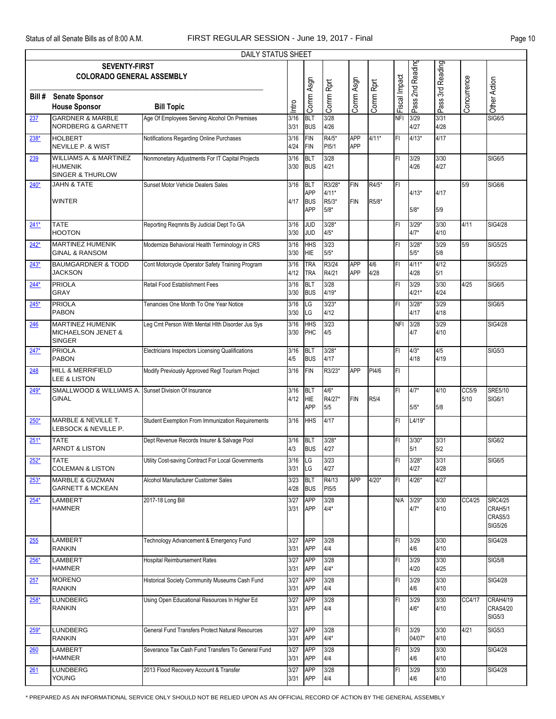|              |                                                                           | DAILY STATUS SHEET                                 |              |                                                      |                                      |                          |                |               |                   |                  |               |                                                 |
|--------------|---------------------------------------------------------------------------|----------------------------------------------------|--------------|------------------------------------------------------|--------------------------------------|--------------------------|----------------|---------------|-------------------|------------------|---------------|-------------------------------------------------|
|              | <b>SEVENTY-FIRST</b><br><b>COLORADO GENERAL ASSEMBLY</b>                  |                                                    |              |                                                      |                                      |                          |                |               | Pass 2nd Reading  | Pass 3rd Reading |               |                                                 |
| Bill#        | <b>Senate Sponsor</b><br><b>House Sponsor</b>                             | <b>Bill Topic</b>                                  | Intro        | Comm Asgn                                            | Comm Rprt                            | Comm Asgn                | Comm Rprt      | Fiscal Impact |                   |                  | Concurrence   | Other Action                                    |
| 237          | <b>GARDNER &amp; MARBLE</b><br><b>NORDBERG &amp; GARNETT</b>              | Age Of Employees Serving Alcohol On Premises       | 3/16<br>3/31 | <b>BLT</b><br><b>BUS</b>                             | 3/28<br>4/26                         |                          |                | <b>NFI</b>    | 3/29<br>4/27      | 3/31<br>4/28     |               | SIG6/5                                          |
| $238*$       | <b>HOLBERT</b><br><b>NEVILLE P. &amp; WIST</b>                            | Notifications Regarding Online Purchases           | 3/16<br>4/24 | <b>FIN</b><br><b>FIN</b>                             | R4/5*<br>PI5/1                       | <b>APP</b><br><b>APP</b> | $4/11*$        | FI            | $4/13*$           | 4/17             |               |                                                 |
| 239          | <b>WILLIAMS A. &amp; MARTINEZ</b><br><b>HUMENIK</b><br>SINGER & THURLOW   | Nonmonetary Adjustments For IT Capital Projects    | 3/16<br>3/30 | <b>BLT</b><br><b>BUS</b>                             | 3/28<br>4/21                         |                          |                | FI            | 3/29<br>4/26      | 3/30<br>4/27     |               | SIG6/5                                          |
| 240*         | <b>JAHN &amp; TATE</b><br><b>WINTER</b>                                   | Sunset Motor Vehicle Dealers Sales                 | 3/16<br>4/17 | <b>BLT</b><br><b>APP</b><br><b>BUS</b><br><b>APP</b> | R3/28*<br>$4/11*$<br>R5/3*<br>$5/8*$ | <b>FIN</b><br><b>FIN</b> | R4/5*<br>R5/8* | FI            | $4/13*$<br>$5/8*$ | 4/17<br>5/9      | 5/9           | SIG6/6                                          |
| $241*$       | <b>TATE</b><br><b>HOOTON</b>                                              | Reporting Regmnts By Judicial Dept To GA           | 3/16<br>3/30 | <b>JUD</b><br><b>JUD</b>                             | $3/28*$<br>$4/5*$                    |                          |                | FI            | $3/29*$<br>$4/7*$ | 3/30<br>4/10     | 4/11          | <b>SIG4/28</b>                                  |
| $242*$       | <b>MARTINEZ HUMENIK</b><br><b>GINAL &amp; RANSOM</b>                      | Modernize Behavioral Health Terminology in CRS     | 3/16<br>3/30 | HНS<br><b>HIE</b>                                    | 3/23<br>$5/5*$                       |                          |                | FI            | $3/28*$<br>$5/5*$ | 3/29<br>5/8      | 5/9           | SIG5/25                                         |
| <u> 243*</u> | <b>BAUMGARDNER &amp; TODD</b><br><b>JACKSON</b>                           | Cont Motorcycle Operator Safety Training Program   | 3/16<br>4/12 | <b>TRA</b><br><b>TRA</b>                             | R3/24<br>R4/21                       | <b>APP</b><br><b>APP</b> | 4/6<br>4/28    | FI            | $4/11*$<br>4/28   | 4/12<br>5/1      |               | SIG5/25                                         |
| $244*$       | <b>PRIOLA</b><br><b>GRAY</b>                                              | Retail Food Establishment Fees                     | 3/16<br>3/30 | <b>BLT</b><br><b>BUS</b>                             | 3/28<br>$4/19*$                      |                          |                | FI            | 3/29<br>$4/21*$   | 3/30<br>4/24     | 4/25          | <b>SIG6/5</b>                                   |
| $245*$       | <b>PRIOLA</b><br><b>PABON</b>                                             | Tenancies One Month To One Year Notice             | 3/16<br>3/30 | LG<br>LG                                             | $3/23*$<br>4/12                      |                          |                | FI            | $3/28*$<br>4/17   | 3/29<br>4/18     |               | SIG6/5                                          |
| 246          | <b>MARTINEZ HUMENIK</b><br><b>MICHAELSON JENET &amp;</b><br><b>SINGER</b> | Leg Cmt Person With Mental HIth Disorder Jus Sys   | 3/16<br>3/30 | <b>HHS</b><br>PHC                                    | 3/23<br>4/5                          |                          |                | <b>NFI</b>    | 3/28<br>4/7       | 3/29<br>4/10     |               | SIG4/28                                         |
| $247*$       | <b>PRIOLA</b><br><b>PABON</b>                                             | Electricians Inspectors Licensing Qualifications   | 3/16<br>4/5  | <b>BLT</b><br><b>BUS</b>                             | $3/28*$<br>4/17                      |                          |                | FI            | $4/3*$<br>4/18    | 4/5<br>4/19      |               | <b>SIG5/3</b>                                   |
| <u>248</u>   | <b>HILL &amp; MERRIFIELD</b><br>LEE & LISTON                              | Modify Previously Approved Regl Tourism Project    | 3/16         | <b>FIN</b>                                           | R3/23*                               | APP                      | PI4/6          | FI            |                   |                  |               |                                                 |
| $249*$       | SMALLWOOD & WILLIAMS A. Sunset Division Of Insurance<br><b>GINAL</b>      |                                                    | 3/16<br>4/12 | <b>BLT</b><br><b>HIE</b><br><b>APP</b>               | $4/6*$<br>R4/27*<br>5/5              | <b>FIN</b>               | R5/4           | FI            | $4/7*$<br>$5/5*$  | 4/10<br>5/8      | CC5/9<br>5/10 | <b>SRE5/10</b><br>SIG6/1                        |
| $250*$       | MARBLE & NEVILLE T.<br>LEBSOCK & NEVILLE P.                               | Student Exemption From Immunization Requirements   | 3/16         | <b>HHS</b>                                           | 4/17                                 |                          |                | FI            | $L4/19*$          |                  |               |                                                 |
| $251*$       | <b>TATE</b><br>ARNDT & LISTON                                             | Dept Revenue Records Insurer & Salvage Pool        | 3/16<br>4/3  | <b>BLT</b><br><b>BUS</b>                             | $3/28*$<br>4/27                      |                          |                | FI            | $3/30*$<br>5/1    | 3/31<br>5/2      |               | SIG6/2                                          |
| <u>252*</u>  | TATE<br><b>COLEMAN &amp; LISTON</b>                                       | Utility Cost-saving Contract For Local Governments | 3/16<br>3/31 | <b>I</b> LG<br>LG                                    | 3/23<br>4/27                         |                          |                | FL            | $3/28*$<br>4/27   | 3/31<br>4/28     |               | SIG6/5                                          |
| $253*$       | <b>MARBLE &amp; GUZMAN</b><br><b>GARNETT &amp; MCKEAN</b>                 | Alcohol Manufacturer Customer Sales                | 3/23<br>4/28 | <b>BLT</b><br><b>BUS</b>                             | R4/13<br>PI5/5                       | APP                      | $4/20*$        | FI            | $4/26*$           | 4/27             |               |                                                 |
| $254*$       | LAMBERT<br><b>HAMNER</b>                                                  | 2017-18 Long Bill                                  | 3/27<br>3/31 | <b>APP</b><br><b>APP</b>                             | 3/28<br>$4/4*$                       |                          |                | N/A           | $3/29*$<br>$4/7*$ | 3/30<br>4/10     | CC4/25        | <b>SRC4/25</b><br>CRAH5/1<br>CRAS5/3<br>SIG5/26 |
| 255          | LAMBERT<br><b>RANKIN</b>                                                  | Technology Advancement & Emergency Fund            | 3/27<br>3/31 | <b>APP</b><br>APP                                    | 3/28<br>4/4                          |                          |                | FI            | 3/29<br>4/6       | 3/30<br>4/10     |               | <b>SIG4/28</b>                                  |
| $256*$       | LAMBERT<br><b>HAMNER</b>                                                  | <b>Hospital Reimbursement Rates</b>                | 3/27<br>3/31 | <b>APP</b><br><b>APP</b>                             | 3/28<br>$4/4*$                       |                          |                | FI            | 3/29<br>4/20      | 3/30<br>4/25     |               | <b>SIG5/8</b>                                   |
| 257          | <b>MORENO</b><br><b>RANKIN</b>                                            | Historical Society Community Museums Cash Fund     | 3/27<br>3/31 | APP<br>APP                                           | 3/28<br>4/4                          |                          |                | FI            | 3/29<br>4/6       | 3/30<br>4/10     |               | SIG4/28                                         |
| $258*$       | <b>LUNDBERG</b><br><b>RANKIN</b>                                          | Using Open Educational Resources In Higher Ed      | 3/27<br>3/31 | <b>APP</b><br>APP                                    | 3/28<br>4/4                          |                          |                | FI            | 3/29<br>$4/6*$    | 3/30<br>4/10     | CC4/17        | CRAH4/19<br><b>CRAS4/20</b><br>SIG5/3           |
| $259*$       | LUNDBERG<br><b>RANKIN</b>                                                 | General Fund Transfers Protect Natural Resources   | 3/27<br>3/31 | <b>APP</b><br>APP                                    | 3/28<br>$4/4*$                       |                          |                | FI            | 3/29<br>04/07*    | 3/30<br>4/10     | 4/21          | SIG5/3                                          |
| 260          | <b>LAMBERT</b><br><b>HAMNER</b>                                           | Severance Tax Cash Fund Transfers To General Fund  | 3/27<br>3/31 | <b>APP</b><br>APP                                    | 3/28<br>4/4                          |                          |                | FI            | 3/29<br>4/6       | 3/30<br>4/10     |               | <b>SIG4/28</b>                                  |
| 261          | <b>LUNDBERG</b><br>YOUNG                                                  | 2013 Flood Recovery Account & Transfer             | 3/27<br>3/31 | <b>APP</b><br>APP                                    | 3/28<br>4/4                          |                          |                | FL            | 3/29<br>4/6       | 3/30<br>4/10     |               | <b>SIG4/28</b>                                  |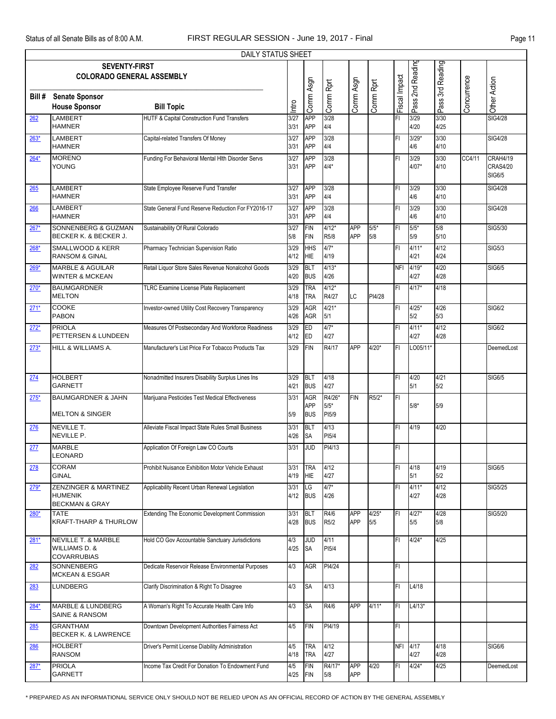| DAILY STATUS SHEET |                                                                                  |                                                    |              |                                 |                            |                          |                |               |                  |                   |             |                                       |
|--------------------|----------------------------------------------------------------------------------|----------------------------------------------------|--------------|---------------------------------|----------------------------|--------------------------|----------------|---------------|------------------|-------------------|-------------|---------------------------------------|
|                    | 3rd Reading<br><b>SEVENTY-FIRST</b><br><b>COLORADO GENERAL ASSEMBLY</b>          |                                                    |              |                                 |                            |                          |                |               |                  |                   |             |                                       |
|                    |                                                                                  |                                                    |              |                                 |                            |                          |                |               |                  |                   |             |                                       |
| Bill #             | <b>Senate Sponsor</b><br><b>House Sponsor</b>                                    | <b>Bill Topic</b>                                  | Intro        | Comm Asgn                       | Comm Rprt                  | Comm Asgn                | Comm Rprt      | Fiscal Impact | Pass 2nd Reading | Pass <sup>?</sup> | Concurrence | Other Action                          |
| 262                | <b>LAMBERT</b><br><b>HAMNER</b>                                                  | HUTF & Capital Construction Fund Transfers         | 3/27<br>3/31 | APP<br><b>APP</b>               | 3/28<br>4/4                |                          |                | FI            | 3/29<br>4/20     | 3/30<br>4/25      |             | SIG4/28                               |
| $263*$             | <b>LAMBERT</b><br><b>HAMNER</b>                                                  | Capital-related Transfers Of Money                 | 3/27<br>3/31 | <b>APP</b><br><b>APP</b>        | 3/28<br>4/4                |                          |                | FI.           | $3/29*$<br>4/6   | 3/30<br>4/10      |             | <b>SIG4/28</b>                        |
| $264*$             | <b>MORENO</b><br>YOUNG                                                           | Funding For Behavioral Mental HIth Disorder Servs  | 3/27<br>3/31 | <b>APP</b><br><b>APP</b>        | 3/28<br>$4/4*$             |                          |                | FI            | 3/29<br>$4/07*$  | 3/30<br>4/10      | CC4/11      | CRAH4/19<br><b>CRAS4/20</b><br>SIG6/5 |
| 265                | LAMBERT<br><b>HAMNER</b>                                                         | State Employee Reserve Fund Transfer               | 3/27<br>3/31 | <b>APP</b><br><b>APP</b>        | 3/28<br>4/4                |                          |                | FI            | 3/29<br>4/6      | 3/30<br>4/10      |             | SIG4/28                               |
| 266                | <b>LAMBERT</b><br><b>HAMNER</b>                                                  | State General Fund Reserve Reduction For FY2016-17 | 3/27<br>3/31 | <b>APP</b><br><b>APP</b>        | 3/28<br>4/4                |                          |                | FI            | 3/29<br>4/6      | 3/30<br>4/10      |             | SIG4/28                               |
| $267*$             | SONNENBERG & GUZMAN<br>BECKER K. & BECKER J.                                     | Sustainability Of Rural Colorado                   | 3/27<br>5/8  | <b>FIN</b><br><b>FIN</b>        | $4/12*$<br>R5/8            | APP<br>APP               | $5/5*$<br>5/8  | FI            | $5/5*$<br>5/9    | 5/8<br>5/10       |             | SIG5/30                               |
| $268*$             | SMALLWOOD & KERR<br><b>RANSOM &amp; GINAL</b>                                    | Pharmacy Technician Supervision Ratio              | 3/29<br>4/12 | <b>HHS</b><br><b>HIE</b>        | $4/7*$<br>4/19             |                          |                | FI            | $4/11*$<br>4/21  | 4/12<br>4/24      |             | <b>SIG5/3</b>                         |
| $269*$             | <b>MARBLE &amp; AGUILAR</b><br><b>WINTER &amp; MCKEAN</b>                        | Retail Liquor Store Sales Revenue Nonalcohol Goods | 3/29<br>4/20 | <b>BLT</b><br><b>BUS</b>        | $4/13*$<br>4/26            |                          |                | <b>NFI</b>    | $4/19*$<br>4/27  | 4/20<br>4/28      |             | <b>SIG6/5</b>                         |
| $270*$             | <b>BAUMGARDNER</b><br><b>MELTON</b>                                              | TLRC Examine License Plate Replacement             | 3/29<br>4/18 | <b>TRA</b><br><b>TRA</b>        | $4/12*$<br>R4/27           | LC                       | PI4/28         | FI            | $4/17*$          | 4/18              |             |                                       |
| $271*$             | <b>COOKE</b><br><b>PABON</b>                                                     | Investor-owned Utility Cost Recovery Transparency  | 3/29<br>4/26 | AGR<br><b>AGR</b>               | $4/21*$<br>5/1             |                          |                | FI.           | $4/25*$<br>5/2   | 4/26<br>5/3       |             | SIG6/2                                |
| $272*$             | <b>PRIOLA</b><br>PETTERSEN & LUNDEEN                                             | Measures Of Postsecondary And Workforce Readiness  | 3/29<br>4/12 | ED<br>ED                        | $4/7*$<br>4/27             |                          |                | FI            | $4/11*$<br>4/27  | 4/12<br>4/28      |             | <b>SIG6/2</b>                         |
| $273*$             | HILL & WILLIAMS A.                                                               | Manufacturer's List Price For Tobacco Products Tax | 3/29         | <b>FIN</b>                      | R4/17                      | <b>APP</b>               | $4/20*$        | FI            | LO05/11*         |                   |             | DeemedLost                            |
| 274                | <b>HOLBERT</b><br><b>GARNETT</b>                                                 | Nonadmitted Insurers Disability Surplus Lines Ins  | 3/29<br>4/21 | BLT<br><b>BUS</b>               | 4/18<br>4/27               |                          |                | FI            | 4/20<br>5/1      | 4/21<br>5/2       |             | SIG6/5                                |
| $275*$             | <b>BAUMGARDNER &amp; JAHN</b><br><b>MELTON &amp; SINGER</b>                      | Marijuana Pesticides Test Medical Effectiveness    | 3/31<br>5/9  | <b>AGR</b><br>APP<br><b>BUS</b> | R4/26*<br>$5/5*$<br>PI5/9  | <b>FIN</b>               | R5/2*          | FI            | $5/8*$           | 5/9               |             |                                       |
| 276                | <b>NEVILLE T.</b><br>NEVILLE P.                                                  | Alleviate Fiscal Impact State Rules Small Business | 3/31<br>4/26 | <b>BLT</b><br><b>SA</b>         | 4/13<br>PI <sub>5</sub> /4 |                          |                | FI            | 4/19             | 4/20              |             |                                       |
| 277                | <b>MARBLE</b><br><b>LEONARD</b>                                                  | Application Of Foreign Law CO Courts               | 3/31         | <b>JUD</b>                      | PI4/13                     |                          |                | FI            |                  |                   |             |                                       |
| 278                | <b>CORAM</b><br><b>GINAL</b>                                                     | Prohibit Nuisance Exhibition Motor Vehicle Exhaust | 3/31<br>4/19 | <b>TRA</b><br>HIE               | 4/12<br>4/27               |                          |                | FI            | 4/18<br>5/1      | 4/19<br>5/2       |             | SIG6/5                                |
| $279*$             | <b>ZENZINGER &amp; MARTINEZ</b><br><b>HUMENIK</b><br><b>BECKMAN &amp; GRAY</b>   | Applicability Recent Urban Renewal Legislation     | 3/31<br>4/12 | LG<br><b>BUS</b>                | $4/7*$<br>4/26             |                          |                | FI            | $4/11*$<br>4/27  | 4/12<br>4/28      |             | SIG5/25                               |
| $280*$             | <b>TATE</b><br><b>KRAFT-THARP &amp; THURLOW</b>                                  | Extending The Economic Development Commission      | 3/31<br>4/28 | BLT<br><b>BUS</b>               | R4/6<br>R5/2               | APP<br><b>APP</b>        | $4/25*$<br>5/5 | FI            | $4/27*$<br>5/5   | 4/28<br>5/8       |             | SIG5/20                               |
| $281*$             | <b>NEVILLE T. &amp; MARBLE</b><br><b>WILLIAMS D. &amp;</b><br><b>COVARRUBIAS</b> | Hold CO Gov Accountable Sanctuary Jurisdictions    | 4/3<br>4/25  | <b>JUD</b><br><b>SA</b>         | 4/11<br>PI <sub>5</sub> /4 |                          |                | FI            | $4/24*$          | 4/25              |             |                                       |
| 282                | <b>SONNENBERG</b><br><b>MCKEAN &amp; ESGAR</b>                                   | Dedicate Reservoir Release Environmental Purposes  | 4/3          | <b>AGR</b>                      | PI4/24                     |                          |                | FI            |                  |                   |             |                                       |
| 283                | LUNDBERG                                                                         | Clarify Discrimination & Right To Disagree         | 4/3          | <b>SA</b>                       | 4/13                       |                          |                | FI            | L4/18            |                   |             |                                       |
| 284*               | <b>MARBLE &amp; LUNDBERG</b><br><b>SAINE &amp; RANSOM</b>                        | A Woman's Right To Accurate Health Care Info       | 4/3          | <b>SA</b>                       | R4/6                       | APP                      | $4/11*$        | FI            | $L4/13*$         |                   |             |                                       |
| 285                | <b>GRANTHAM</b><br><b>BECKER K. &amp; LAWRENCE</b>                               | Downtown Development Authorities Fairness Act      | 4/5          | <b>FIN</b>                      | PI4/19                     |                          |                | FI            |                  |                   |             |                                       |
| 286                | <b>HOLBERT</b><br><b>RANSOM</b>                                                  | Driver's Permit License Diability Administration   | 4/5<br>4/18  | <b>TRA</b><br><b>TRA</b>        | 4/12<br>4/27               |                          |                |               | NFI 4/17<br>4/27 | 4/18<br>4/28      |             | SIG6/6                                |
| $287*$             | <b>PRIOLA</b><br><b>GARNETT</b>                                                  | Income Tax Credit For Donation To Endowment Fund   | 4/5<br>4/25  | <b>FIN</b><br>FIN               | R4/17*<br>5/8              | <b>APP</b><br><b>APP</b> | 4/20           | FI            | $4/24*$          | 4/25              |             | DeemedLost                            |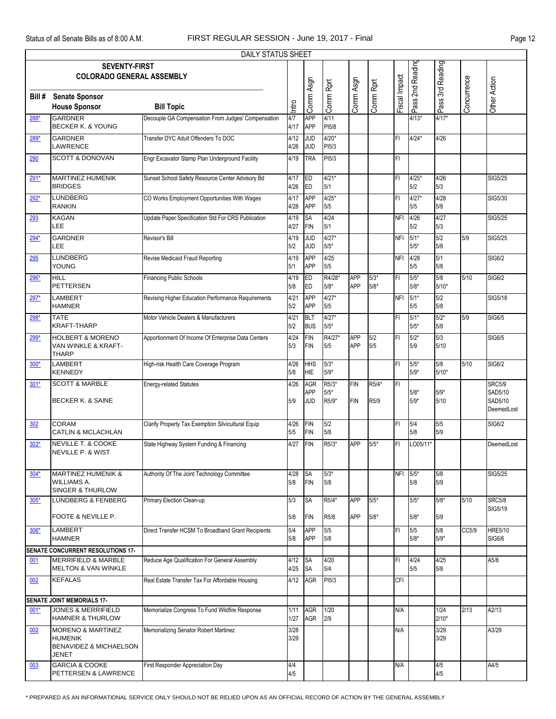| DAILY STATUS SHEET |                                                                                                     |                                                    |              |                          |                          |                          |                            |               |                  |                  |             |                                                   |
|--------------------|-----------------------------------------------------------------------------------------------------|----------------------------------------------------|--------------|--------------------------|--------------------------|--------------------------|----------------------------|---------------|------------------|------------------|-------------|---------------------------------------------------|
|                    | <b>SEVENTY-FIRST</b><br><b>COLORADO GENERAL ASSEMBLY</b>                                            |                                                    |              |                          |                          |                          |                            |               | Pass 2nd Reading | Pass 3rd Reading |             |                                                   |
| Bill #             | <b>Senate Sponsor</b><br><b>House Sponsor</b>                                                       | <b>Bill Topic</b>                                  | Intro        | Comm Asgn                | Comm Rprt                | Comm Asgn                | Comm Rprt                  | Fiscal Impact |                  |                  | Concurrence | Other Action                                      |
| 288*               | <b>GARDNER</b><br><b>BECKER K. &amp; YOUNG</b>                                                      | Decouple GA Compensation From Judges' Compensation | 4/7<br>4/17  | <b>APP</b><br>APP        | 4/11<br>PI5/8            |                          |                            |               | $4/13*$          | $4/17*$          |             |                                                   |
| $289*$             | <b>GARDNER</b><br>LAWRENCE                                                                          | Transfer DYC Adult Offenders To DOC                | 4/12<br>4/26 | JUD<br><b>JUD</b>        | $4/20*$<br>PI5/3         |                          |                            | FI            | $4/24*$          | 4/26             |             |                                                   |
| 290                | <b>SCOTT &amp; DONOVAN</b>                                                                          | Engr Excavator Stamp Plan Underground Facility     | 4/19         | <b>TRA</b>               | PI <sub>5</sub> /3       |                          |                            | FI            |                  |                  |             |                                                   |
| $291*$             | <b>MARTINEZ HUMENIK</b><br><b>BRIDGES</b>                                                           | Sunset School Safety Resource Center Advisory Bd   | 4/17<br>4/26 | ED<br>ED                 | $4/21*$<br>5/1           |                          |                            | FI            | $4/25*$<br>5/2   | 4/26<br>5/3      |             | SIG5/25                                           |
| 292*               | LUNDBERG<br><b>RANKIN</b>                                                                           | CO Works Employment Opportunities With Wages       | 4/17<br>4/28 | <b>APP</b><br><b>APP</b> | $4/25*$<br>5/5           |                          |                            | FI            | $4/27*$<br>5/5   | 4/28<br>5/8      |             | SIG5/30                                           |
| <u>293</u>         | <b>KAGAN</b><br>LEE                                                                                 | Update Paper Specification Std For CRS Publication | 4/19<br>4/27 | SΑ<br><b>FIN</b>         | 4/24<br>5/1              |                          |                            | <b>NFI</b>    | 4/26<br>5/2      | 4/27<br>5/3      |             | SIG5/25                                           |
| $294*$             | <b>GARDNER</b><br>LEE                                                                               | Revisor's Bill                                     | 4/19<br>5/2  | <b>JUD</b><br><b>JUD</b> | $4/27*$<br>$5/5*$        |                          |                            | <b>NFI</b>    | $5/1*$<br>$5/5*$ | 5/2<br>5/8       | 5/9         | SIG5/25                                           |
| 295                | <b>LUNDBERG</b><br>YOUNG                                                                            | Revise Medicaid Fraud Reporting                    | 4/19<br>5/1  | <b>APP</b><br><b>APP</b> | 4/25<br>5/5              |                          |                            | <b>NFI</b>    | 4/28<br>5/5      | 5/1<br>5/8       |             | SIG6/2                                            |
| $296*$             | <b>HILL</b><br><b>PETTERSEN</b>                                                                     | <b>Financing Public Schools</b>                    | 4/19<br>5/8  | ED<br>ED                 | R4/28*<br>$5/8*$         | <b>APP</b><br><b>APP</b> | $5/3*$<br>$5/8*$           | FI            | $5/5*$<br>$5/8*$ | 5/8<br>$5/10*$   | 5/10        | <b>SIG6/2</b>                                     |
| $297*$             | <b>LAMBERT</b><br><b>HAMNER</b>                                                                     | Revising Higher Education Performance Requirements | 4/21<br>5/2  | <b>APP</b><br><b>APP</b> | $4/27*$<br>5/5           |                          |                            | <b>NFI</b>    | $5/1*$<br>5/5    | 5/2<br>5/8       |             | SIG5/18                                           |
| $298*$             | <b>TATE</b><br><b>KRAFT-THARP</b>                                                                   | Motor Vehicle Dealers & Manufacturers              | 4/21<br>5/2  | <b>BLT</b><br><b>BUS</b> | $4/27*$<br>$5/5*$        |                          |                            | FI            | $5/1*$<br>$5/5*$ | $5/2*$<br>5/8    | 5/9         | <b>SIG6/5</b>                                     |
| 299*               | <b>HOLBERT &amp; MORENO</b><br>VAN WINKLE & KRAFT-<br><b>THARP</b>                                  | Apportionment Of Income Of Enterprise Data Centers | 4/24<br>5/3  | <b>FIN</b><br><b>FIN</b> | R4/27*<br>5/5            | APP<br><b>APP</b>        | 5/2<br>5/5                 | FI            | $5/2*$<br>5/9    | 5/3<br>5/10      |             | <b>SIG6/5</b>                                     |
| $300*$             | <b>LAMBERT</b><br><b>KENNEDY</b>                                                                    | High-risk Health Care Coverage Program             | 4/26<br>5/8  | <b>HHS</b><br><b>HIE</b> | $5/3*$<br>$5/9*$         |                          |                            | FI.           | $5/5*$<br>$5/9*$ | 5/8<br>$5/10*$   | 5/10        | <b>SIG6/2</b>                                     |
| $301*$             | <b>SCOTT &amp; MARBLE</b><br><b>BECKER K. &amp; SAINE</b>                                           | Energy-related Statutes                            | 4/26<br>5/9  | AGR<br>APP<br>JUD        | R5/3*<br>$5/5*$<br>R5/9* | <b>FIN</b><br><b>FIN</b> | R5/4*<br>R <sub>5</sub> /9 | FI            | $5/8*$<br>$5/9*$ | $5/9*$<br>$5/10$ |             | <b>SRC5/9</b><br>SAD5/10<br>SAD5/10<br>DeemedLost |
| 302                | CORAM<br><b>CATLIN &amp; MCLACHLAN</b>                                                              | Clarify Property Tax Exemption Silvicultural Equip | 4/26<br>5/5  | <b>FIN</b><br><b>FIN</b> | 5/2<br>5/8               |                          |                            | FI            | 5/4<br>5/8       | 5/5<br>5/9       |             | <b>SIG6/2</b>                                     |
| $303*$             | <b>NEVILLE T. &amp; COOKE</b><br><b>NEVILLE P. &amp; WIST</b>                                       | State Highway System Funding & Financing           | 4/27         | <b>FIN</b>               | R5/3*                    | APP                      | $5/5*$                     | FI            | LO05/11*         |                  |             | DeemedLost                                        |
| $304*$             | <b>MARTINEZ HUMENIK &amp;</b><br>WILLIAMS A.<br><b>SINGER &amp; THURLOW</b>                         | Authority Of The Joint Technology Committee        | 4/28<br>5/8  | <b>SA</b><br><b>FIN</b>  | $5/3*$<br>5/8            |                          |                            | NFI 5/5*      | 5/8              | 5/8<br>5/9       |             | <b>SIG5/25</b>                                    |
| $305*$             | <b>LUNDBERG &amp; FENBERG</b><br>FOOTE & NEVILLE P.                                                 | Primary Election Clean-up                          | 5/3<br>5/8   | SA<br><b>FIN</b>         | R5/4*<br>R5/8            | <b>APP</b><br><b>APP</b> | $5/5*$<br>$5/8*$           |               | $5/5*$<br>$5/8*$ | $5/8*$<br>5/9    | 5/10        | <b>SRC5/8</b><br>SIG5/19                          |
| $306*$             | <b>LAMBERT</b><br><b>HAMNER</b>                                                                     | Direct Transfer HCSM To Broadband Grant Recipients | 5/4<br>5/8   | <b>APP</b><br>APP        | 5/5<br>5/8               |                          |                            | FI            | 5/5<br>$5/8*$    | 5/8<br>$5/9*$    | CC5/9       | <b>HRE5/10</b><br>SIG6/6                          |
|                    | SENATE CONCURRENT RESOLUTIONS 17-                                                                   |                                                    |              |                          |                          |                          |                            |               |                  |                  |             |                                                   |
| 001                | <b>MERRIFIELD &amp; MARBLE</b><br><b>MELTON &amp; VAN WINKLE</b>                                    | Reduce Age Qualification For General Assembly      | 4/12<br>4/25 | <b>SA</b><br><b>SA</b>   | 4/20<br>5/4              |                          |                            | FI            | 4/24<br>5/5      | 4/25<br>5/8      |             | A5/8                                              |
| 002                | <b>KEFALAS</b>                                                                                      | Real Estate Transfer Tax For Affordable Housing    | 4/12         | <b>AGR</b>               | PI5/3                    |                          |                            | CFI           |                  |                  |             |                                                   |
|                    | <b>SENATE JOINT MEMORIALS 17-</b>                                                                   |                                                    |              |                          |                          |                          |                            |               |                  |                  |             |                                                   |
| $001*$             | <b>JONES &amp; MERRIFIELD</b><br><b>HAMNER &amp; THURLOW</b>                                        | Memorialize Congress To Fund Wildfire Response     | 1/11<br>1/27 | AGR<br>AGR               | 1/20<br>2/9              |                          |                            | N/A           |                  | 1/24<br>$2/10*$  | 2/13        | A2/13                                             |
| 002                | <b>MORENO &amp; MARTINEZ</b><br><b>HUMENIK</b><br><b>BENAVIDEZ &amp; MICHAELSON</b><br><b>JENET</b> | Memorializing Senator Robert Martinez              | 3/28<br>3/29 |                          |                          |                          |                            | N/A           |                  | 3/29<br>3/29     |             | A3/29                                             |
| 003                | <b>GARCIA &amp; COOKE</b><br>PETTERSEN & LAWRENCE                                                   | First Responder Appreciation Day                   | 4/4<br>4/5   |                          |                          |                          |                            | N/A           |                  | 4/5<br>4/5       |             | A4/5                                              |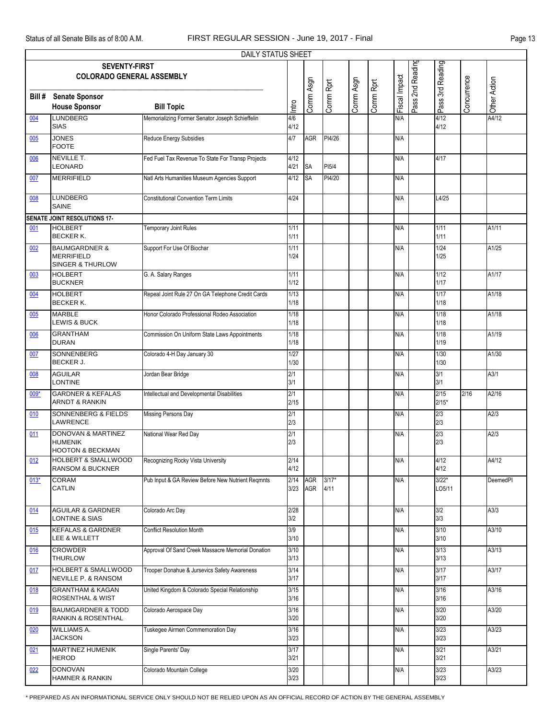| <b>DAILY STATUS SHEET</b>                                    |                                                                                |                                                   |              |            |                 |           |           |               |  |                   |             |                  |
|--------------------------------------------------------------|--------------------------------------------------------------------------------|---------------------------------------------------|--------------|------------|-----------------|-----------|-----------|---------------|--|-------------------|-------------|------------------|
| Pass 2nd Reading<br>Pass 3rd Reading<br><b>SEVENTY-FIRST</b> |                                                                                |                                                   |              |            |                 |           |           |               |  |                   |             |                  |
|                                                              | <b>COLORADO GENERAL ASSEMBLY</b>                                               |                                                   |              |            |                 |           |           |               |  |                   |             |                  |
|                                                              |                                                                                |                                                   |              |            |                 |           |           |               |  |                   |             |                  |
| Bill #                                                       | <b>Senate Sponsor</b>                                                          |                                                   | Intro        | Comm Asgn  | Comm Rprt       | Comm Asgn | Comm Rprt | Fiscal Impact |  |                   | Concurrence | Other Action     |
|                                                              | <b>House Sponsor</b>                                                           | <b>Bill Topic</b>                                 |              |            |                 |           |           |               |  |                   |             | A4/12            |
| 004                                                          | <b>LUNDBERG</b><br><b>SIAS</b>                                                 | Memorializing Former Senator Joseph Schieffelin   | 4/6<br>4/12  |            |                 |           |           | N/A           |  | 4/12<br>4/12      |             |                  |
| 005                                                          | <b>JONES</b><br><b>FOOTE</b>                                                   | Reduce Energy Subsidies                           | 4/7          | AGR        | PI4/26          |           |           | N/A           |  |                   |             |                  |
| 006                                                          | <b>NEVILLE T.</b><br>LEONARD                                                   | Fed Fuel Tax Revenue To State For Transp Projects | 4/12<br>4/21 | <b>SA</b>  | PI5/4           |           |           | N/A           |  | 4/17              |             |                  |
| 007                                                          | <b>MERRIFIELD</b>                                                              | Natl Arts Humanities Museum Agencies Support      | 4/12         | SA         | PI4/20          |           |           | N/A           |  |                   |             |                  |
| 008                                                          | <b>LUNDBERG</b><br><b>SAINE</b>                                                | <b>Constitutional Convention Term Limits</b>      | 4/24         |            |                 |           |           | N/A           |  | L4/25             |             |                  |
|                                                              | SENATE JOINT RESOLUTIONS 17-                                                   |                                                   |              |            |                 |           |           |               |  |                   |             |                  |
| 001                                                          | <b>HOLBERT</b>                                                                 | <b>Femporary Joint Rules</b>                      | 1/11         |            |                 |           |           | N/A           |  | 1/11              |             | A1/11            |
|                                                              | <b>BECKER K.</b>                                                               |                                                   | 1/11         |            |                 |           |           |               |  | 1/11              |             |                  |
| 002                                                          | <b>BAUMGARDNER &amp;</b><br><b>MERRIFIELD</b><br><b>SINGER &amp; THURLOW</b>   | Support For Use Of Biochar                        | 1/11<br>1/24 |            |                 |           |           | N/A           |  | 1/24<br>1/25      |             | A1/25            |
| 003                                                          | <b>HOLBERT</b><br><b>BUCKNER</b>                                               | G. A. Salary Ranges                               | 1/11<br>1/12 |            |                 |           |           | N/A           |  | 1/12<br>1/17      |             | A1/17            |
| 004                                                          | <b>HOLBERT</b><br><b>BECKER K.</b>                                             | Repeal Joint Rule 27 On GA Telephone Credit Cards | 1/13<br>1/18 |            |                 |           |           | N/A           |  | 1/17<br>1/18      |             | A1/18            |
| 005                                                          | <b>MARBLE</b><br><b>LEWIS &amp; BUCK</b>                                       | Honor Colorado Professional Rodeo Association     | 1/18<br>1/18 |            |                 |           |           | N/A           |  | 1/18<br>1/18      |             | A1/18            |
| 006                                                          | <b>GRANTHAM</b><br><b>DURAN</b>                                                | Commission On Uniform State Laws Appointments     | 1/18<br>1/18 |            |                 |           |           | N/A           |  | 1/18<br>1/19      |             | A1/19            |
| 007                                                          | SONNENBERG<br><b>BECKER J.</b>                                                 | Colorado 4-H Day January 30                       | 1/27<br>1/30 |            |                 |           |           | N/A           |  | 1/30<br>1/30      |             | A1/30            |
| 008                                                          | <b>AGUILAR</b><br><b>LONTINE</b>                                               | Jordan Bear Bridge                                | 2/1<br>3/1   |            |                 |           |           | N/A           |  | 3/1<br>3/1        |             | A <sub>3/1</sub> |
| $009*$                                                       | <b>GARDNER &amp; KEFALAS</b><br><b>ARNDT &amp; RANKIN</b>                      | Intellectual and Developmental Disabilities       | 2/1<br>2/15  |            |                 |           |           | N/A           |  | 2/15<br>$2/15*$   | 2/16        | A2/16            |
| 010                                                          | <b>SONNENBERG &amp; FIELDS</b><br><b>LAWRENCE</b>                              | Missing Persons Day                               | 2/1<br>2/3   |            |                 |           |           | N/A           |  | 2/3<br>2/3        |             | A2/3             |
| 011                                                          | <b>DONOVAN &amp; MARTINEZ</b><br><b>HUMENIK</b><br><b>HOOTON &amp; BECKMAN</b> | National Wear Red Day                             | 2/1<br>2/3   |            |                 |           |           | N/A           |  | 2/3<br>2/3        |             | A2/3             |
| 012                                                          | <b>HOLBERT &amp; SMALLWOOD</b><br><b>RANSOM &amp; BUCKNER</b>                  | Recognizing Rocky Vista University                | 2/14<br>4/12 |            |                 |           |           | N/A           |  | 4/12<br>4/12      |             | A4/12            |
| $013*$                                                       | <b>CORAM</b><br><b>CATLIN</b>                                                  | Pub Input & GA Review Before New Nutrient Regmnts | 2/14<br>3/23 | AGR<br>AGR | $3/17*$<br>4/11 |           |           | N/A           |  | $3/22*$<br>LO5/11 |             | DeemedPI         |
| 014                                                          | <b>AGUILAR &amp; GARDNER</b><br><b>LONTINE &amp; SIAS</b>                      | Colorado Arc Day                                  | 2/28<br>3/2  |            |                 |           |           | N/A           |  | 3/2<br>3/3        |             | A3/3             |
| 015                                                          | <b>KEFALAS &amp; GARDNER</b><br>LEE & WILLETT                                  | <b>Conflict Resolution Month</b>                  | 3/9<br>3/10  |            |                 |           |           | N/A           |  | 3/10<br>3/10      |             | A3/10            |
| 016                                                          | <b>CROWDER</b><br><b>THURLOW</b>                                               | Approval Of Sand Creek Massacre Memorial Donation | 3/10<br>3/13 |            |                 |           |           | N/A           |  | 3/13<br>3/13      |             | A3/13            |
| 017                                                          | <b>HOLBERT &amp; SMALLWOOD</b><br>NEVILLE P. & RANSOM                          | Trooper Donahue & Jursevics Safety Awareness      | 3/14<br>3/17 |            |                 |           |           | N/A           |  | 3/17<br>3/17      |             | A3/17            |
| 018                                                          | <b>GRANTHAM &amp; KAGAN</b><br>ROSENTHAL & WIST                                | United Kingdom & Colorado Special Relationship    | 3/15<br>3/16 |            |                 |           |           | N/A           |  | 3/16<br>3/16      |             | A3/16            |
| 019                                                          | <b>BAUMGARDNER &amp; TODD</b><br>RANKIN & ROSENTHAL                            | Colorado Aerospace Day                            | 3/16<br>3/20 |            |                 |           |           | N/A           |  | 3/20<br>3/20      |             | A3/20            |
| 020                                                          | WILLIAMS A.<br><b>JACKSON</b>                                                  | Tuskegee Airmen Commemoration Day                 | 3/16<br>3/23 |            |                 |           |           | N/A           |  | 3/23<br>3/23      |             | A3/23            |
| 021                                                          | <b>MARTINEZ HUMENIK</b><br><b>HEROD</b>                                        | Single Parents' Day                               | 3/17<br>3/21 |            |                 |           |           | N/A           |  | 3/21<br>3/21      |             | A3/21            |
| 022                                                          | <b>DONOVAN</b><br><b>HAMNER &amp; RANKIN</b>                                   | Colorado Mountain College                         | 3/20<br>3/23 |            |                 |           |           | N/A           |  | 3/23<br>3/23      |             | A3/23            |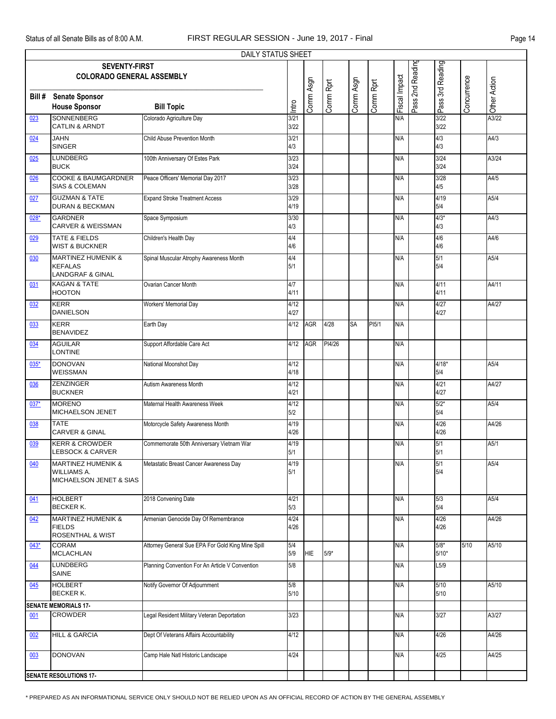| <b>DAILY STATUS SHEET</b> |                                                                                |                                                   |               |            |           |           |                    |               |                  |                   |             |              |
|---------------------------|--------------------------------------------------------------------------------|---------------------------------------------------|---------------|------------|-----------|-----------|--------------------|---------------|------------------|-------------------|-------------|--------------|
|                           | <b>SEVENTY-FIRST</b><br><b>COLORADO GENERAL ASSEMBLY</b>                       |                                                   |               |            |           |           |                    |               | Pass 2nd Reading | Pass 3rd Reading  |             |              |
| Bill#                     | <b>Senate Sponsor</b><br><b>House Sponsor</b>                                  | <b>Bill Topic</b>                                 | Intro         | Comm Asgn  | Comm Rprt | Comm Asgn | Comm Rprt          | Fiscal Impact |                  |                   | Concurrence | Other Action |
| 023                       | SONNENBERG<br><b>CATLIN &amp; ARNDT</b>                                        | Colorado Agriculture Day                          | 3/21<br>3/22  |            |           |           |                    | N/A           |                  | 3/22<br>3/22      |             | A3/22        |
| 024                       | <b>JAHN</b><br><b>SINGER</b>                                                   | Child Abuse Prevention Month                      | 3/21<br>4/3   |            |           |           |                    | N/A           |                  | 4/3<br>4/3        |             | A4/3         |
| 025                       | <b>LUNDBERG</b><br><b>BUCK</b>                                                 | 100th Anniversary Of Estes Park                   | 3/23<br>3/24  |            |           |           |                    | N/A           |                  | 3/24<br>3/24      |             | A3/24        |
| 026                       | <b>COOKE &amp; BAUMGARDNER</b><br><b>SIAS &amp; COLEMAN</b>                    | Peace Officers' Memorial Day 2017                 | 3/23<br>3/28  |            |           |           |                    | N/A           |                  | 3/28<br>4/5       |             | A4/5         |
| 027                       | <b>GUZMAN &amp; TATE</b><br><b>DURAN &amp; BECKMAN</b>                         | <b>Expand Stroke Treatment Access</b>             | 3/29<br>4/19  |            |           |           |                    | N/A           |                  | 4/19<br>5/4       |             | A5/4         |
| 028*                      | <b>GARDNER</b><br><b>CARVER &amp; WEISSMAN</b>                                 | Space Symposium                                   | 3/30<br>4/3   |            |           |           |                    | N/A           |                  | $4/3*$<br>4/3     |             | A4/3         |
| 029                       | <b>TATE &amp; FIELDS</b><br><b>WIST &amp; BUCKNER</b>                          | Children's Health Day                             | 4/4<br>4/6    |            |           |           |                    | N/A           |                  | 4/6<br>4/6        |             | A4/6         |
| 030                       | <b>MARTINEZ HUMENIK &amp;</b><br><b>KEFALAS</b><br><b>LANDGRAF &amp; GINAL</b> | Spinal Muscular Atrophy Awareness Month           | 4/4<br>5/1    |            |           |           |                    | N/A           |                  | 5/1<br>5/4        |             | A5/4         |
| 031                       | <b>KAGAN &amp; TATE</b><br><b>HOOTON</b>                                       | Ovarian Cancer Month                              | 4/7<br>4/11   |            |           |           |                    | N/A           |                  | 4/11<br>4/11      |             | A4/11        |
| 032                       | <b>KERR</b><br><b>DANIELSON</b>                                                | Workers' Memorial Day                             | 4/12<br>4/27  |            |           |           |                    | N/A           |                  | 4/27<br>4/27      |             | A4/27        |
| 033                       | <b>KERR</b><br><b>BENAVIDEZ</b>                                                | Earth Day                                         | 4/12          | <b>AGR</b> | 4/28      | <b>SA</b> | PI <sub>5</sub> /1 | N/A           |                  |                   |             |              |
| 034                       | <b>AGUILAR</b><br><b>LONTINE</b>                                               | Support Affordable Care Act                       | 4/12          | <b>AGR</b> | PI4/26    |           |                    | N/A           |                  |                   |             |              |
| 035*                      | <b>DONOVAN</b><br>WEISSMAN                                                     | National Moonshot Day                             | 4/12<br>4/18  |            |           |           |                    | N/A           |                  | $4/18*$<br>5/4    |             | A5/4         |
| 036                       | <b>ZENZINGER</b><br><b>BUCKNER</b>                                             | Autism Awareness Month                            | 4/12<br>4/21  |            |           |           |                    | N/A           |                  | 4/21<br>4/27      |             | A4/27        |
| $037*$                    | <b>MORENO</b><br>MICHAELSON JENET                                              | Maternal Health Awareness Week                    | 4/12<br>5/2   |            |           |           |                    | N/A           |                  | $5/2*$<br>5/4     |             | A5/4         |
| 038                       | <b>TATE</b><br><b>CARVER &amp; GINAL</b>                                       | Motorcycle Safety Awareness Month                 | 4/19<br>4/26  |            |           |           |                    | N/A           |                  | 4/26<br>4/26      |             | A4/26        |
| 039                       | <b>KERR &amp; CROWDER</b><br><b>LEBSOCK &amp; CARVER</b>                       | Commemorate 50th Anniversary Vietnam War          | 4/19<br>5/1   |            |           |           |                    | N/A           |                  | 5/1<br>5/1        |             | A5/1         |
| 040                       | <b>MARTINEZ HUMENIK &amp;</b><br><b>WILLIAMS A.</b><br>MICHAELSON JENET & SIAS | Metastatic Breast Cancer Awareness Day            | 4/19<br>5/1   |            |           |           |                    | N/A           |                  | 5/1<br>5/4        |             | A5/4         |
| 041                       | <b>HOLBERT</b><br><b>BECKER K.</b>                                             | 2018 Convening Date                               | 4/21<br>5/3   |            |           |           |                    | N/A           |                  | 5/3<br>5/4        |             | A5/4         |
| 042                       | <b>MARTINEZ HUMENIK &amp;</b><br><b>FIELDS</b><br><b>ROSENTHAL &amp; WIST</b>  | Armenian Genocide Day Of Remembrance              | 4/24<br>4/26  |            |           |           |                    | N/A           |                  | 4/26<br>4/26      |             | A4/26        |
| $043*$                    | <b>CORAM</b><br><b>MCLACHLAN</b>                                               | Attorney General Sue EPA For Gold King Mine Spill | 5/4<br>5/9    | <b>HIE</b> | $5/9*$    |           |                    | N/A           |                  | $5/8*$<br>$5/10*$ | 5/10        | A5/10        |
| 044                       | <b>LUNDBERG</b><br>SAINE                                                       | Planning Convention For An Article V Convention   | 5/8           |            |           |           |                    | N/A           |                  | L5/9              |             |              |
| 045                       | <b>HOLBERT</b><br><b>BECKER K.</b>                                             | Notify Governor Of Adjournment                    | 5/8<br>$5/10$ |            |           |           |                    | N/A           |                  | $5/10$<br>5/10    |             | A5/10        |
|                           | <b>SENATE MEMORIALS 17-</b>                                                    |                                                   |               |            |           |           |                    |               |                  |                   |             |              |
| 001                       | <b>CROWDER</b>                                                                 | Legal Resident Military Veteran Deportation       | 3/23          |            |           |           |                    | N/A           |                  | 3/27              |             | A3/27        |
| 002                       | <b>HILL &amp; GARCIA</b>                                                       | Dept Of Veterans Affairs Accountability           | 4/12          |            |           |           |                    | N/A           |                  | 4/26              |             | A4/26        |
| 003                       | <b>DONOVAN</b>                                                                 | Camp Hale Natl Historic Landscape                 | 4/24          |            |           |           |                    | N/A           |                  | 4/25              |             | A4/25        |
|                           | <b>SENATE RESOLUTIONS 17-</b>                                                  |                                                   |               |            |           |           |                    |               |                  |                   |             |              |